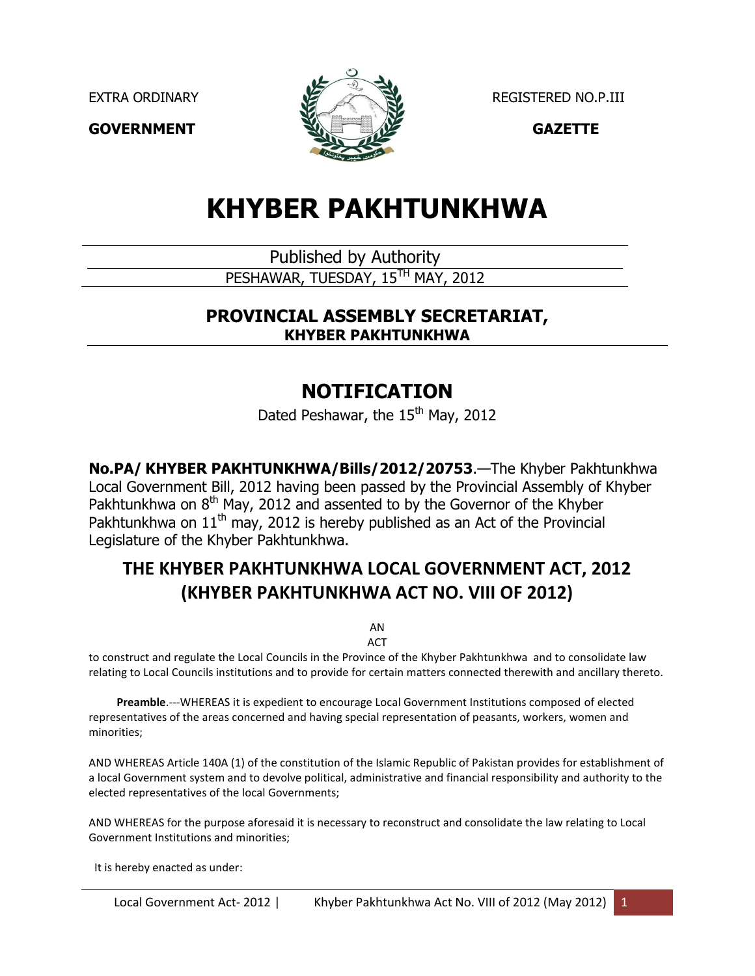

EXTRA ORDINARY **REGISTERED NO.P.III** 

# **KHYBER PAKHTUNKHWA**

Published by Authority

PESHAWAR, TUESDAY, 15<sup>TH</sup> MAY, 2012

# **PROVINCIAL ASSEMBLY SECRETARIAT, KHYBER PAKHTUNKHWA**

# **NOTIFICATION**

Dated Peshawar, the 15<sup>th</sup> May, 2012

**No.PA/ KHYBER PAKHTUNKHWA/Bills/2012/20753**.—The Khyber Pakhtunkhwa Local Government Bill, 2012 having been passed by the Provincial Assembly of Khyber Pakhtunkhwa on  $8<sup>th</sup>$  May, 2012 and assented to by the Governor of the Khyber Pakhtunkhwa on  $11<sup>th</sup>$  may, 2012 is hereby published as an Act of the Provincial Legislature of the Khyber Pakhtunkhwa.

# **THE KHYBER PAKHTUNKHWA LOCAL GOVERNMENT ACT, 2012 (KHYBER PAKHTUNKHWA ACT NO. VIII OF 2012)**

AN ACT

to construct and regulate the Local Councils in the Province of the Khyber Pakhtunkhwa and to consolidate law relating to Local Councils institutions and to provide for certain matters connected therewith and ancillary thereto.

 **Preamble**.---WHEREAS it is expedient to encourage Local Government Institutions composed of elected representatives of the areas concerned and having special representation of peasants, workers, women and minorities;

AND WHEREAS Article 140A (1) of the constitution of the Islamic Republic of Pakistan provides for establishment of a local Government system and to devolve political, administrative and financial responsibility and authority to the elected representatives of the local Governments;

AND WHEREAS for the purpose aforesaid it is necessary to reconstruct and consolidate the law relating to Local Government Institutions and minorities;

It is hereby enacted as under: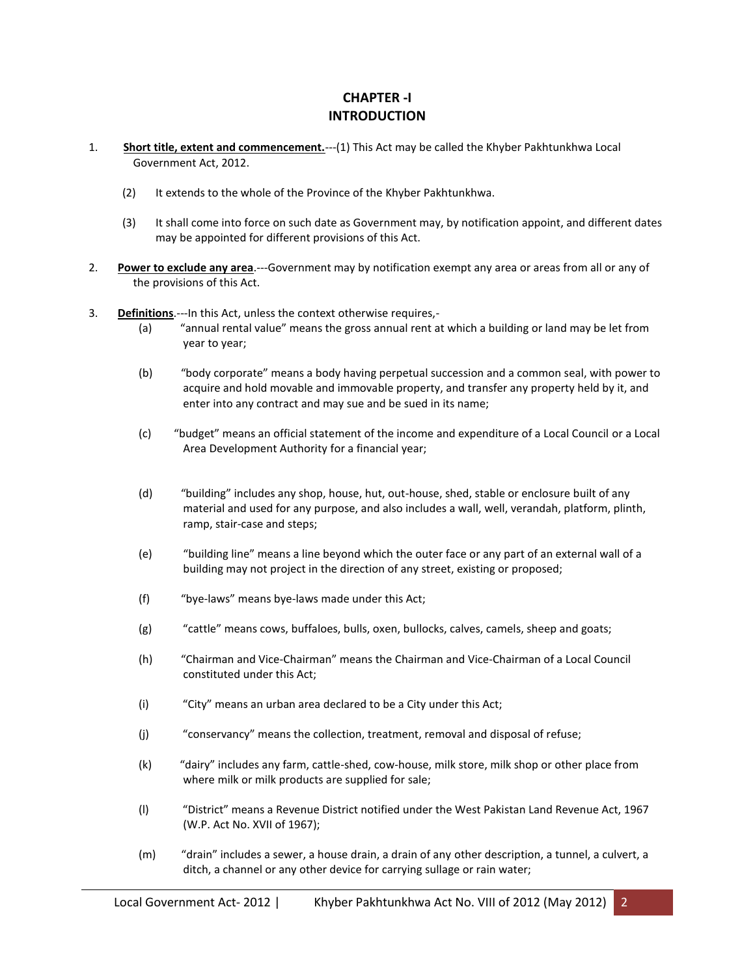# **CHAPTER -I INTRODUCTION**

- 1. **Short title, extent and commencement.**---(1) This Act may be called the Khyber Pakhtunkhwa Local Government Act, 2012.
	- (2) It extends to the whole of the Province of the Khyber Pakhtunkhwa.
	- (3) It shall come into force on such date as Government may, by notification appoint, and different dates may be appointed for different provisions of this Act.
- 2. **Power to exclude any area**.---Government may by notification exempt any area or areas from all or any of the provisions of this Act.
- 3. **Definitions**.---In this Act, unless the context otherwise requires,-
	- (a) "annual rental value" means the gross annual rent at which a building or land may be let from year to year;
	- (b) "body corporate" means a body having perpetual succession and a common seal, with power to acquire and hold movable and immovable property, and transfer any property held by it, and enter into any contract and may sue and be sued in its name;
	- (c) "budget" means an official statement of the income and expenditure of a Local Council or a Local Area Development Authority for a financial year;
	- (d) "building" includes any shop, house, hut, out-house, shed, stable or enclosure built of any material and used for any purpose, and also includes a wall, well, verandah, platform, plinth, ramp, stair-case and steps;
	- (e) "building line" means a line beyond which the outer face or any part of an external wall of a building may not project in the direction of any street, existing or proposed;
	- (f) "bye-laws" means bye-laws made under this Act;
	- (g) "cattle" means cows, buffaloes, bulls, oxen, bullocks, calves, camels, sheep and goats;
	- (h) "Chairman and Vice-Chairman" means the Chairman and Vice-Chairman of a Local Council constituted under this Act;
	- (i) "City" means an urban area declared to be a City under this Act;
	- (j) "conservancy" means the collection, treatment, removal and disposal of refuse;
	- (k) "dairy" includes any farm, cattle-shed, cow-house, milk store, milk shop or other place from where milk or milk products are supplied for sale;
	- (l) "District" means a Revenue District notified under the West Pakistan Land Revenue Act, 1967 (W.P. Act No. XVII of 1967);
	- (m) "drain" includes a sewer, a house drain, a drain of any other description, a tunnel, a culvert, a ditch, a channel or any other device for carrying sullage or rain water;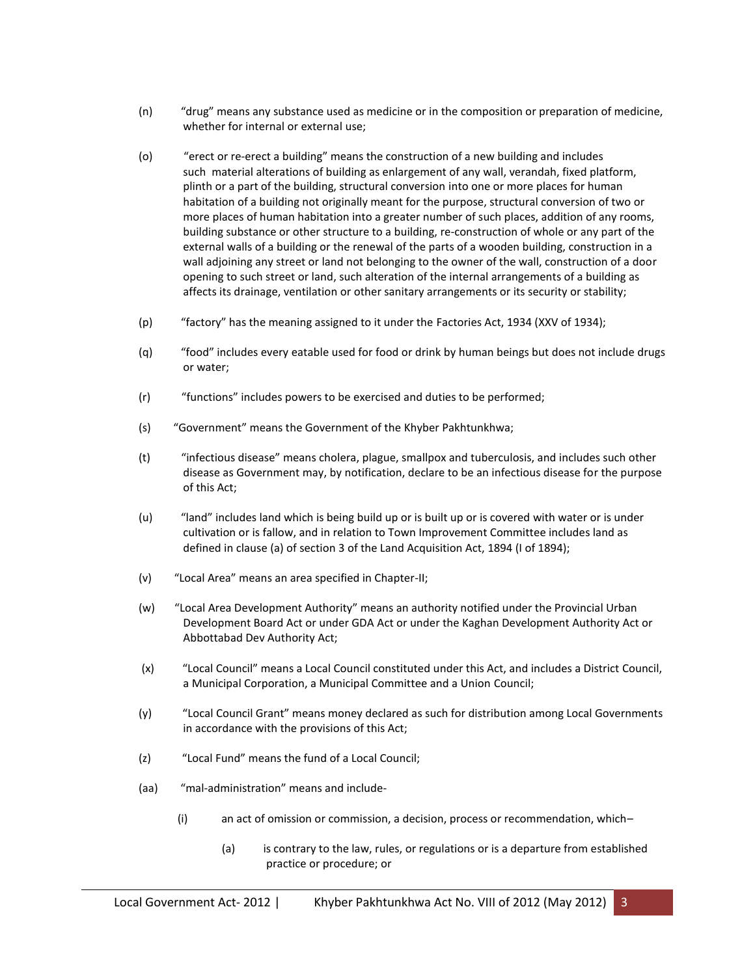- (n) "drug" means any substance used as medicine or in the composition or preparation of medicine, whether for internal or external use;
- (o) "erect or re-erect a building" means the construction of a new building and includes such material alterations of building as enlargement of any wall, verandah, fixed platform, plinth or a part of the building, structural conversion into one or more places for human habitation of a building not originally meant for the purpose, structural conversion of two or more places of human habitation into a greater number of such places, addition of any rooms, building substance or other structure to a building, re-construction of whole or any part of the external walls of a building or the renewal of the parts of a wooden building, construction in a wall adjoining any street or land not belonging to the owner of the wall, construction of a door opening to such street or land, such alteration of the internal arrangements of a building as affects its drainage, ventilation or other sanitary arrangements or its security or stability;
- (p) "factory" has the meaning assigned to it under the Factories Act, 1934 (XXV of 1934);
- (q) "food" includes every eatable used for food or drink by human beings but does not include drugs or water;
- (r) "functions" includes powers to be exercised and duties to be performed;
- (s) "Government" means the Government of the Khyber Pakhtunkhwa;
- (t) "infectious disease" means cholera, plague, smallpox and tuberculosis, and includes such other disease as Government may, by notification, declare to be an infectious disease for the purpose of this Act;
- (u) "land" includes land which is being build up or is built up or is covered with water or is under cultivation or is fallow, and in relation to Town Improvement Committee includes land as defined in clause (a) of section 3 of the Land Acquisition Act, 1894 (I of 1894);
- (v) "Local Area" means an area specified in Chapter-II;
- (w) "Local Area Development Authority" means an authority notified under the Provincial Urban Development Board Act or under GDA Act or under the Kaghan Development Authority Act or Abbottabad Dev Authority Act;
- (x) "Local Council" means a Local Council constituted under this Act, and includes a District Council, a Municipal Corporation, a Municipal Committee and a Union Council;
- (y) "Local Council Grant" means money declared as such for distribution among Local Governments in accordance with the provisions of this Act;
- (z) "Local Fund" means the fund of a Local Council;
- (aa) "mal-administration" means and include-
	- (i) an act of omission or commission, a decision, process or recommendation, which–
		- (a) is contrary to the law, rules, or regulations or is a departure from established practice or procedure; or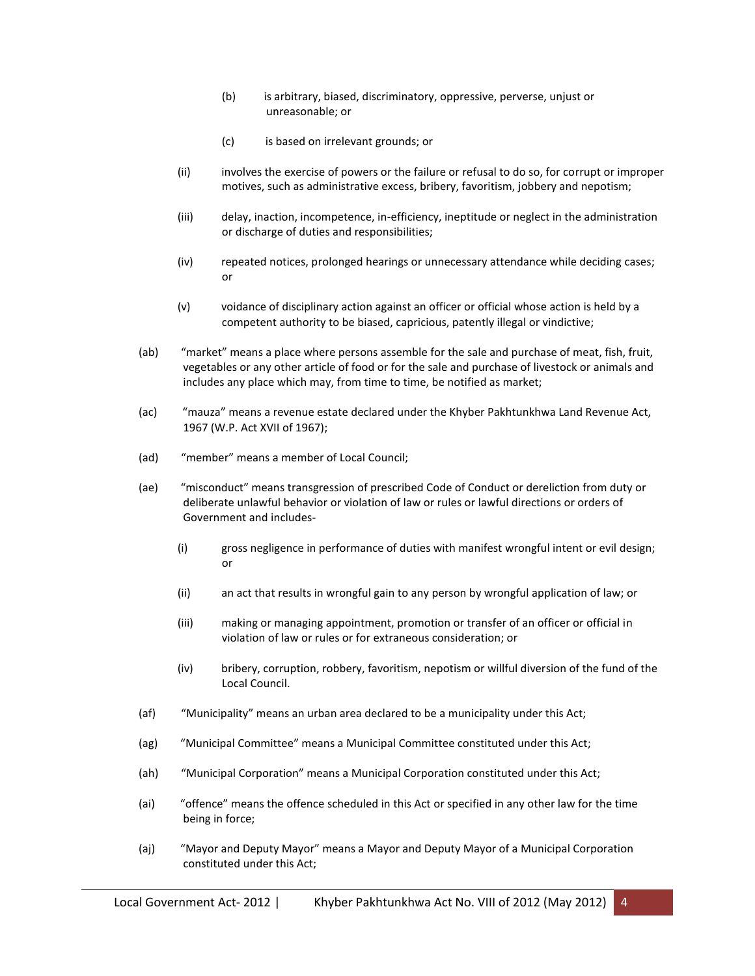- (b) is arbitrary, biased, discriminatory, oppressive, perverse, unjust or unreasonable; or
- (c) is based on irrelevant grounds; or
- (ii) involves the exercise of powers or the failure or refusal to do so, for corrupt or improper motives, such as administrative excess, bribery, favoritism, jobbery and nepotism;
- (iii) delay, inaction, incompetence, in-efficiency, ineptitude or neglect in the administration or discharge of duties and responsibilities;
- (iv) repeated notices, prolonged hearings or unnecessary attendance while deciding cases; or
- (v) voidance of disciplinary action against an officer or official whose action is held by a competent authority to be biased, capricious, patently illegal or vindictive;
- (ab) "market" means a place where persons assemble for the sale and purchase of meat, fish, fruit, vegetables or any other article of food or for the sale and purchase of livestock or animals and includes any place which may, from time to time, be notified as market;
- (ac) "mauza" means a revenue estate declared under the Khyber Pakhtunkhwa Land Revenue Act, 1967 (W.P. Act XVII of 1967);
- (ad) "member" means a member of Local Council;
- (ae) "misconduct" means transgression of prescribed Code of Conduct or dereliction from duty or deliberate unlawful behavior or violation of law or rules or lawful directions or orders of Government and includes-
	- (i) gross negligence in performance of duties with manifest wrongful intent or evil design; or
	- (ii) an act that results in wrongful gain to any person by wrongful application of law; or
	- (iii) making or managing appointment, promotion or transfer of an officer or official in violation of law or rules or for extraneous consideration; or
	- (iv) bribery, corruption, robbery, favoritism, nepotism or willful diversion of the fund of the Local Council.
- (af) "Municipality" means an urban area declared to be a municipality under this Act;
- (ag) "Municipal Committee" means a Municipal Committee constituted under this Act;
- (ah) "Municipal Corporation" means a Municipal Corporation constituted under this Act;
- (ai) "offence" means the offence scheduled in this Act or specified in any other law for the time being in force;
- (aj) "Mayor and Deputy Mayor" means a Mayor and Deputy Mayor of a Municipal Corporation constituted under this Act;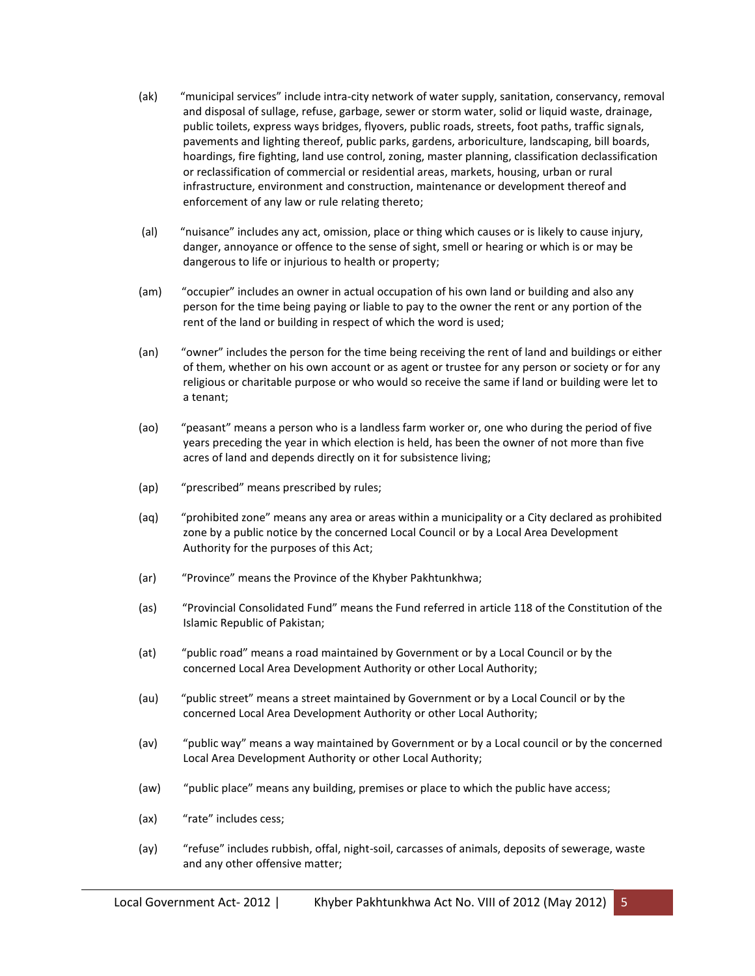- (ak) "municipal services" include intra-city network of water supply, sanitation, conservancy, removal and disposal of sullage, refuse, garbage, sewer or storm water, solid or liquid waste, drainage, public toilets, express ways bridges, flyovers, public roads, streets, foot paths, traffic signals, pavements and lighting thereof, public parks, gardens, arboriculture, landscaping, bill boards, hoardings, fire fighting, land use control, zoning, master planning, classification declassification or reclassification of commercial or residential areas, markets, housing, urban or rural infrastructure, environment and construction, maintenance or development thereof and enforcement of any law or rule relating thereto;
- (al) "nuisance" includes any act, omission, place or thing which causes or is likely to cause injury, danger, annoyance or offence to the sense of sight, smell or hearing or which is or may be dangerous to life or injurious to health or property;
- (am) "occupier" includes an owner in actual occupation of his own land or building and also any person for the time being paying or liable to pay to the owner the rent or any portion of the rent of the land or building in respect of which the word is used;
- (an) "owner" includes the person for the time being receiving the rent of land and buildings or either of them, whether on his own account or as agent or trustee for any person or society or for any religious or charitable purpose or who would so receive the same if land or building were let to a tenant;
- (ao) "peasant" means a person who is a landless farm worker or, one who during the period of five years preceding the year in which election is held, has been the owner of not more than five acres of land and depends directly on it for subsistence living;
- (ap) "prescribed" means prescribed by rules;
- (aq) "prohibited zone" means any area or areas within a municipality or a City declared as prohibited zone by a public notice by the concerned Local Council or by a Local Area Development Authority for the purposes of this Act;
- (ar) "Province" means the Province of the Khyber Pakhtunkhwa;
- (as) "Provincial Consolidated Fund" means the Fund referred in article 118 of the Constitution of the Islamic Republic of Pakistan;
- (at) "public road" means a road maintained by Government or by a Local Council or by the concerned Local Area Development Authority or other Local Authority;
- (au) "public street" means a street maintained by Government or by a Local Council or by the concerned Local Area Development Authority or other Local Authority;
- (av) "public way" means a way maintained by Government or by a Local council or by the concerned Local Area Development Authority or other Local Authority;
- (aw) "public place" means any building, premises or place to which the public have access;
- (ax) "rate" includes cess;
- (ay) "refuse" includes rubbish, offal, night-soil, carcasses of animals, deposits of sewerage, waste and any other offensive matter;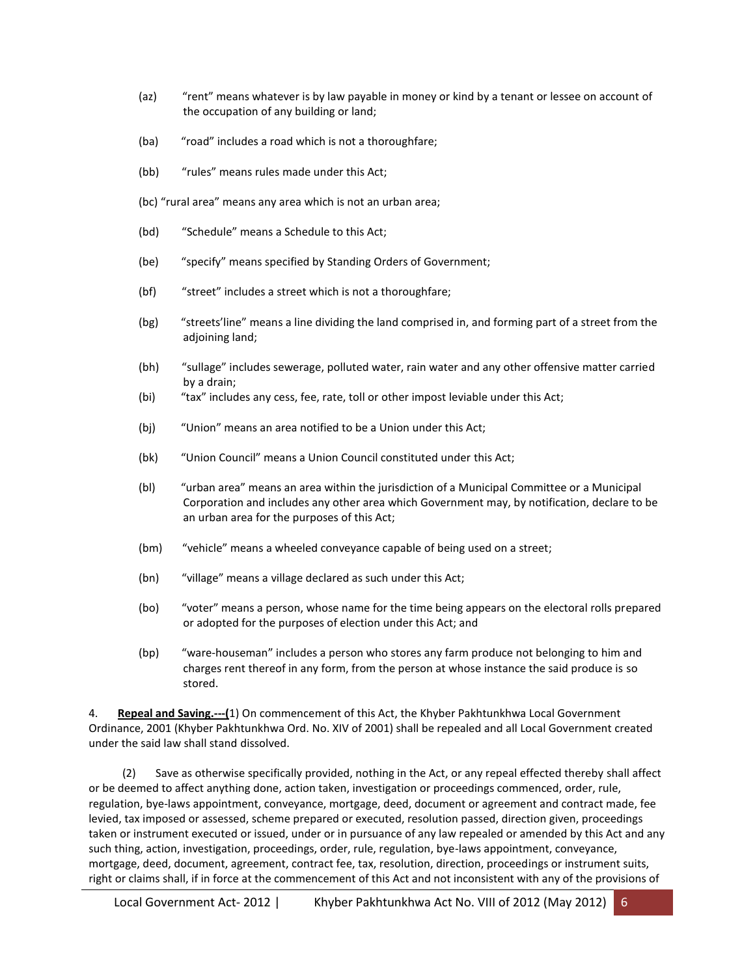- (az) "rent" means whatever is by law payable in money or kind by a tenant or lessee on account of the occupation of any building or land;
- (ba) "road" includes a road which is not a thoroughfare;
- (bb) "rules" means rules made under this Act;
- (bc) "rural area" means any area which is not an urban area;
- (bd) "Schedule" means a Schedule to this Act;
- (be) "specify" means specified by Standing Orders of Government;
- (bf) "street" includes a street which is not a thoroughfare;
- (bg) "streets'line" means a line dividing the land comprised in, and forming part of a street from the adjoining land;
- (bh) "sullage" includes sewerage, polluted water, rain water and any other offensive matter carried by a drain;
- (bi) "tax" includes any cess, fee, rate, toll or other impost leviable under this Act;
- (bj) "Union" means an area notified to be a Union under this Act;
- (bk) "Union Council" means a Union Council constituted under this Act;
- (bl) "urban area" means an area within the jurisdiction of a Municipal Committee or a Municipal Corporation and includes any other area which Government may, by notification, declare to be an urban area for the purposes of this Act;
- (bm) "vehicle" means a wheeled conveyance capable of being used on a street;
- (bn) "village" means a village declared as such under this Act;
- (bo) "voter" means a person, whose name for the time being appears on the electoral rolls prepared or adopted for the purposes of election under this Act; and
- (bp) "ware-houseman" includes a person who stores any farm produce not belonging to him and charges rent thereof in any form, from the person at whose instance the said produce is so stored.

4. **Repeal and Saving.---(**1) On commencement of this Act, the Khyber Pakhtunkhwa Local Government Ordinance, 2001 (Khyber Pakhtunkhwa Ord. No. XIV of 2001) shall be repealed and all Local Government created under the said law shall stand dissolved.

 (2) Save as otherwise specifically provided, nothing in the Act, or any repeal effected thereby shall affect or be deemed to affect anything done, action taken, investigation or proceedings commenced, order, rule, regulation, bye-laws appointment, conveyance, mortgage, deed, document or agreement and contract made, fee levied, tax imposed or assessed, scheme prepared or executed, resolution passed, direction given, proceedings taken or instrument executed or issued, under or in pursuance of any law repealed or amended by this Act and any such thing, action, investigation, proceedings, order, rule, regulation, bye-laws appointment, conveyance, mortgage, deed, document, agreement, contract fee, tax, resolution, direction, proceedings or instrument suits, right or claims shall, if in force at the commencement of this Act and not inconsistent with any of the provisions of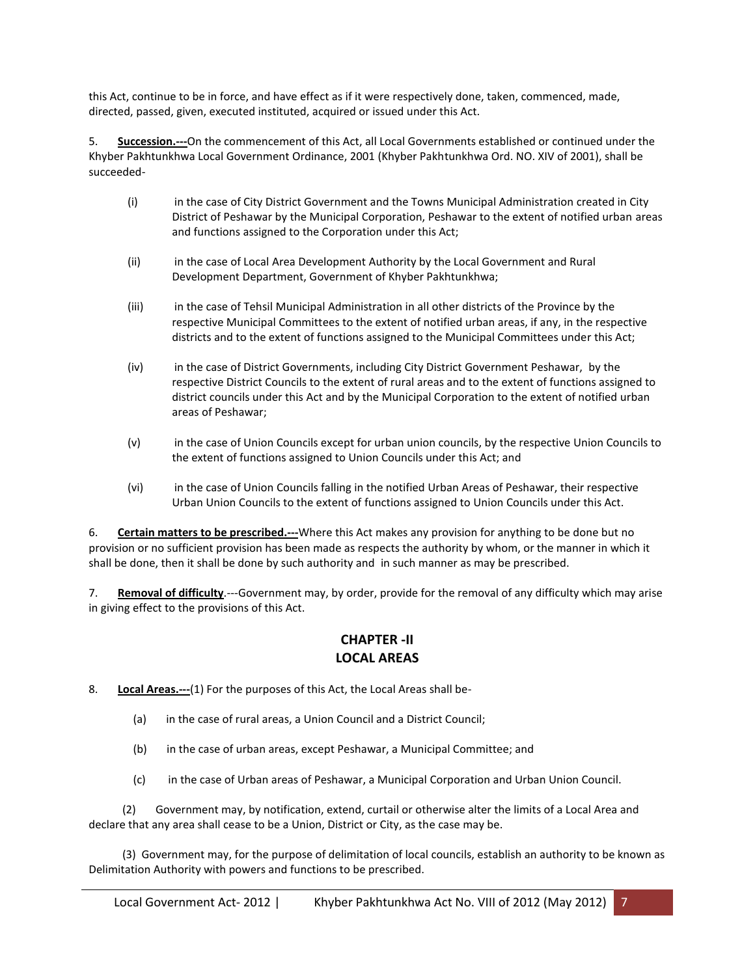this Act, continue to be in force, and have effect as if it were respectively done, taken, commenced, made, directed, passed, given, executed instituted, acquired or issued under this Act.

5. **Succession.---**On the commencement of this Act, all Local Governments established or continued under the Khyber Pakhtunkhwa Local Government Ordinance, 2001 (Khyber Pakhtunkhwa Ord. NO. XIV of 2001), shall be succeeded-

- (i) in the case of City District Government and the Towns Municipal Administration created in City District of Peshawar by the Municipal Corporation, Peshawar to the extent of notified urban areas and functions assigned to the Corporation under this Act;
- (ii) in the case of Local Area Development Authority by the Local Government and Rural Development Department, Government of Khyber Pakhtunkhwa;
- (iii) in the case of Tehsil Municipal Administration in all other districts of the Province by the respective Municipal Committees to the extent of notified urban areas, if any, in the respective districts and to the extent of functions assigned to the Municipal Committees under this Act;
- (iv) in the case of District Governments, including City District Government Peshawar, by the respective District Councils to the extent of rural areas and to the extent of functions assigned to district councils under this Act and by the Municipal Corporation to the extent of notified urban areas of Peshawar;
- (v) in the case of Union Councils except for urban union councils, by the respective Union Councils to the extent of functions assigned to Union Councils under this Act; and
- (vi) in the case of Union Councils falling in the notified Urban Areas of Peshawar, their respective Urban Union Councils to the extent of functions assigned to Union Councils under this Act.

6. **Certain matters to be prescribed.---**Where this Act makes any provision for anything to be done but no provision or no sufficient provision has been made as respects the authority by whom, or the manner in which it shall be done, then it shall be done by such authority and in such manner as may be prescribed.

7. **Removal of difficulty**.---Government may, by order, provide for the removal of any difficulty which may arise in giving effect to the provisions of this Act.

#### **CHAPTER -II LOCAL AREAS**

8. **Local Areas.---**(1) For the purposes of this Act, the Local Areas shall be-

- (a) in the case of rural areas, a Union Council and a District Council;
- (b) in the case of urban areas, except Peshawar, a Municipal Committee; and
- (c) in the case of Urban areas of Peshawar, a Municipal Corporation and Urban Union Council.

 (2) Government may, by notification, extend, curtail or otherwise alter the limits of a Local Area and declare that any area shall cease to be a Union, District or City, as the case may be.

 (3) Government may, for the purpose of delimitation of local councils, establish an authority to be known as Delimitation Authority with powers and functions to be prescribed.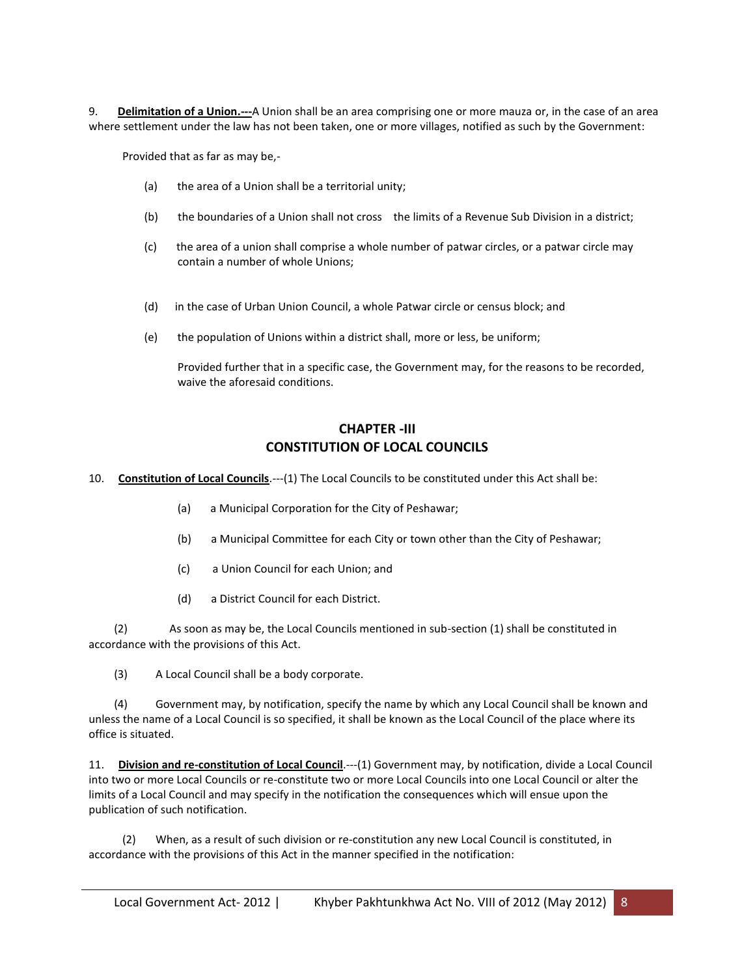9. **Delimitation of a Union.---**A Union shall be an area comprising one or more mauza or, in the case of an area where settlement under the law has not been taken, one or more villages, notified as such by the Government:

Provided that as far as may be,-

- (a) the area of a Union shall be a territorial unity;
- (b) the boundaries of a Union shall not cross the limits of a Revenue Sub Division in a district;
- (c) the area of a union shall comprise a whole number of patwar circles, or a patwar circle may contain a number of whole Unions;
- (d) in the case of Urban Union Council, a whole Patwar circle or census block; and
- (e) the population of Unions within a district shall, more or less, be uniform;

Provided further that in a specific case, the Government may, for the reasons to be recorded, waive the aforesaid conditions.

### **CHAPTER -III CONSTITUTION OF LOCAL COUNCILS**

10. **Constitution of Local Councils**.---(1) The Local Councils to be constituted under this Act shall be:

- (a) a Municipal Corporation for the City of Peshawar;
- (b) a Municipal Committee for each City or town other than the City of Peshawar;
- (c) a Union Council for each Union; and
- (d) a District Council for each District.

 (2) As soon as may be, the Local Councils mentioned in sub-section (1) shall be constituted in accordance with the provisions of this Act.

(3) A Local Council shall be a body corporate.

 (4) Government may, by notification, specify the name by which any Local Council shall be known and unless the name of a Local Council is so specified, it shall be known as the Local Council of the place where its office is situated.

11. **Division and re-constitution of Local Council**.---(1) Government may, by notification, divide a Local Council into two or more Local Councils or re-constitute two or more Local Councils into one Local Council or alter the limits of a Local Council and may specify in the notification the consequences which will ensue upon the publication of such notification.

 (2) When, as a result of such division or re-constitution any new Local Council is constituted, in accordance with the provisions of this Act in the manner specified in the notification: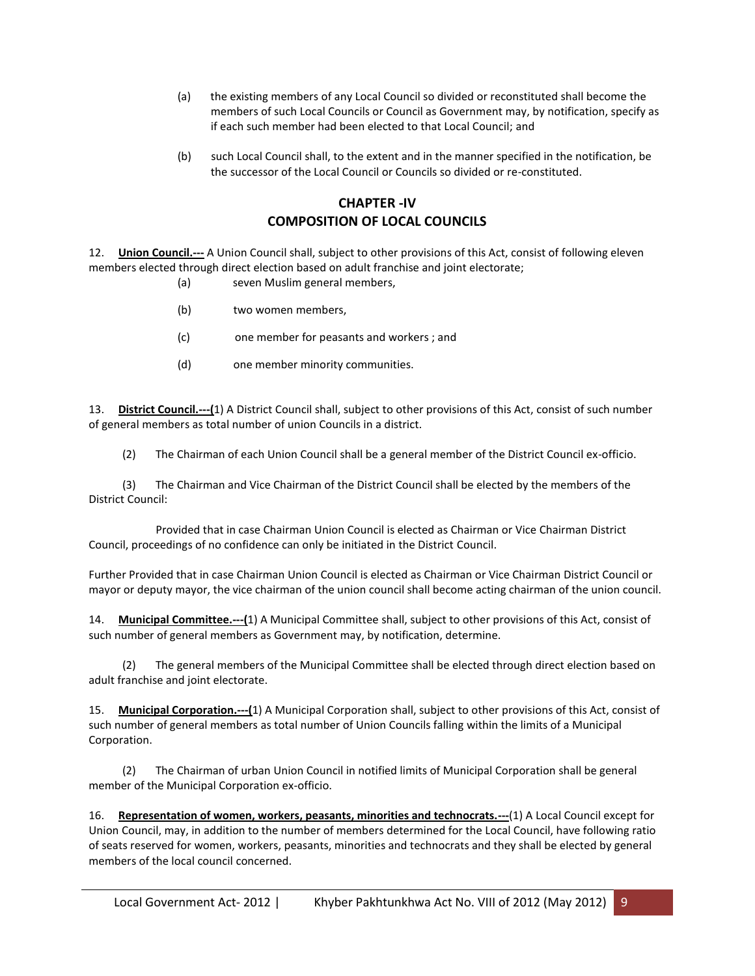- (a) the existing members of any Local Council so divided or reconstituted shall become the members of such Local Councils or Council as Government may, by notification, specify as if each such member had been elected to that Local Council; and
- (b) such Local Council shall, to the extent and in the manner specified in the notification, be the successor of the Local Council or Councils so divided or re-constituted.

# **CHAPTER -IV COMPOSITION OF LOCAL COUNCILS**

12. **Union Council.---** A Union Council shall, subject to other provisions of this Act, consist of following eleven members elected through direct election based on adult franchise and joint electorate;

- (a) seven Muslim general members,
- (b) two women members,
- (c) one member for peasants and workers ; and
- (d) one member minority communities.

13. **District Council.---(**1) A District Council shall, subject to other provisions of this Act, consist of such number of general members as total number of union Councils in a district.

(2) The Chairman of each Union Council shall be a general member of the District Council ex-officio.

 (3) The Chairman and Vice Chairman of the District Council shall be elected by the members of the District Council:

 Provided that in case Chairman Union Council is elected as Chairman or Vice Chairman District Council, proceedings of no confidence can only be initiated in the District Council.

Further Provided that in case Chairman Union Council is elected as Chairman or Vice Chairman District Council or mayor or deputy mayor, the vice chairman of the union council shall become acting chairman of the union council.

14. **Municipal Committee.---(**1) A Municipal Committee shall, subject to other provisions of this Act, consist of such number of general members as Government may, by notification, determine.

 (2) The general members of the Municipal Committee shall be elected through direct election based on adult franchise and joint electorate.

15. **Municipal Corporation.---(**1) A Municipal Corporation shall, subject to other provisions of this Act, consist of such number of general members as total number of Union Councils falling within the limits of a Municipal Corporation.

 (2) The Chairman of urban Union Council in notified limits of Municipal Corporation shall be general member of the Municipal Corporation ex-officio.

16. **Representation of women, workers, peasants, minorities and technocrats.---**(1) A Local Council except for Union Council, may, in addition to the number of members determined for the Local Council, have following ratio of seats reserved for women, workers, peasants, minorities and technocrats and they shall be elected by general members of the local council concerned.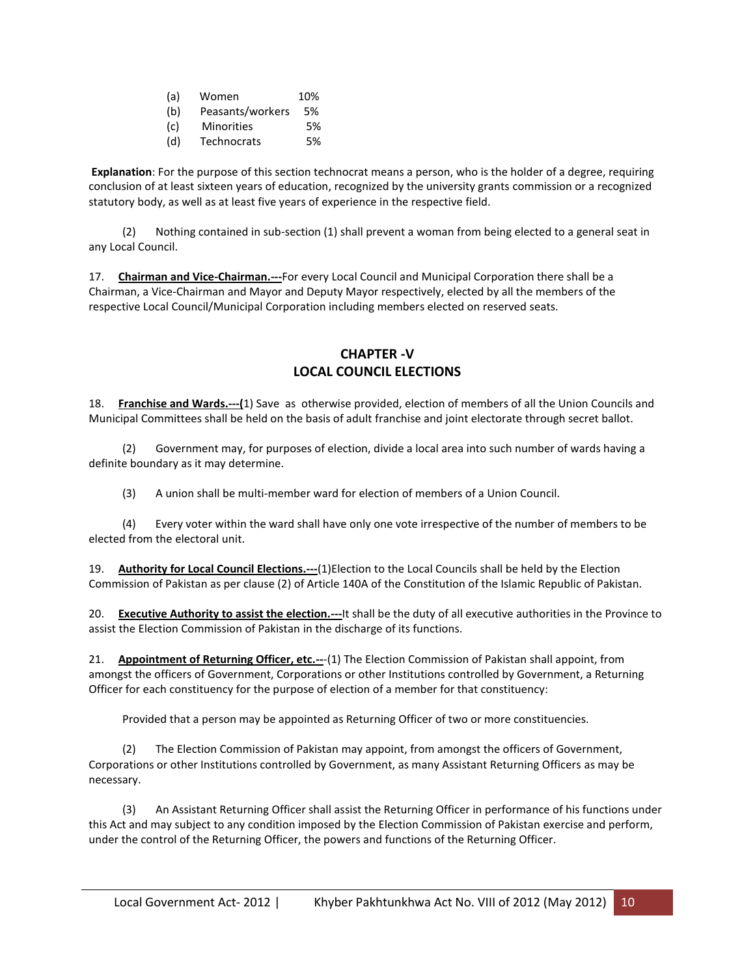- (a) Women 10%
- (b) Peasants/workers 5%
- (c) Minorities 5%
- (d) Technocrats 5%

**Explanation**: For the purpose of this section technocrat means a person, who is the holder of a degree, requiring conclusion of at least sixteen years of education, recognized by the university grants commission or a recognized statutory body, as well as at least five years of experience in the respective field.

 (2) Nothing contained in sub-section (1) shall prevent a woman from being elected to a general seat in any Local Council.

17. **Chairman and Vice-Chairman.---**For every Local Council and Municipal Corporation there shall be a Chairman, a Vice-Chairman and Mayor and Deputy Mayor respectively, elected by all the members of the respective Local Council/Municipal Corporation including members elected on reserved seats.

#### **CHAPTER -V LOCAL COUNCIL ELECTIONS**

18. **Franchise and Wards.---(**1) Save as otherwise provided, election of members of all the Union Councils and Municipal Committees shall be held on the basis of adult franchise and joint electorate through secret ballot.

 (2) Government may, for purposes of election, divide a local area into such number of wards having a definite boundary as it may determine.

(3) A union shall be multi-member ward for election of members of a Union Council.

 (4) Every voter within the ward shall have only one vote irrespective of the number of members to be elected from the electoral unit.

19. **Authority for Local Council Elections.---**(1)Election to the Local Councils shall be held by the Election Commission of Pakistan as per clause (2) of Article 140A of the Constitution of the Islamic Republic of Pakistan.

20. **Executive Authority to assist the election.---**It shall be the duty of all executive authorities in the Province to assist the Election Commission of Pakistan in the discharge of its functions.

21. **Appointment of Returning Officer, etc.--**-(1) The Election Commission of Pakistan shall appoint, from amongst the officers of Government, Corporations or other Institutions controlled by Government, a Returning Officer for each constituency for the purpose of election of a member for that constituency:

Provided that a person may be appointed as Returning Officer of two or more constituencies.

 (2) The Election Commission of Pakistan may appoint, from amongst the officers of Government, Corporations or other Institutions controlled by Government, as many Assistant Returning Officers as may be necessary.

 (3) An Assistant Returning Officer shall assist the Returning Officer in performance of his functions under this Act and may subject to any condition imposed by the Election Commission of Pakistan exercise and perform, under the control of the Returning Officer, the powers and functions of the Returning Officer.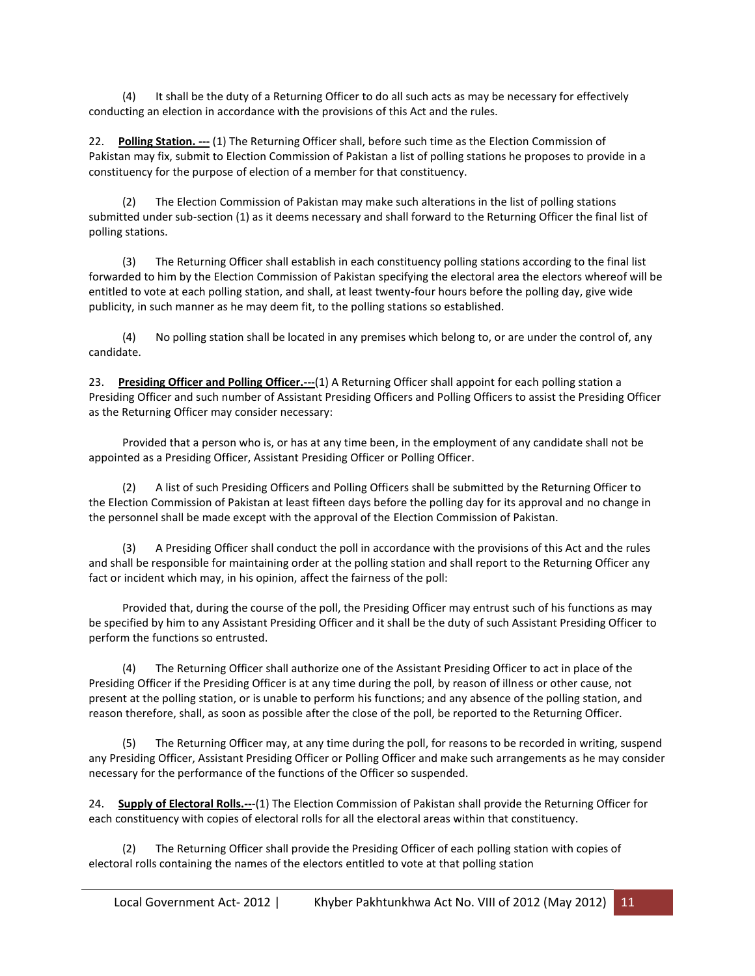(4) It shall be the duty of a Returning Officer to do all such acts as may be necessary for effectively conducting an election in accordance with the provisions of this Act and the rules.

22. **Polling Station.** --- (1) The Returning Officer shall, before such time as the Election Commission of Pakistan may fix, submit to Election Commission of Pakistan a list of polling stations he proposes to provide in a constituency for the purpose of election of a member for that constituency.

 (2) The Election Commission of Pakistan may make such alterations in the list of polling stations submitted under sub-section (1) as it deems necessary and shall forward to the Returning Officer the final list of polling stations.

 (3) The Returning Officer shall establish in each constituency polling stations according to the final list forwarded to him by the Election Commission of Pakistan specifying the electoral area the electors whereof will be entitled to vote at each polling station, and shall, at least twenty-four hours before the polling day, give wide publicity, in such manner as he may deem fit, to the polling stations so established.

 (4) No polling station shall be located in any premises which belong to, or are under the control of, any candidate.

23. **Presiding Officer and Polling Officer.---**(1) A Returning Officer shall appoint for each polling station a Presiding Officer and such number of Assistant Presiding Officers and Polling Officers to assist the Presiding Officer as the Returning Officer may consider necessary:

 Provided that a person who is, or has at any time been, in the employment of any candidate shall not be appointed as a Presiding Officer, Assistant Presiding Officer or Polling Officer.

 (2) A list of such Presiding Officers and Polling Officers shall be submitted by the Returning Officer to the Election Commission of Pakistan at least fifteen days before the polling day for its approval and no change in the personnel shall be made except with the approval of the Election Commission of Pakistan.

 (3) A Presiding Officer shall conduct the poll in accordance with the provisions of this Act and the rules and shall be responsible for maintaining order at the polling station and shall report to the Returning Officer any fact or incident which may, in his opinion, affect the fairness of the poll:

 Provided that, during the course of the poll, the Presiding Officer may entrust such of his functions as may be specified by him to any Assistant Presiding Officer and it shall be the duty of such Assistant Presiding Officer to perform the functions so entrusted.

 (4) The Returning Officer shall authorize one of the Assistant Presiding Officer to act in place of the Presiding Officer if the Presiding Officer is at any time during the poll, by reason of illness or other cause, not present at the polling station, or is unable to perform his functions; and any absence of the polling station, and reason therefore, shall, as soon as possible after the close of the poll, be reported to the Returning Officer.

 (5) The Returning Officer may, at any time during the poll, for reasons to be recorded in writing, suspend any Presiding Officer, Assistant Presiding Officer or Polling Officer and make such arrangements as he may consider necessary for the performance of the functions of the Officer so suspended.

24. **Supply of Electoral Rolls.--**-(1) The Election Commission of Pakistan shall provide the Returning Officer for each constituency with copies of electoral rolls for all the electoral areas within that constituency.

The Returning Officer shall provide the Presiding Officer of each polling station with copies of electoral rolls containing the names of the electors entitled to vote at that polling station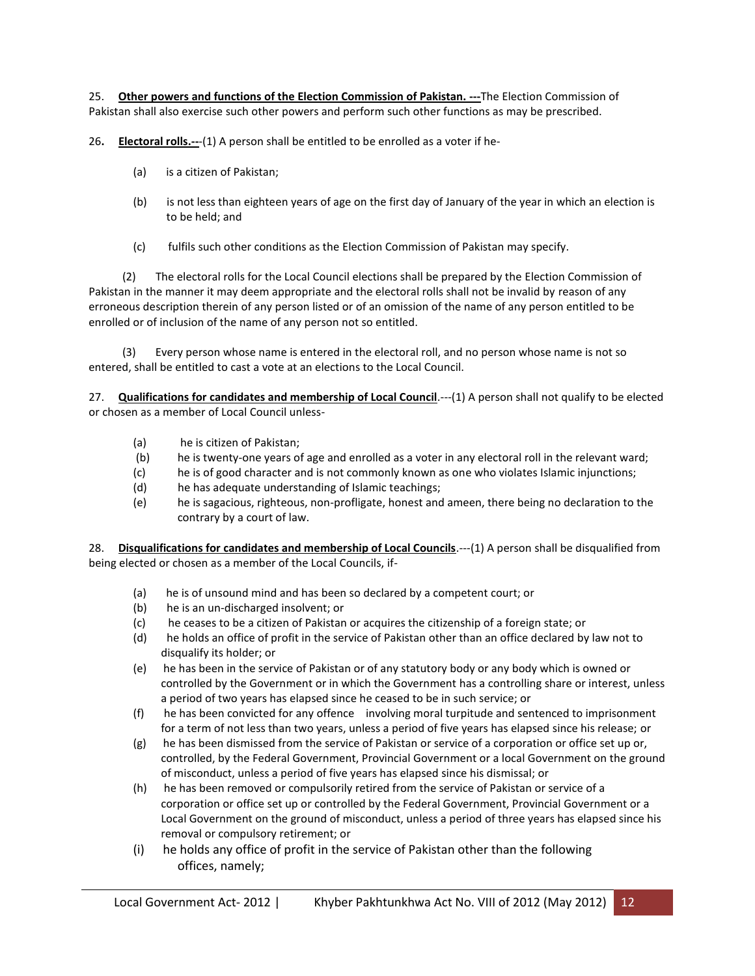25. **Other powers and functions of the Election Commission of Pakistan. ---**The Election Commission of Pakistan shall also exercise such other powers and perform such other functions as may be prescribed.

26**. Electoral rolls.--**-(1) A person shall be entitled to be enrolled as a voter if he-

- (a) is a citizen of Pakistan;
- (b) is not less than eighteen years of age on the first day of January of the year in which an election is to be held; and
- (c) fulfils such other conditions as the Election Commission of Pakistan may specify.

 (2) The electoral rolls for the Local Council elections shall be prepared by the Election Commission of Pakistan in the manner it may deem appropriate and the electoral rolls shall not be invalid by reason of any erroneous description therein of any person listed or of an omission of the name of any person entitled to be enrolled or of inclusion of the name of any person not so entitled.

 (3) Every person whose name is entered in the electoral roll, and no person whose name is not so entered, shall be entitled to cast a vote at an elections to the Local Council.

27. **Qualifications for candidates and membership of Local Council**.---(1) A person shall not qualify to be elected or chosen as a member of Local Council unless-

- (a) he is citizen of Pakistan;
- (b) he is twenty-one years of age and enrolled as a voter in any electoral roll in the relevant ward;
- (c) he is of good character and is not commonly known as one who violates Islamic injunctions;
- (d) he has adequate understanding of Islamic teachings;
- (e) he is sagacious, righteous, non-profligate, honest and ameen, there being no declaration to the contrary by a court of law.

28. **Disqualifications for candidates and membership of Local Councils**.---(1) A person shall be disqualified from being elected or chosen as a member of the Local Councils, if-

- (a) he is of unsound mind and has been so declared by a competent court; or
- (b) he is an un-discharged insolvent; or
- (c) he ceases to be a citizen of Pakistan or acquires the citizenship of a foreign state; or
- (d) he holds an office of profit in the service of Pakistan other than an office declared by law not to disqualify its holder; or
- (e) he has been in the service of Pakistan or of any statutory body or any body which is owned or controlled by the Government or in which the Government has a controlling share or interest, unless a period of two years has elapsed since he ceased to be in such service; or
- (f) he has been convicted for any offence involving moral turpitude and sentenced to imprisonment for a term of not less than two years, unless a period of five years has elapsed since his release; or
- (g) he has been dismissed from the service of Pakistan or service of a corporation or office set up or, controlled, by the Federal Government, Provincial Government or a local Government on the ground of misconduct, unless a period of five years has elapsed since his dismissal; or
- (h) he has been removed or compulsorily retired from the service of Pakistan or service of a corporation or office set up or controlled by the Federal Government, Provincial Government or a Local Government on the ground of misconduct, unless a period of three years has elapsed since his removal or compulsory retirement; or
- (i) he holds any office of profit in the service of Pakistan other than the following offices, namely;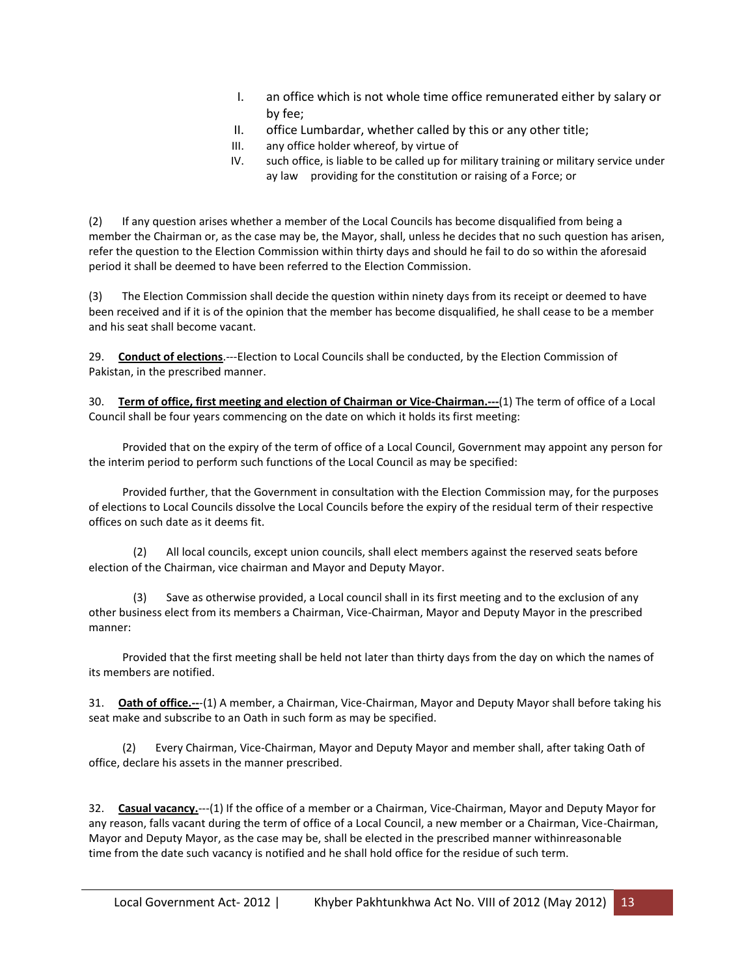- I. an office which is not whole time office remunerated either by salary or by fee;
- II. office Lumbardar, whether called by this or any other title;
- III. any office holder whereof, by virtue of
- IV. such office, is liable to be called up for military training or military service under ay law providing for the constitution or raising of a Force; or

(2) If any question arises whether a member of the Local Councils has become disqualified from being a member the Chairman or, as the case may be, the Mayor, shall, unless he decides that no such question has arisen, refer the question to the Election Commission within thirty days and should he fail to do so within the aforesaid period it shall be deemed to have been referred to the Election Commission.

(3) The Election Commission shall decide the question within ninety days from its receipt or deemed to have been received and if it is of the opinion that the member has become disqualified, he shall cease to be a member and his seat shall become vacant.

29. **Conduct of elections**.---Election to Local Councils shall be conducted, by the Election Commission of Pakistan, in the prescribed manner.

30. **Term of office, first meeting and election of Chairman or Vice-Chairman.---**(1) The term of office of a Local Council shall be four years commencing on the date on which it holds its first meeting:

 Provided that on the expiry of the term of office of a Local Council, Government may appoint any person for the interim period to perform such functions of the Local Council as may be specified:

 Provided further, that the Government in consultation with the Election Commission may, for the purposes of elections to Local Councils dissolve the Local Councils before the expiry of the residual term of their respective offices on such date as it deems fit.

(2) All local councils, except union councils, shall elect members against the reserved seats before election of the Chairman, vice chairman and Mayor and Deputy Mayor.

Save as otherwise provided, a Local council shall in its first meeting and to the exclusion of any other business elect from its members a Chairman, Vice-Chairman, Mayor and Deputy Mayor in the prescribed manner:

 Provided that the first meeting shall be held not later than thirty days from the day on which the names of its members are notified.

31. **Oath of office.--**-(1) A member, a Chairman, Vice-Chairman, Mayor and Deputy Mayor shall before taking his seat make and subscribe to an Oath in such form as may be specified.

 (2) Every Chairman, Vice-Chairman, Mayor and Deputy Mayor and member shall, after taking Oath of office, declare his assets in the manner prescribed.

32. **Casual vacancy.**---(1) If the office of a member or a Chairman, Vice-Chairman, Mayor and Deputy Mayor for any reason, falls vacant during the term of office of a Local Council, a new member or a Chairman, Vice-Chairman, Mayor and Deputy Mayor, as the case may be, shall be elected in the prescribed manner withinreasonable time from the date such vacancy is notified and he shall hold office for the residue of such term.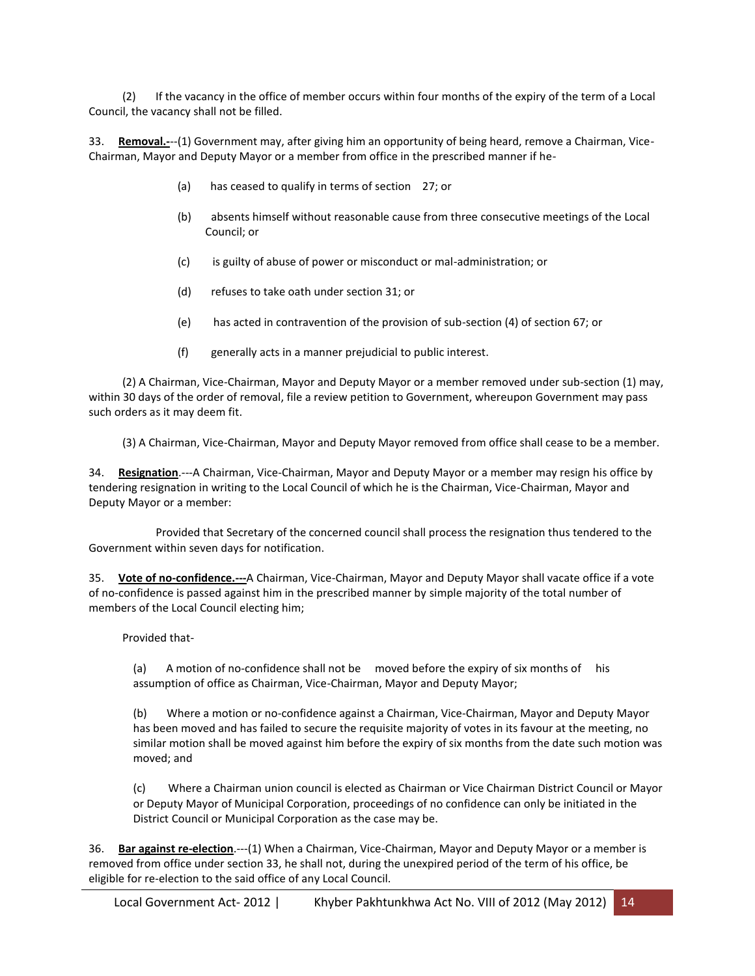(2) If the vacancy in the office of member occurs within four months of the expiry of the term of a Local Council, the vacancy shall not be filled.

33. **Removal.-**--(1) Government may, after giving him an opportunity of being heard, remove a Chairman, Vice-Chairman, Mayor and Deputy Mayor or a member from office in the prescribed manner if he-

- (a) has ceased to qualify in terms of section 27; or
- (b) absents himself without reasonable cause from three consecutive meetings of the Local Council; or
- (c) is guilty of abuse of power or misconduct or mal-administration; or
- (d) refuses to take oath under section 31; or
- (e) has acted in contravention of the provision of sub-section (4) of section 67; or
- (f) generally acts in a manner prejudicial to public interest.

 (2) A Chairman, Vice-Chairman, Mayor and Deputy Mayor or a member removed under sub-section (1) may, within 30 days of the order of removal, file a review petition to Government, whereupon Government may pass such orders as it may deem fit.

(3) A Chairman, Vice-Chairman, Mayor and Deputy Mayor removed from office shall cease to be a member.

34. **Resignation**.---A Chairman, Vice-Chairman, Mayor and Deputy Mayor or a member may resign his office by tendering resignation in writing to the Local Council of which he is the Chairman, Vice-Chairman, Mayor and Deputy Mayor or a member:

 Provided that Secretary of the concerned council shall process the resignation thus tendered to the Government within seven days for notification.

35. **Vote of no-confidence.---**A Chairman, Vice-Chairman, Mayor and Deputy Mayor shall vacate office if a vote of no-confidence is passed against him in the prescribed manner by simple majority of the total number of members of the Local Council electing him;

Provided that-

(a) A motion of no-confidence shall not be moved before the expiry of six months of his assumption of office as Chairman, Vice-Chairman, Mayor and Deputy Mayor;

(b) Where a motion or no-confidence against a Chairman, Vice-Chairman, Mayor and Deputy Mayor has been moved and has failed to secure the requisite majority of votes in its favour at the meeting, no similar motion shall be moved against him before the expiry of six months from the date such motion was moved; and

(c) Where a Chairman union council is elected as Chairman or Vice Chairman District Council or Mayor or Deputy Mayor of Municipal Corporation, proceedings of no confidence can only be initiated in the District Council or Municipal Corporation as the case may be.

36. **Bar against re-election**.---(1) When a Chairman, Vice-Chairman, Mayor and Deputy Mayor or a member is removed from office under section 33, he shall not, during the unexpired period of the term of his office, be eligible for re-election to the said office of any Local Council.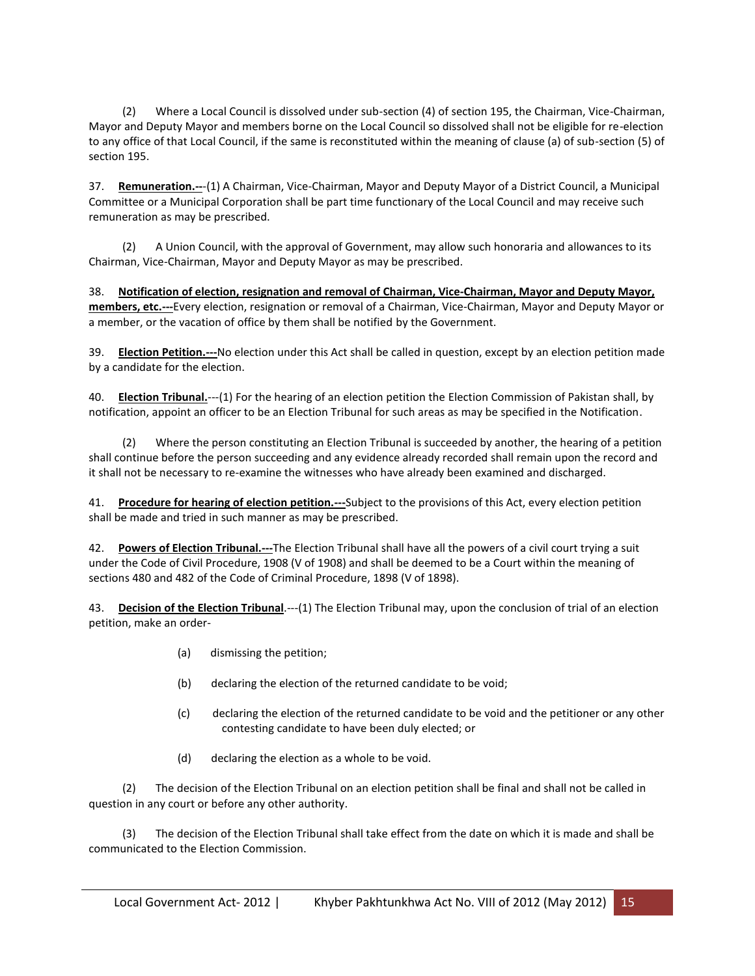(2) Where a Local Council is dissolved under sub-section (4) of section 195, the Chairman, Vice-Chairman, Mayor and Deputy Mayor and members borne on the Local Council so dissolved shall not be eligible for re-election to any office of that Local Council, if the same is reconstituted within the meaning of clause (a) of sub-section (5) of section 195.

37. **Remuneration.--**-(1) A Chairman, Vice-Chairman, Mayor and Deputy Mayor of a District Council, a Municipal Committee or a Municipal Corporation shall be part time functionary of the Local Council and may receive such remuneration as may be prescribed.

 (2) A Union Council, with the approval of Government, may allow such honoraria and allowances to its Chairman, Vice-Chairman, Mayor and Deputy Mayor as may be prescribed.

38. **Notification of election, resignation and removal of Chairman, Vice-Chairman, Mayor and Deputy Mayor, members, etc.---**Every election, resignation or removal of a Chairman, Vice-Chairman, Mayor and Deputy Mayor or a member, or the vacation of office by them shall be notified by the Government.

39. **Election Petition.---**No election under this Act shall be called in question, except by an election petition made by a candidate for the election.

40. **Election Tribunal.**---(1) For the hearing of an election petition the Election Commission of Pakistan shall, by notification, appoint an officer to be an Election Tribunal for such areas as may be specified in the Notification.

 (2) Where the person constituting an Election Tribunal is succeeded by another, the hearing of a petition shall continue before the person succeeding and any evidence already recorded shall remain upon the record and it shall not be necessary to re-examine the witnesses who have already been examined and discharged.

41. **Procedure for hearing of election petition.---**Subject to the provisions of this Act, every election petition shall be made and tried in such manner as may be prescribed.

42. **Powers of Election Tribunal.---**The Election Tribunal shall have all the powers of a civil court trying a suit under the Code of Civil Procedure, 1908 (V of 1908) and shall be deemed to be a Court within the meaning of sections 480 and 482 of the Code of Criminal Procedure, 1898 (V of 1898).

43. **Decision of the Election Tribunal**.---(1) The Election Tribunal may, upon the conclusion of trial of an election petition, make an order-

- (a) dismissing the petition;
- (b) declaring the election of the returned candidate to be void;
- (c) declaring the election of the returned candidate to be void and the petitioner or any other contesting candidate to have been duly elected; or
- (d) declaring the election as a whole to be void.

 (2) The decision of the Election Tribunal on an election petition shall be final and shall not be called in question in any court or before any other authority.

 (3) The decision of the Election Tribunal shall take effect from the date on which it is made and shall be communicated to the Election Commission.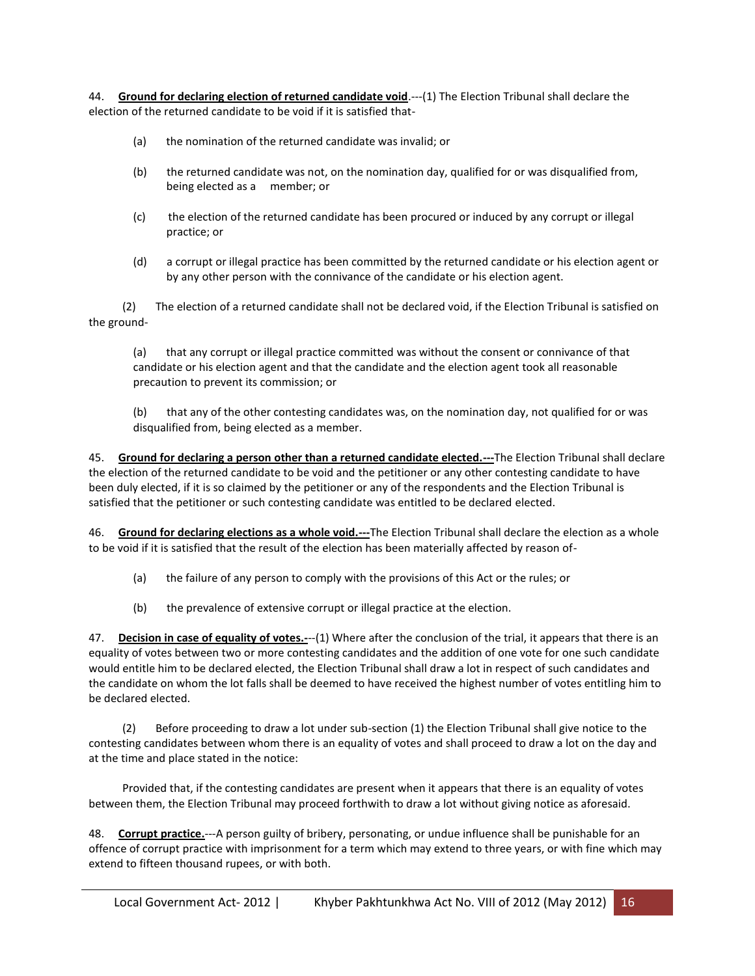44. **Ground for declaring election of returned candidate void**.---(1) The Election Tribunal shall declare the election of the returned candidate to be void if it is satisfied that-

- (a) the nomination of the returned candidate was invalid; or
- (b) the returned candidate was not, on the nomination day, qualified for or was disqualified from, being elected as a member; or
- (c) the election of the returned candidate has been procured or induced by any corrupt or illegal practice; or
- (d) a corrupt or illegal practice has been committed by the returned candidate or his election agent or by any other person with the connivance of the candidate or his election agent.

 (2) The election of a returned candidate shall not be declared void, if the Election Tribunal is satisfied on the ground-

(a) that any corrupt or illegal practice committed was without the consent or connivance of that candidate or his election agent and that the candidate and the election agent took all reasonable precaution to prevent its commission; or

(b) that any of the other contesting candidates was, on the nomination day, not qualified for or was disqualified from, being elected as a member.

45. **Ground for declaring a person other than a returned candidate elected.---**The Election Tribunal shall declare the election of the returned candidate to be void and the petitioner or any other contesting candidate to have been duly elected, if it is so claimed by the petitioner or any of the respondents and the Election Tribunal is satisfied that the petitioner or such contesting candidate was entitled to be declared elected.

46. **Ground for declaring elections as a whole void.---**The Election Tribunal shall declare the election as a whole to be void if it is satisfied that the result of the election has been materially affected by reason of-

- (a) the failure of any person to comply with the provisions of this Act or the rules; or
- (b) the prevalence of extensive corrupt or illegal practice at the election.

47. **Decision in case of equality of votes.-**--(1) Where after the conclusion of the trial, it appears that there is an equality of votes between two or more contesting candidates and the addition of one vote for one such candidate would entitle him to be declared elected, the Election Tribunal shall draw a lot in respect of such candidates and the candidate on whom the lot falls shall be deemed to have received the highest number of votes entitling him to be declared elected.

 (2) Before proceeding to draw a lot under sub-section (1) the Election Tribunal shall give notice to the contesting candidates between whom there is an equality of votes and shall proceed to draw a lot on the day and at the time and place stated in the notice:

 Provided that, if the contesting candidates are present when it appears that there is an equality of votes between them, the Election Tribunal may proceed forthwith to draw a lot without giving notice as aforesaid.

48. **Corrupt practice.**---A person guilty of bribery, personating, or undue influence shall be punishable for an offence of corrupt practice with imprisonment for a term which may extend to three years, or with fine which may extend to fifteen thousand rupees, or with both.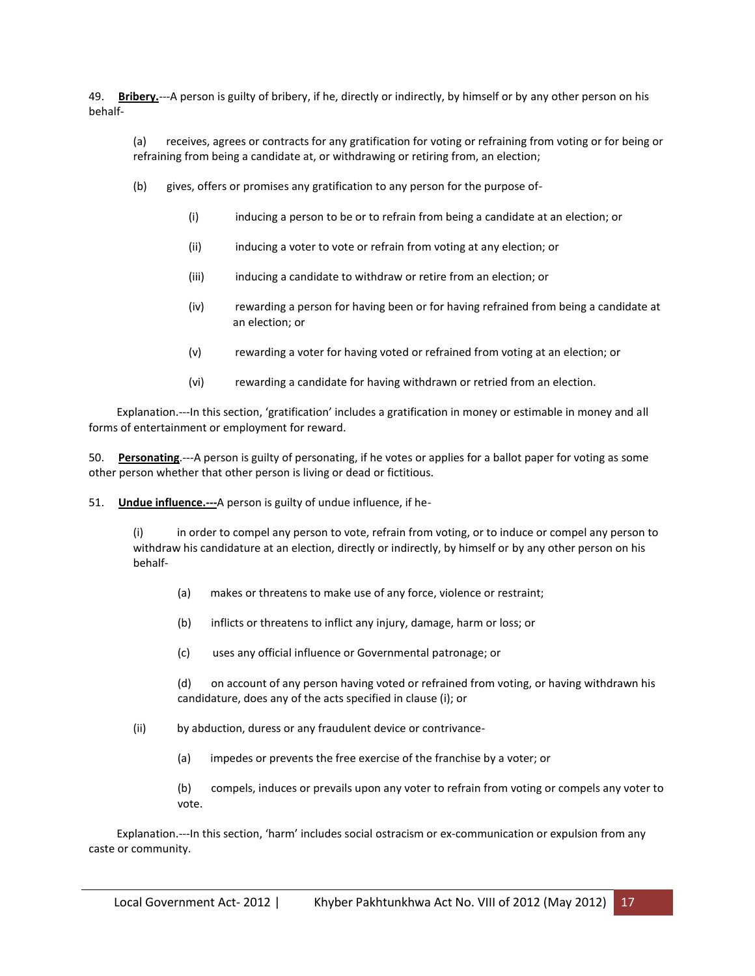49. **Bribery.**---A person is guilty of bribery, if he, directly or indirectly, by himself or by any other person on his behalf-

(a) receives, agrees or contracts for any gratification for voting or refraining from voting or for being or refraining from being a candidate at, or withdrawing or retiring from, an election;

- (b) gives, offers or promises any gratification to any person for the purpose of-
	- (i) inducing a person to be or to refrain from being a candidate at an election; or
	- (ii) inducing a voter to vote or refrain from voting at any election; or
	- (iii) inducing a candidate to withdraw or retire from an election; or
	- (iv) rewarding a person for having been or for having refrained from being a candidate at an election; or
	- (v) rewarding a voter for having voted or refrained from voting at an election; or
	- (vi) rewarding a candidate for having withdrawn or retried from an election.

 Explanation.---In this section, 'gratification' includes a gratification in money or estimable in money and all forms of entertainment or employment for reward.

50. **Personating**.---A person is guilty of personating, if he votes or applies for a ballot paper for voting as some other person whether that other person is living or dead or fictitious.

51. **Undue influence.---**A person is guilty of undue influence, if he-

(i) in order to compel any person to vote, refrain from voting, or to induce or compel any person to withdraw his candidature at an election, directly or indirectly, by himself or by any other person on his behalf-

- (a) makes or threatens to make use of any force, violence or restraint;
- (b) inflicts or threatens to inflict any injury, damage, harm or loss; or
- (c) uses any official influence or Governmental patronage; or

(d) on account of any person having voted or refrained from voting, or having withdrawn his candidature, does any of the acts specified in clause (i); or

- (ii) by abduction, duress or any fraudulent device or contrivance-
	- (a) impedes or prevents the free exercise of the franchise by a voter; or

(b) compels, induces or prevails upon any voter to refrain from voting or compels any voter to vote.

 Explanation.---In this section, 'harm' includes social ostracism or ex-communication or expulsion from any caste or community.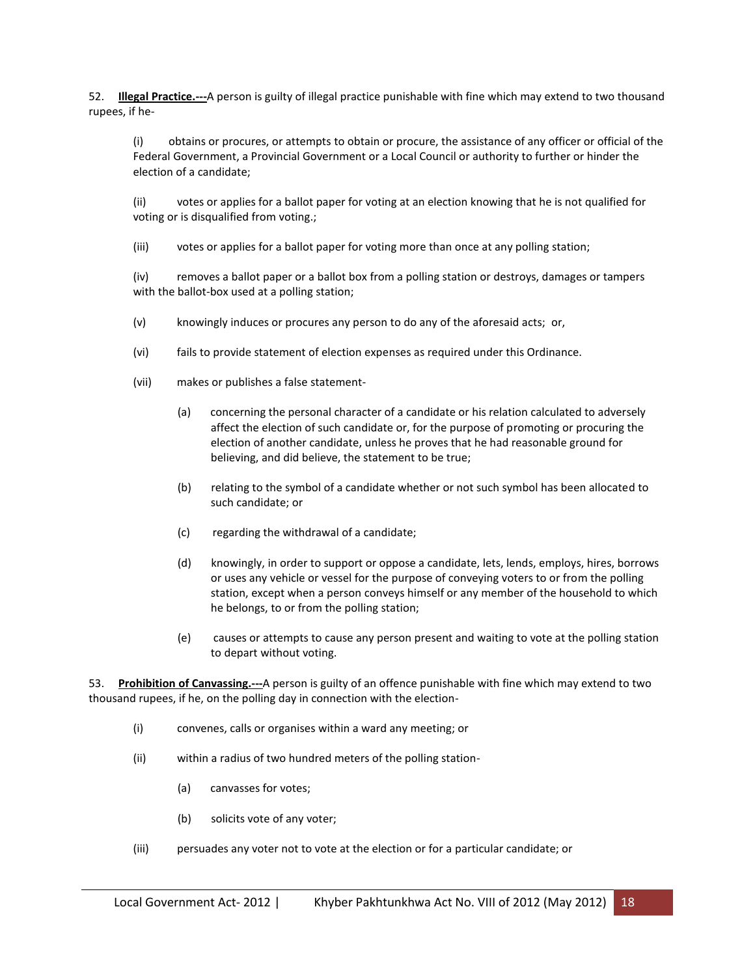52. **Illegal Practice.---**A person is guilty of illegal practice punishable with fine which may extend to two thousand rupees, if he-

(i) obtains or procures, or attempts to obtain or procure, the assistance of any officer or official of the Federal Government, a Provincial Government or a Local Council or authority to further or hinder the election of a candidate;

(ii) votes or applies for a ballot paper for voting at an election knowing that he is not qualified for voting or is disqualified from voting.;

(iii) votes or applies for a ballot paper for voting more than once at any polling station;

(iv) removes a ballot paper or a ballot box from a polling station or destroys, damages or tampers with the ballot-box used at a polling station;

- (v) knowingly induces or procures any person to do any of the aforesaid acts; or,
- (vi) fails to provide statement of election expenses as required under this Ordinance.
- (vii) makes or publishes a false statement-
	- (a) concerning the personal character of a candidate or his relation calculated to adversely affect the election of such candidate or, for the purpose of promoting or procuring the election of another candidate, unless he proves that he had reasonable ground for believing, and did believe, the statement to be true;
	- (b) relating to the symbol of a candidate whether or not such symbol has been allocated to such candidate; or
	- (c) regarding the withdrawal of a candidate;
	- (d) knowingly, in order to support or oppose a candidate, lets, lends, employs, hires, borrows or uses any vehicle or vessel for the purpose of conveying voters to or from the polling station, except when a person conveys himself or any member of the household to which he belongs, to or from the polling station;
	- (e) causes or attempts to cause any person present and waiting to vote at the polling station to depart without voting.

53. **Prohibition of Canvassing.---**A person is guilty of an offence punishable with fine which may extend to two thousand rupees, if he, on the polling day in connection with the election-

- (i) convenes, calls or organises within a ward any meeting; or
- (ii) within a radius of two hundred meters of the polling station-
	- (a) canvasses for votes;
	- (b) solicits vote of any voter;
- (iii) persuades any voter not to vote at the election or for a particular candidate; or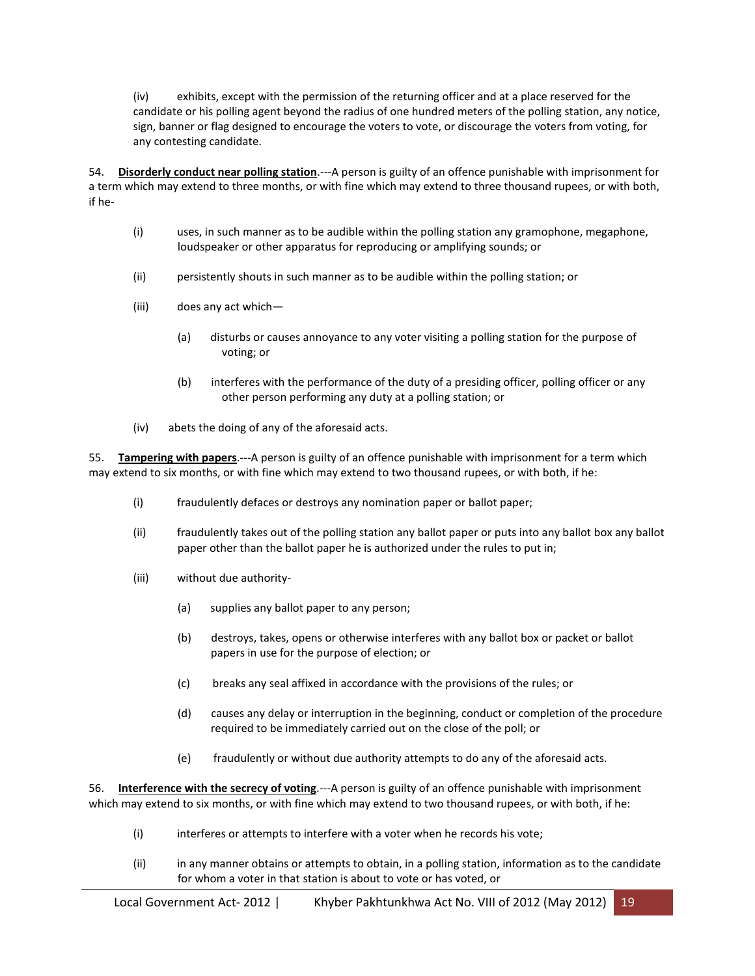(iv) exhibits, except with the permission of the returning officer and at a place reserved for the candidate or his polling agent beyond the radius of one hundred meters of the polling station, any notice, sign, banner or flag designed to encourage the voters to vote, or discourage the voters from voting, for any contesting candidate.

54. **Disorderly conduct near polling station**.---A person is guilty of an offence punishable with imprisonment for a term which may extend to three months, or with fine which may extend to three thousand rupees, or with both, if he-

- (i) uses, in such manner as to be audible within the polling station any gramophone, megaphone, loudspeaker or other apparatus for reproducing or amplifying sounds; or
- (ii) persistently shouts in such manner as to be audible within the polling station; or
- (iii) does any act which—
	- (a) disturbs or causes annoyance to any voter visiting a polling station for the purpose of voting; or
	- (b) interferes with the performance of the duty of a presiding officer, polling officer or any other person performing any duty at a polling station; or
- (iv) abets the doing of any of the aforesaid acts.

55. **Tampering with papers**.---A person is guilty of an offence punishable with imprisonment for a term which may extend to six months, or with fine which may extend to two thousand rupees, or with both, if he:

- (i) fraudulently defaces or destroys any nomination paper or ballot paper;
- (ii) fraudulently takes out of the polling station any ballot paper or puts into any ballot box any ballot paper other than the ballot paper he is authorized under the rules to put in;
- (iii) without due authority-
	- (a) supplies any ballot paper to any person;
	- (b) destroys, takes, opens or otherwise interferes with any ballot box or packet or ballot papers in use for the purpose of election; or
	- (c) breaks any seal affixed in accordance with the provisions of the rules; or
	- (d) causes any delay or interruption in the beginning, conduct or completion of the procedure required to be immediately carried out on the close of the poll; or
	- (e) fraudulently or without due authority attempts to do any of the aforesaid acts.

56. **Interference with the secrecy of voting**.---A person is guilty of an offence punishable with imprisonment which may extend to six months, or with fine which may extend to two thousand rupees, or with both, if he:

- (i) interferes or attempts to interfere with a voter when he records his vote;
- (ii) in any manner obtains or attempts to obtain, in a polling station, information as to the candidate for whom a voter in that station is about to vote or has voted, or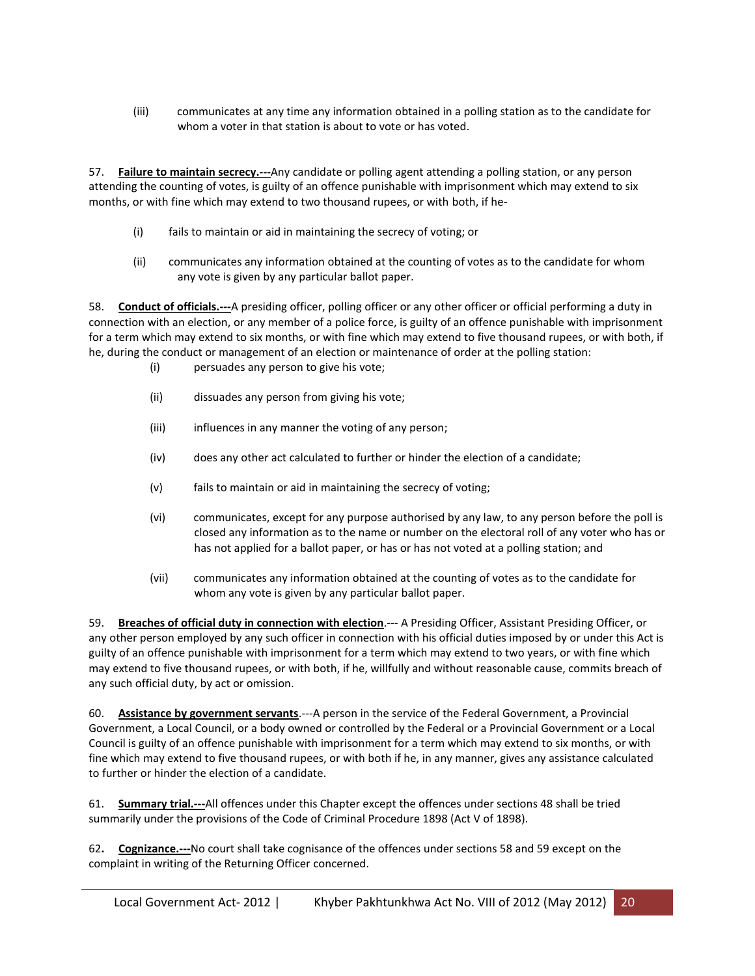(iii) communicates at any time any information obtained in a polling station as to the candidate for whom a voter in that station is about to vote or has voted.

57. **Failure to maintain secrecy.---**Any candidate or polling agent attending a polling station, or any person attending the counting of votes, is guilty of an offence punishable with imprisonment which may extend to six months, or with fine which may extend to two thousand rupees, or with both, if he-

- (i) fails to maintain or aid in maintaining the secrecy of voting; or
- (ii) communicates any information obtained at the counting of votes as to the candidate for whom any vote is given by any particular ballot paper.

58. **Conduct of officials.---**A presiding officer, polling officer or any other officer or official performing a duty in connection with an election, or any member of a police force, is guilty of an offence punishable with imprisonment for a term which may extend to six months, or with fine which may extend to five thousand rupees, or with both, if he, during the conduct or management of an election or maintenance of order at the polling station:

- (i) persuades any person to give his vote;
- (ii) dissuades any person from giving his vote;
- (iii) influences in any manner the voting of any person;
- (iv) does any other act calculated to further or hinder the election of a candidate;
- (v) fails to maintain or aid in maintaining the secrecy of voting;
- (vi) communicates, except for any purpose authorised by any law, to any person before the poll is closed any information as to the name or number on the electoral roll of any voter who has or has not applied for a ballot paper, or has or has not voted at a polling station; and
- (vii) communicates any information obtained at the counting of votes as to the candidate for whom any vote is given by any particular ballot paper.

59. **Breaches of official duty in connection with election**.--- A Presiding Officer, Assistant Presiding Officer, or any other person employed by any such officer in connection with his official duties imposed by or under this Act is guilty of an offence punishable with imprisonment for a term which may extend to two years, or with fine which may extend to five thousand rupees, or with both, if he, willfully and without reasonable cause, commits breach of any such official duty, by act or omission.

60. **Assistance by government servants**.---A person in the service of the Federal Government, a Provincial Government, a Local Council, or a body owned or controlled by the Federal or a Provincial Government or a Local Council is guilty of an offence punishable with imprisonment for a term which may extend to six months, or with fine which may extend to five thousand rupees, or with both if he, in any manner, gives any assistance calculated to further or hinder the election of a candidate.

61. **Summary trial.---**All offences under this Chapter except the offences under sections 48 shall be tried summarily under the provisions of the Code of Criminal Procedure 1898 (Act V of 1898).

62**. Cognizance.---**No court shall take cognisance of the offences under sections 58 and 59 except on the complaint in writing of the Returning Officer concerned.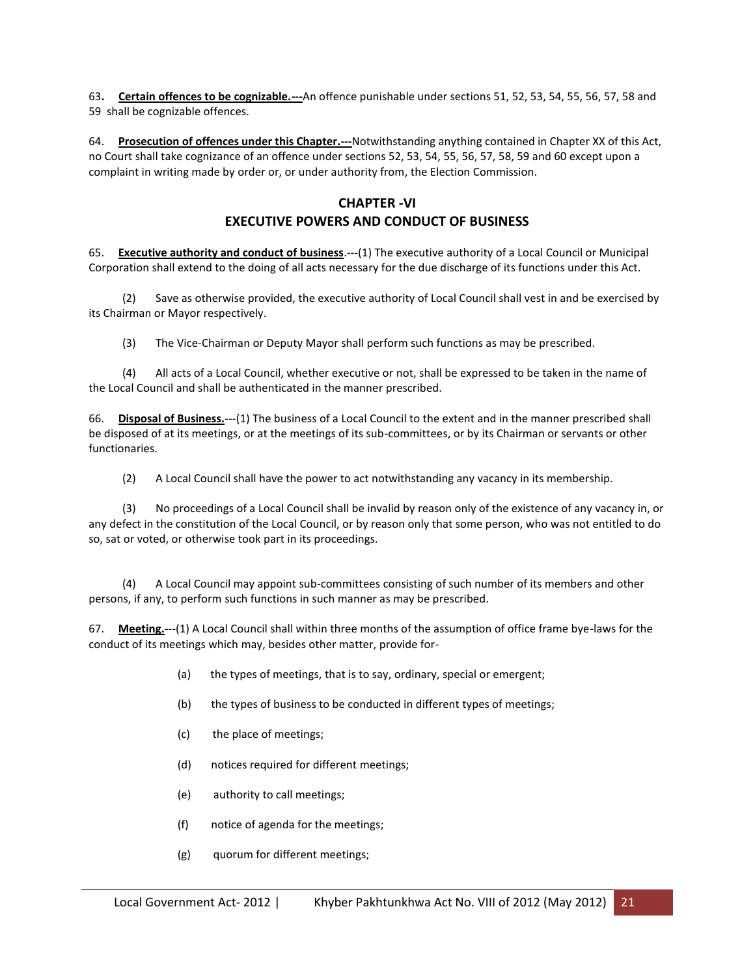63**. Certain offences to be cognizable.---**An offence punishable under sections 51, 52, 53, 54, 55, 56, 57, 58 and 59 shall be cognizable offences.

64. **Prosecution of offences under this Chapter.---**Notwithstanding anything contained in Chapter XX of this Act, no Court shall take cognizance of an offence under sections 52, 53, 54, 55, 56, 57, 58, 59 and 60 except upon a complaint in writing made by order or, or under authority from, the Election Commission.

## **CHAPTER -VI EXECUTIVE POWERS AND CONDUCT OF BUSINESS**

65. **Executive authority and conduct of business**.---(1) The executive authority of a Local Council or Municipal Corporation shall extend to the doing of all acts necessary for the due discharge of its functions under this Act.

 (2) Save as otherwise provided, the executive authority of Local Council shall vest in and be exercised by its Chairman or Mayor respectively.

(3) The Vice-Chairman or Deputy Mayor shall perform such functions as may be prescribed.

 (4) All acts of a Local Council, whether executive or not, shall be expressed to be taken in the name of the Local Council and shall be authenticated in the manner prescribed.

66. **Disposal of Business.**---(1) The business of a Local Council to the extent and in the manner prescribed shall be disposed of at its meetings, or at the meetings of its sub-committees, or by its Chairman or servants or other functionaries.

(2) A Local Council shall have the power to act notwithstanding any vacancy in its membership.

 (3) No proceedings of a Local Council shall be invalid by reason only of the existence of any vacancy in, or any defect in the constitution of the Local Council, or by reason only that some person, who was not entitled to do so, sat or voted, or otherwise took part in its proceedings.

 (4) A Local Council may appoint sub-committees consisting of such number of its members and other persons, if any, to perform such functions in such manner as may be prescribed.

67. **Meeting.**---(1) A Local Council shall within three months of the assumption of office frame bye-laws for the conduct of its meetings which may, besides other matter, provide for-

- (a) the types of meetings, that is to say, ordinary, special or emergent;
- (b) the types of business to be conducted in different types of meetings;
- (c) the place of meetings;
- (d) notices required for different meetings;
- (e) authority to call meetings;
- (f) notice of agenda for the meetings;
- (g) quorum for different meetings;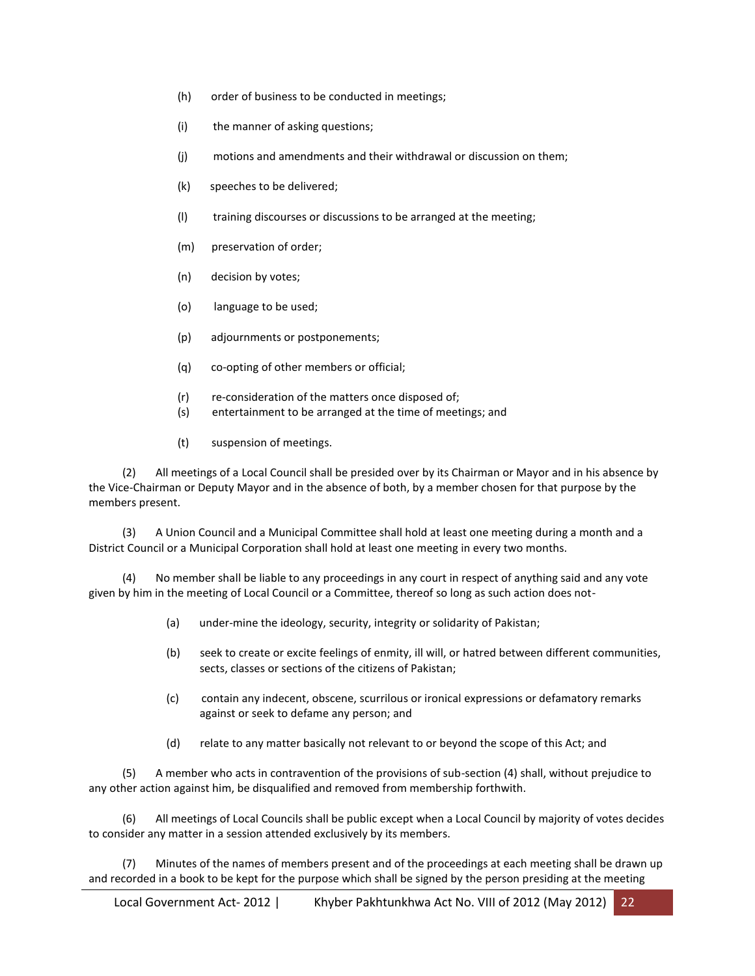- (h) order of business to be conducted in meetings;
- (i) the manner of asking questions;
- (j) motions and amendments and their withdrawal or discussion on them;
- (k) speeches to be delivered;
- (l) training discourses or discussions to be arranged at the meeting;
- (m) preservation of order;
- (n) decision by votes;
- (o) language to be used;
- (p) adjournments or postponements;
- (q) co-opting of other members or official;
- (r) re-consideration of the matters once disposed of;
- (s) entertainment to be arranged at the time of meetings; and
- (t) suspension of meetings.

 (2) All meetings of a Local Council shall be presided over by its Chairman or Mayor and in his absence by the Vice-Chairman or Deputy Mayor and in the absence of both, by a member chosen for that purpose by the members present.

 (3) A Union Council and a Municipal Committee shall hold at least one meeting during a month and a District Council or a Municipal Corporation shall hold at least one meeting in every two months.

 (4) No member shall be liable to any proceedings in any court in respect of anything said and any vote given by him in the meeting of Local Council or a Committee, thereof so long as such action does not-

- (a) under-mine the ideology, security, integrity or solidarity of Pakistan;
- (b) seek to create or excite feelings of enmity, ill will, or hatred between different communities, sects, classes or sections of the citizens of Pakistan;
- (c) contain any indecent, obscene, scurrilous or ironical expressions or defamatory remarks against or seek to defame any person; and
- (d) relate to any matter basically not relevant to or beyond the scope of this Act; and

 (5) A member who acts in contravention of the provisions of sub-section (4) shall, without prejudice to any other action against him, be disqualified and removed from membership forthwith.

 (6) All meetings of Local Councils shall be public except when a Local Council by majority of votes decides to consider any matter in a session attended exclusively by its members.

 (7) Minutes of the names of members present and of the proceedings at each meeting shall be drawn up and recorded in a book to be kept for the purpose which shall be signed by the person presiding at the meeting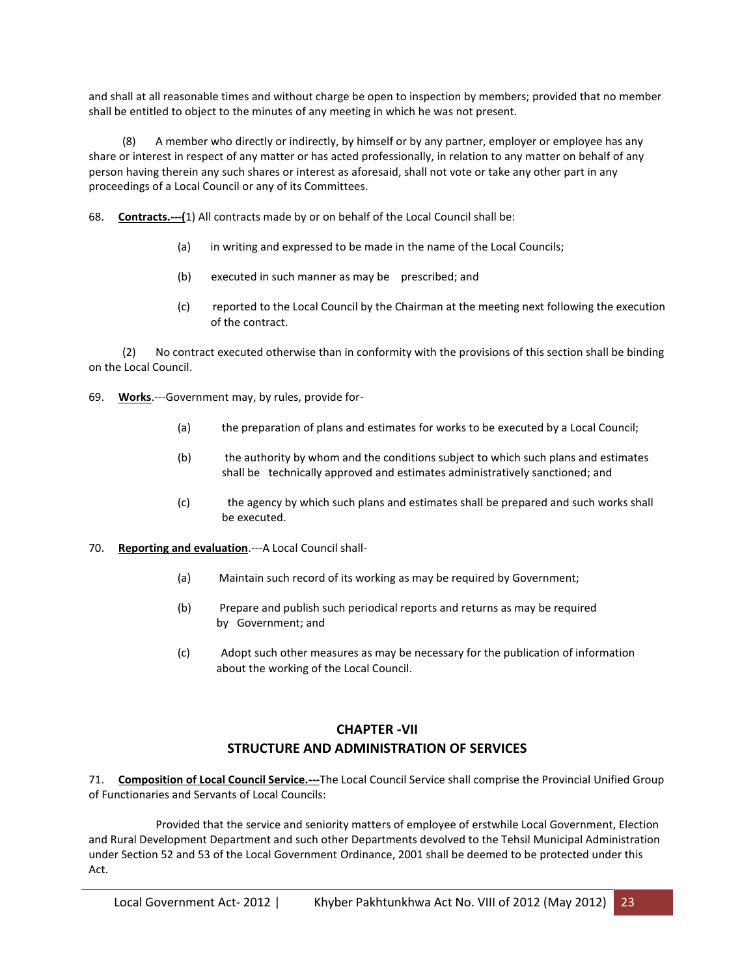and shall at all reasonable times and without charge be open to inspection by members; provided that no member shall be entitled to object to the minutes of any meeting in which he was not present.

 (8) A member who directly or indirectly, by himself or by any partner, employer or employee has any share or interest in respect of any matter or has acted professionally, in relation to any matter on behalf of any person having therein any such shares or interest as aforesaid, shall not vote or take any other part in any proceedings of a Local Council or any of its Committees.

- 68. **Contracts.---(**1) All contracts made by or on behalf of the Local Council shall be:
	- (a) in writing and expressed to be made in the name of the Local Councils;
	- (b) executed in such manner as may be prescribed; and
	- (c) reported to the Local Council by the Chairman at the meeting next following the execution of the contract.

 (2) No contract executed otherwise than in conformity with the provisions of this section shall be binding on the Local Council.

69. **Works**.---Government may, by rules, provide for-

- (a) the preparation of plans and estimates for works to be executed by a Local Council;
- (b) the authority by whom and the conditions subject to which such plans and estimates shall be technically approved and estimates administratively sanctioned; and
- (c) the agency by which such plans and estimates shall be prepared and such works shall be executed.
- 70. **Reporting and evaluation**.---A Local Council shall-
	- (a) Maintain such record of its working as may be required by Government;
	- (b) Prepare and publish such periodical reports and returns as may be required by Government; and
	- (c) Adopt such other measures as may be necessary for the publication of information about the working of the Local Council.

# **CHAPTER -VII STRUCTURE AND ADMINISTRATION OF SERVICES**

71. **Composition of Local Council Service.---**The Local Council Service shall comprise the Provincial Unified Group of Functionaries and Servants of Local Councils:

 Provided that the service and seniority matters of employee of erstwhile Local Government, Election and Rural Development Department and such other Departments devolved to the Tehsil Municipal Administration under Section 52 and 53 of the Local Government Ordinance, 2001 shall be deemed to be protected under this Act.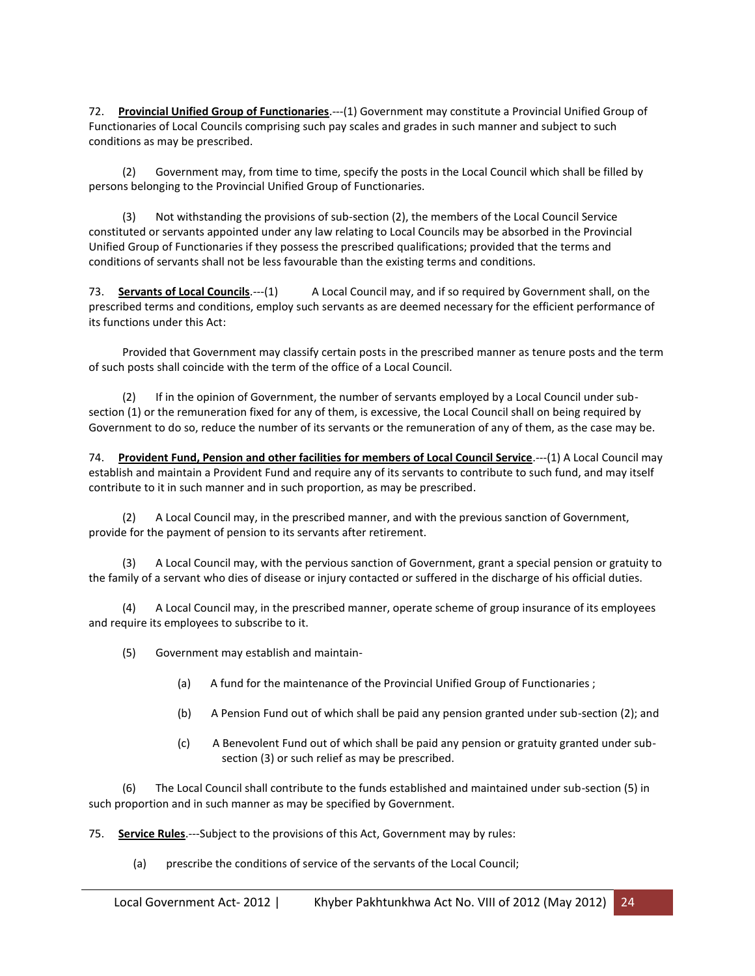72. **Provincial Unified Group of Functionaries**.---(1) Government may constitute a Provincial Unified Group of Functionaries of Local Councils comprising such pay scales and grades in such manner and subject to such conditions as may be prescribed.

 (2) Government may, from time to time, specify the posts in the Local Council which shall be filled by persons belonging to the Provincial Unified Group of Functionaries.

 (3) Not withstanding the provisions of sub-section (2), the members of the Local Council Service constituted or servants appointed under any law relating to Local Councils may be absorbed in the Provincial Unified Group of Functionaries if they possess the prescribed qualifications; provided that the terms and conditions of servants shall not be less favourable than the existing terms and conditions.

73. **Servants of Local Councils**.---(1) A Local Council may, and if so required by Government shall, on the prescribed terms and conditions, employ such servants as are deemed necessary for the efficient performance of its functions under this Act:

 Provided that Government may classify certain posts in the prescribed manner as tenure posts and the term of such posts shall coincide with the term of the office of a Local Council.

 (2) If in the opinion of Government, the number of servants employed by a Local Council under subsection (1) or the remuneration fixed for any of them, is excessive, the Local Council shall on being required by Government to do so, reduce the number of its servants or the remuneration of any of them, as the case may be.

74. **Provident Fund, Pension and other facilities for members of Local Council Service**.---(1) A Local Council may establish and maintain a Provident Fund and require any of its servants to contribute to such fund, and may itself contribute to it in such manner and in such proportion, as may be prescribed.

 (2) A Local Council may, in the prescribed manner, and with the previous sanction of Government, provide for the payment of pension to its servants after retirement.

 (3) A Local Council may, with the pervious sanction of Government, grant a special pension or gratuity to the family of a servant who dies of disease or injury contacted or suffered in the discharge of his official duties.

 (4) A Local Council may, in the prescribed manner, operate scheme of group insurance of its employees and require its employees to subscribe to it.

(5) Government may establish and maintain-

- (a) A fund for the maintenance of the Provincial Unified Group of Functionaries ;
- (b) A Pension Fund out of which shall be paid any pension granted under sub-section (2); and
- (c) A Benevolent Fund out of which shall be paid any pension or gratuity granted under subsection (3) or such relief as may be prescribed.

 (6) The Local Council shall contribute to the funds established and maintained under sub-section (5) in such proportion and in such manner as may be specified by Government.

75. **Service Rules**.---Subject to the provisions of this Act, Government may by rules:

(a) prescribe the conditions of service of the servants of the Local Council;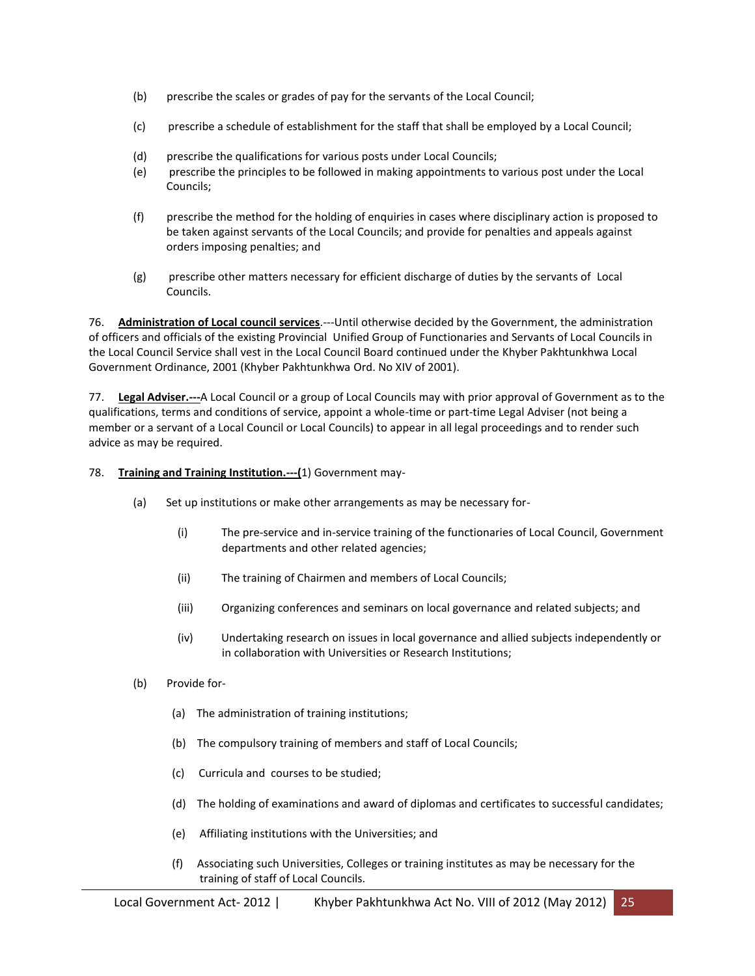- (b) prescribe the scales or grades of pay for the servants of the Local Council;
- (c) prescribe a schedule of establishment for the staff that shall be employed by a Local Council;
- (d) prescribe the qualifications for various posts under Local Councils;
- (e) prescribe the principles to be followed in making appointments to various post under the Local Councils;
- (f) prescribe the method for the holding of enquiries in cases where disciplinary action is proposed to be taken against servants of the Local Councils; and provide for penalties and appeals against orders imposing penalties; and
- (g) prescribe other matters necessary for efficient discharge of duties by the servants of Local Councils.

76. **Administration of Local council services**.---Until otherwise decided by the Government, the administration of officers and officials of the existing Provincial Unified Group of Functionaries and Servants of Local Councils in the Local Council Service shall vest in the Local Council Board continued under the Khyber Pakhtunkhwa Local Government Ordinance, 2001 (Khyber Pakhtunkhwa Ord. No XIV of 2001).

77. **Legal Adviser.---**A Local Council or a group of Local Councils may with prior approval of Government as to the qualifications, terms and conditions of service, appoint a whole-time or part-time Legal Adviser (not being a member or a servant of a Local Council or Local Councils) to appear in all legal proceedings and to render such advice as may be required.

- 78. **Training and Training Institution.---(**1) Government may-
	- (a) Set up institutions or make other arrangements as may be necessary for-
		- (i) The pre-service and in-service training of the functionaries of Local Council, Government departments and other related agencies;
		- (ii) The training of Chairmen and members of Local Councils;
		- (iii) Organizing conferences and seminars on local governance and related subjects; and
		- (iv) Undertaking research on issues in local governance and allied subjects independently or in collaboration with Universities or Research Institutions;
	- (b) Provide for-
		- (a) The administration of training institutions;
		- (b) The compulsory training of members and staff of Local Councils;
		- (c) Curricula and courses to be studied;
		- (d) The holding of examinations and award of diplomas and certificates to successful candidates;
		- (e) Affiliating institutions with the Universities; and
		- (f) Associating such Universities, Colleges or training institutes as may be necessary for the training of staff of Local Councils.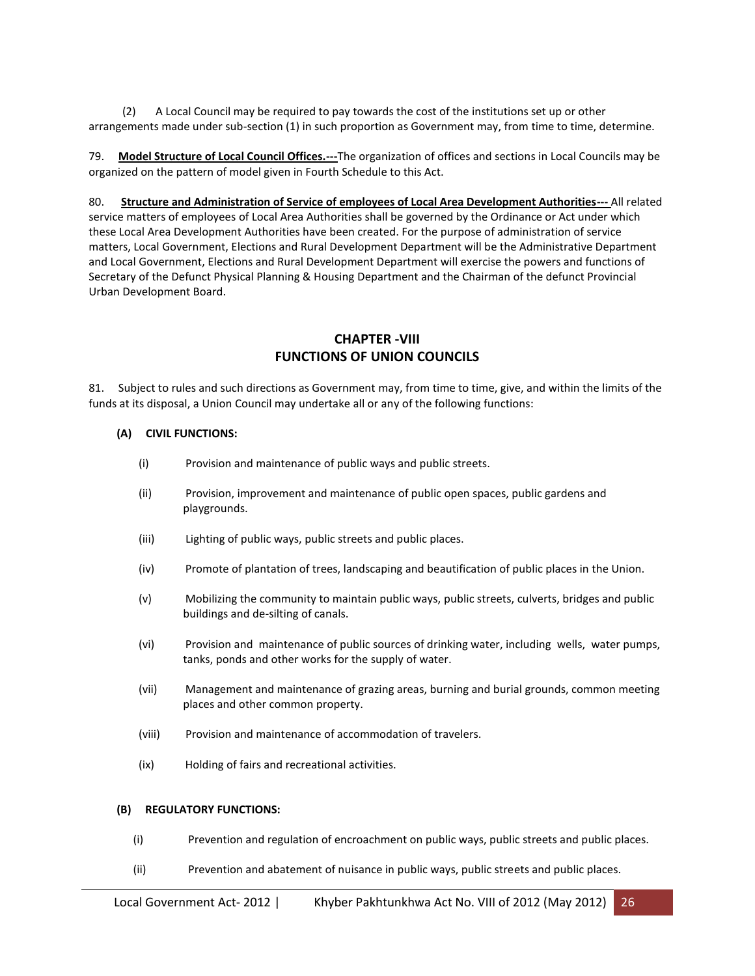(2) A Local Council may be required to pay towards the cost of the institutions set up or other arrangements made under sub-section (1) in such proportion as Government may, from time to time, determine.

79. **Model Structure of Local Council Offices.---**The organization of offices and sections in Local Councils may be organized on the pattern of model given in Fourth Schedule to this Act.

80. **Structure and Administration of Service of employees of Local Area Development Authorities---** All related service matters of employees of Local Area Authorities shall be governed by the Ordinance or Act under which these Local Area Development Authorities have been created. For the purpose of administration of service matters, Local Government, Elections and Rural Development Department will be the Administrative Department and Local Government, Elections and Rural Development Department will exercise the powers and functions of Secretary of the Defunct Physical Planning & Housing Department and the Chairman of the defunct Provincial Urban Development Board.

#### **CHAPTER -VIII FUNCTIONS OF UNION COUNCILS**

81. Subject to rules and such directions as Government may, from time to time, give, and within the limits of the funds at its disposal, a Union Council may undertake all or any of the following functions:

#### **(A) CIVIL FUNCTIONS:**

- (i) Provision and maintenance of public ways and public streets.
- (ii) Provision, improvement and maintenance of public open spaces, public gardens and playgrounds.
- (iii) Lighting of public ways, public streets and public places.
- (iv) Promote of plantation of trees, landscaping and beautification of public places in the Union.
- (v) Mobilizing the community to maintain public ways, public streets, culverts, bridges and public buildings and de-silting of canals.
- (vi) Provision and maintenance of public sources of drinking water, including wells, water pumps, tanks, ponds and other works for the supply of water.
- (vii) Management and maintenance of grazing areas, burning and burial grounds, common meeting places and other common property.
- (viii) Provision and maintenance of accommodation of travelers.
- (ix) Holding of fairs and recreational activities.

#### **(B) REGULATORY FUNCTIONS:**

- (i) Prevention and regulation of encroachment on public ways, public streets and public places.
- (ii) Prevention and abatement of nuisance in public ways, public streets and public places.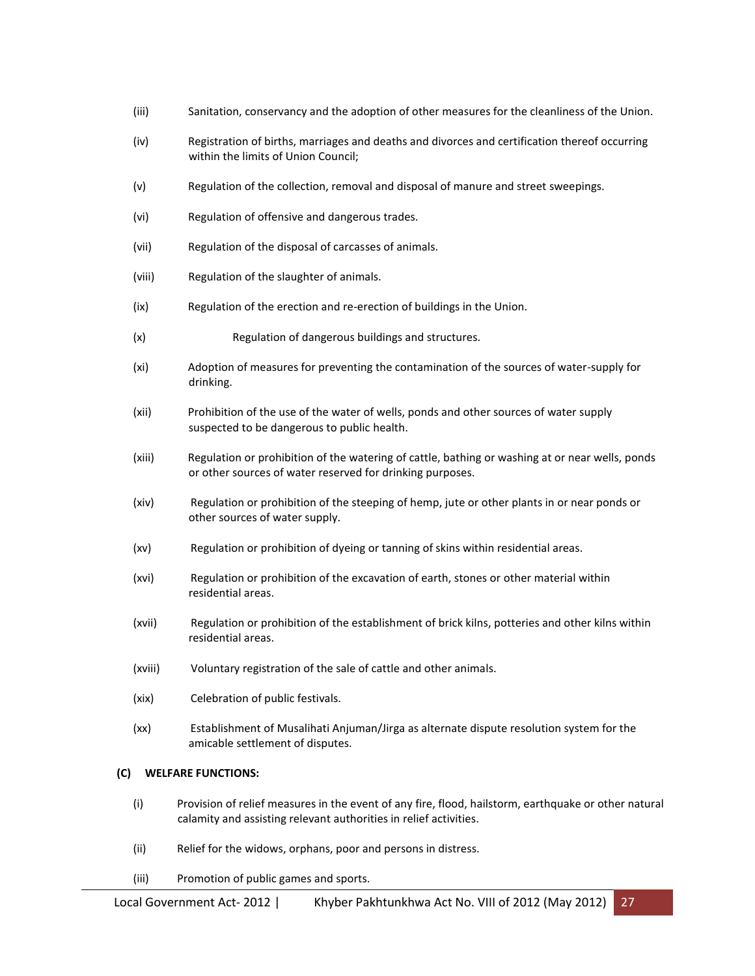- (iii) Sanitation, conservancy and the adoption of other measures for the cleanliness of the Union.
- (iv) Registration of births, marriages and deaths and divorces and certification thereof occurring within the limits of Union Council;
- (v) Regulation of the collection, removal and disposal of manure and street sweepings.
- (vi) Regulation of offensive and dangerous trades.
- (vii) Regulation of the disposal of carcasses of animals.
- (viii) Regulation of the slaughter of animals.
- (ix) Regulation of the erection and re-erection of buildings in the Union.
- (x) Regulation of dangerous buildings and structures.
- (xi) Adoption of measures for preventing the contamination of the sources of water-supply for drinking.
- (xii) Prohibition of the use of the water of wells, ponds and other sources of water supply suspected to be dangerous to public health.
- (xiii) Regulation or prohibition of the watering of cattle, bathing or washing at or near wells, ponds or other sources of water reserved for drinking purposes.
- (xiv) Regulation or prohibition of the steeping of hemp, jute or other plants in or near ponds or other sources of water supply.
- (xv) Regulation or prohibition of dyeing or tanning of skins within residential areas.
- (xvi) Regulation or prohibition of the excavation of earth, stones or other material within residential areas.
- (xvii) Regulation or prohibition of the establishment of brick kilns, potteries and other kilns within residential areas.
- (xviii) Voluntary registration of the sale of cattle and other animals.
- (xix) Celebration of public festivals.
- (xx) Establishment of Musalihati Anjuman/Jirga as alternate dispute resolution system for the amicable settlement of disputes.

#### **(C) WELFARE FUNCTIONS:**

- (i) Provision of relief measures in the event of any fire, flood, hailstorm, earthquake or other natural calamity and assisting relevant authorities in relief activities.
- (ii) Relief for the widows, orphans, poor and persons in distress.
- (iii) Promotion of public games and sports.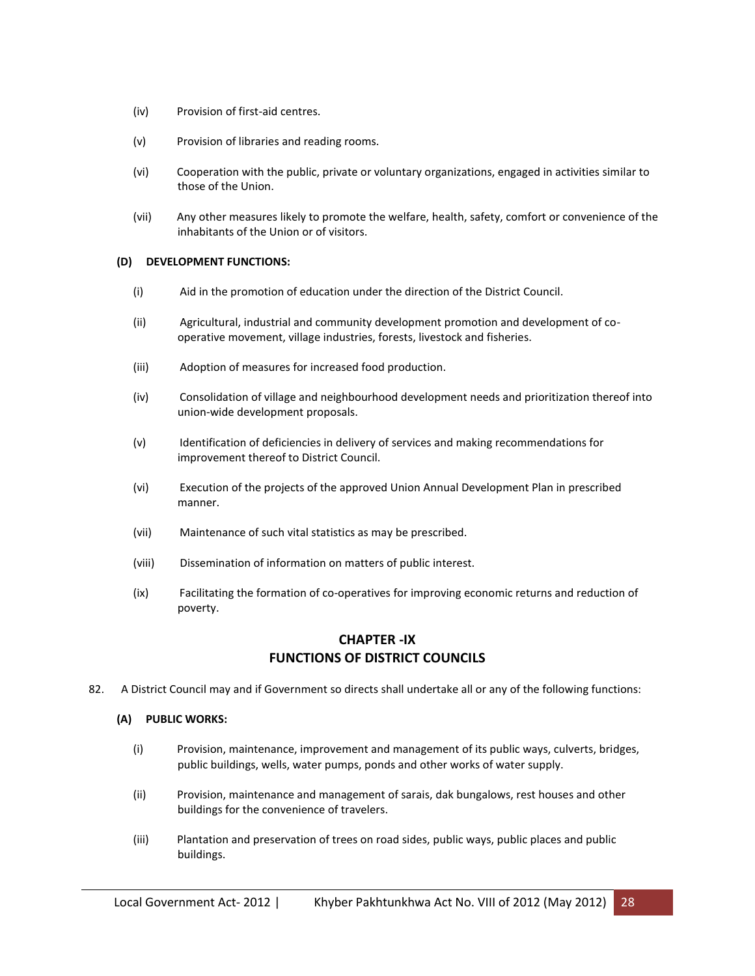- (iv) Provision of first-aid centres.
- (v) Provision of libraries and reading rooms.
- (vi) Cooperation with the public, private or voluntary organizations, engaged in activities similar to those of the Union.
- (vii) Any other measures likely to promote the welfare, health, safety, comfort or convenience of the inhabitants of the Union or of visitors.

#### **(D) DEVELOPMENT FUNCTIONS:**

- (i) Aid in the promotion of education under the direction of the District Council.
- (ii) Agricultural, industrial and community development promotion and development of cooperative movement, village industries, forests, livestock and fisheries.
- (iii) Adoption of measures for increased food production.
- (iv) Consolidation of village and neighbourhood development needs and prioritization thereof into union-wide development proposals.
- (v) Identification of deficiencies in delivery of services and making recommendations for improvement thereof to District Council.
- (vi) Execution of the projects of the approved Union Annual Development Plan in prescribed manner.
- (vii) Maintenance of such vital statistics as may be prescribed.
- (viii) Dissemination of information on matters of public interest.
- (ix) Facilitating the formation of co-operatives for improving economic returns and reduction of poverty.

### **CHAPTER -IX FUNCTIONS OF DISTRICT COUNCILS**

82. A District Council may and if Government so directs shall undertake all or any of the following functions:

#### **(A) PUBLIC WORKS:**

- (i) Provision, maintenance, improvement and management of its public ways, culverts, bridges, public buildings, wells, water pumps, ponds and other works of water supply.
- (ii) Provision, maintenance and management of sarais, dak bungalows, rest houses and other buildings for the convenience of travelers.
- (iii) Plantation and preservation of trees on road sides, public ways, public places and public buildings.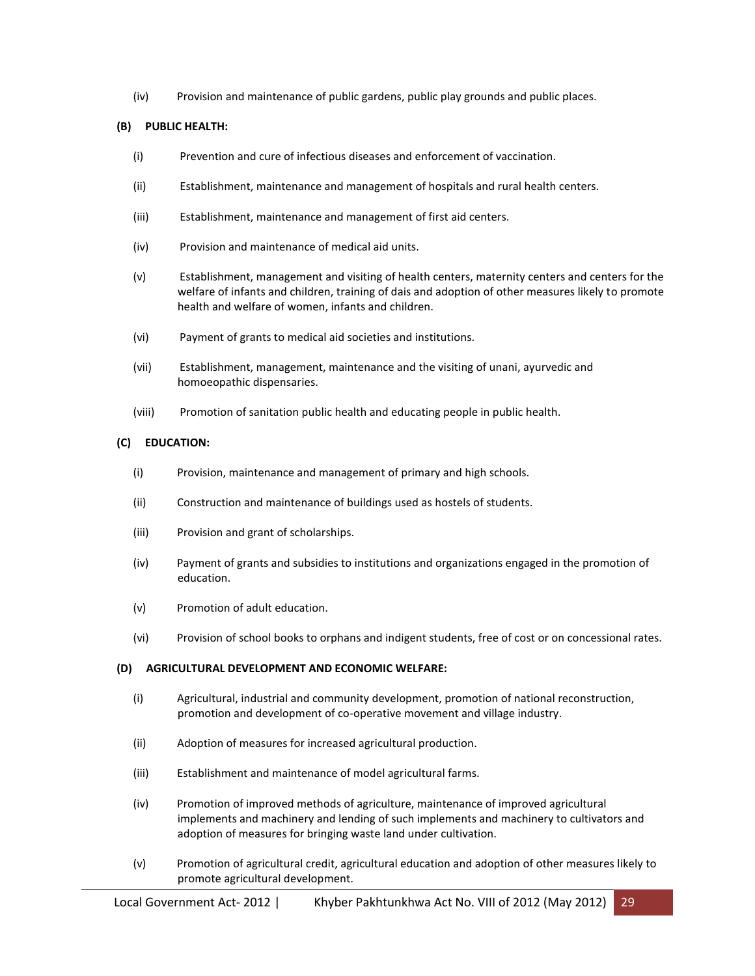(iv) Provision and maintenance of public gardens, public play grounds and public places.

#### **(B) PUBLIC HEALTH:**

- (i) Prevention and cure of infectious diseases and enforcement of vaccination.
- (ii) Establishment, maintenance and management of hospitals and rural health centers.
- (iii) Establishment, maintenance and management of first aid centers.
- (iv) Provision and maintenance of medical aid units.
- (v) Establishment, management and visiting of health centers, maternity centers and centers for the welfare of infants and children, training of dais and adoption of other measures likely to promote health and welfare of women, infants and children.
- (vi) Payment of grants to medical aid societies and institutions.
- (vii) Establishment, management, maintenance and the visiting of unani, ayurvedic and homoeopathic dispensaries.
- (viii) Promotion of sanitation public health and educating people in public health.

#### **(C) EDUCATION:**

- (i) Provision, maintenance and management of primary and high schools.
- (ii) Construction and maintenance of buildings used as hostels of students.
- (iii) Provision and grant of scholarships.
- (iv) Payment of grants and subsidies to institutions and organizations engaged in the promotion of education.
- (v) Promotion of adult education.
- (vi) Provision of school books to orphans and indigent students, free of cost or on concessional rates.

#### **(D) AGRICULTURAL DEVELOPMENT AND ECONOMIC WELFARE:**

- (i) Agricultural, industrial and community development, promotion of national reconstruction, promotion and development of co-operative movement and village industry.
- (ii) Adoption of measures for increased agricultural production.
- (iii) Establishment and maintenance of model agricultural farms.
- (iv) Promotion of improved methods of agriculture, maintenance of improved agricultural implements and machinery and lending of such implements and machinery to cultivators and adoption of measures for bringing waste land under cultivation.
- (v) Promotion of agricultural credit, agricultural education and adoption of other measures likely to promote agricultural development.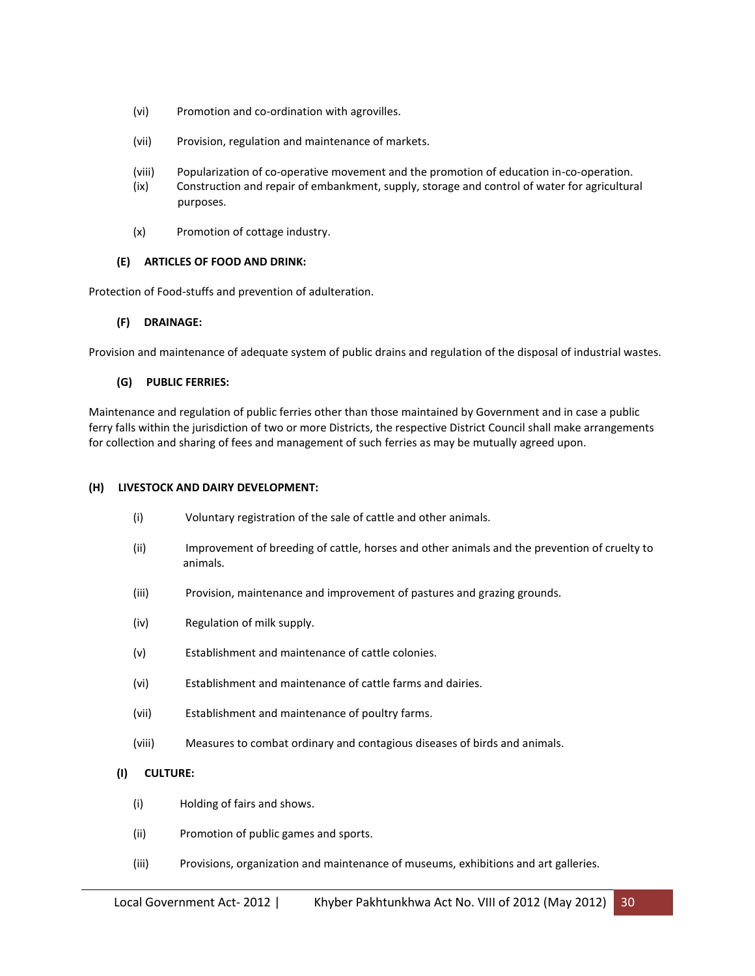- (vi) Promotion and co-ordination with agrovilles.
- (vii) Provision, regulation and maintenance of markets.
- (viii) Popularization of co-operative movement and the promotion of education in-co-operation.
- (ix) Construction and repair of embankment, supply, storage and control of water for agricultural purposes.
- (x) Promotion of cottage industry.

#### **(E) ARTICLES OF FOOD AND DRINK:**

Protection of Food-stuffs and prevention of adulteration.

#### **(F) DRAINAGE:**

Provision and maintenance of adequate system of public drains and regulation of the disposal of industrial wastes.

#### **(G) PUBLIC FERRIES:**

Maintenance and regulation of public ferries other than those maintained by Government and in case a public ferry falls within the jurisdiction of two or more Districts, the respective District Council shall make arrangements for collection and sharing of fees and management of such ferries as may be mutually agreed upon.

#### **(H) LIVESTOCK AND DAIRY DEVELOPMENT:**

- (i) Voluntary registration of the sale of cattle and other animals.
- (ii) Improvement of breeding of cattle, horses and other animals and the prevention of cruelty to animals.
- (iii) Provision, maintenance and improvement of pastures and grazing grounds.
- (iv) Regulation of milk supply.
- (v) Establishment and maintenance of cattle colonies.
- (vi) Establishment and maintenance of cattle farms and dairies.
- (vii) Establishment and maintenance of poultry farms.
- (viii) Measures to combat ordinary and contagious diseases of birds and animals.

#### **(I) CULTURE:**

- (i) Holding of fairs and shows.
- (ii) Promotion of public games and sports.
- (iii) Provisions, organization and maintenance of museums, exhibitions and art galleries.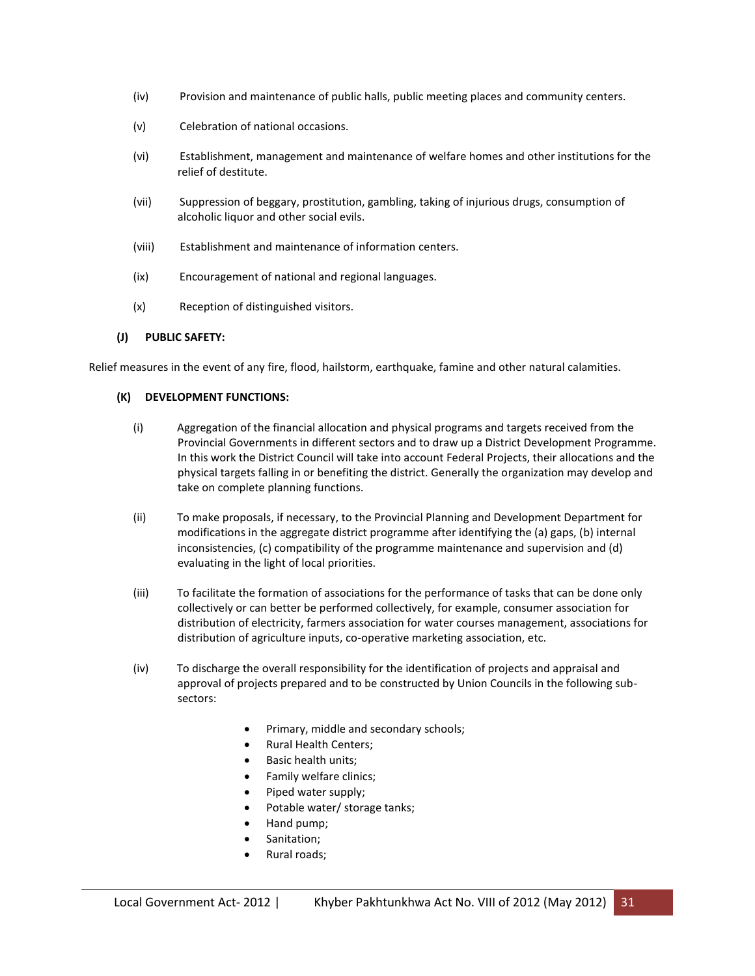- (iv) Provision and maintenance of public halls, public meeting places and community centers.
- (v) Celebration of national occasions.
- (vi) Establishment, management and maintenance of welfare homes and other institutions for the relief of destitute.
- (vii) Suppression of beggary, prostitution, gambling, taking of injurious drugs, consumption of alcoholic liquor and other social evils.
- (viii) Establishment and maintenance of information centers.
- (ix) Encouragement of national and regional languages.
- (x) Reception of distinguished visitors.

#### **(J) PUBLIC SAFETY:**

Relief measures in the event of any fire, flood, hailstorm, earthquake, famine and other natural calamities.

#### **(K) DEVELOPMENT FUNCTIONS:**

- (i) Aggregation of the financial allocation and physical programs and targets received from the Provincial Governments in different sectors and to draw up a District Development Programme. In this work the District Council will take into account Federal Projects, their allocations and the physical targets falling in or benefiting the district. Generally the organization may develop and take on complete planning functions.
- (ii) To make proposals, if necessary, to the Provincial Planning and Development Department for modifications in the aggregate district programme after identifying the (a) gaps, (b) internal inconsistencies, (c) compatibility of the programme maintenance and supervision and (d) evaluating in the light of local priorities.
- (iii) To facilitate the formation of associations for the performance of tasks that can be done only collectively or can better be performed collectively, for example, consumer association for distribution of electricity, farmers association for water courses management, associations for distribution of agriculture inputs, co-operative marketing association, etc.
- (iv) To discharge the overall responsibility for the identification of projects and appraisal and approval of projects prepared and to be constructed by Union Councils in the following subsectors:
	- Primary, middle and secondary schools;
	- Rural Health Centers;
	- Basic health units;
	- Family welfare clinics;
	- Piped water supply;
	- Potable water/ storage tanks;
	- Hand pump;
	- Sanitation;
	- Rural roads;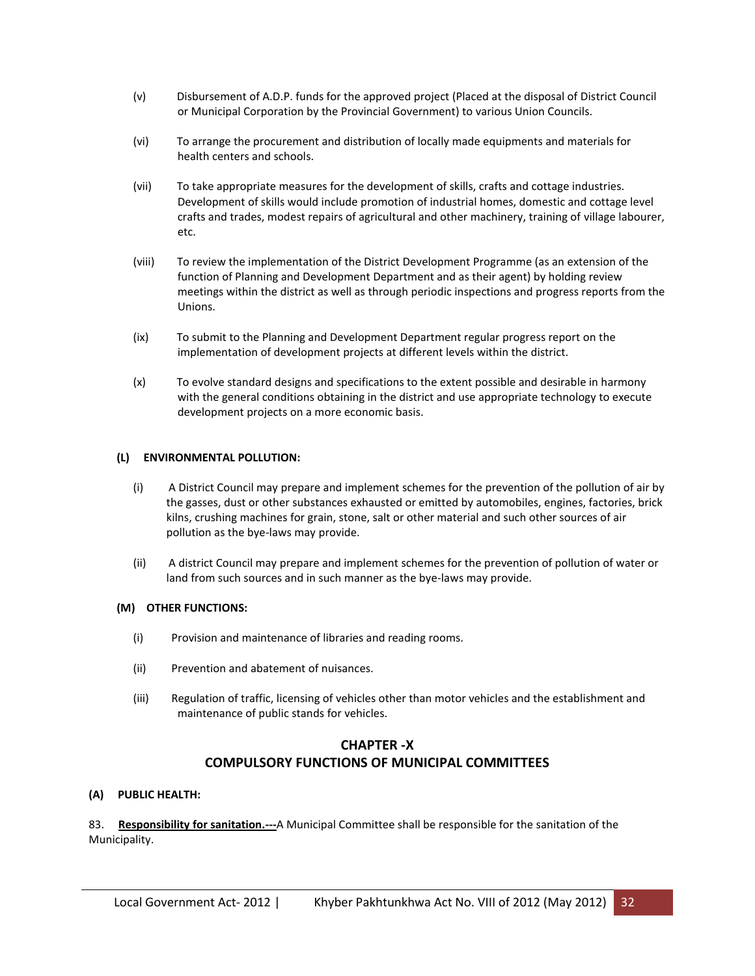- (v) Disbursement of A.D.P. funds for the approved project (Placed at the disposal of District Council or Municipal Corporation by the Provincial Government) to various Union Councils.
- (vi) To arrange the procurement and distribution of locally made equipments and materials for health centers and schools.
- (vii) To take appropriate measures for the development of skills, crafts and cottage industries. Development of skills would include promotion of industrial homes, domestic and cottage level crafts and trades, modest repairs of agricultural and other machinery, training of village labourer, etc.
- (viii) To review the implementation of the District Development Programme (as an extension of the function of Planning and Development Department and as their agent) by holding review meetings within the district as well as through periodic inspections and progress reports from the Unions.
- (ix) To submit to the Planning and Development Department regular progress report on the implementation of development projects at different levels within the district.
- (x) To evolve standard designs and specifications to the extent possible and desirable in harmony with the general conditions obtaining in the district and use appropriate technology to execute development projects on a more economic basis.

#### **(L) ENVIRONMENTAL POLLUTION:**

- (i) A District Council may prepare and implement schemes for the prevention of the pollution of air by the gasses, dust or other substances exhausted or emitted by automobiles, engines, factories, brick kilns, crushing machines for grain, stone, salt or other material and such other sources of air pollution as the bye-laws may provide.
- (ii) A district Council may prepare and implement schemes for the prevention of pollution of water or land from such sources and in such manner as the bye-laws may provide.

#### **(M) OTHER FUNCTIONS:**

- (i) Provision and maintenance of libraries and reading rooms.
- (ii) Prevention and abatement of nuisances.
- (iii) Regulation of traffic, licensing of vehicles other than motor vehicles and the establishment and maintenance of public stands for vehicles.

# **CHAPTER -X COMPULSORY FUNCTIONS OF MUNICIPAL COMMITTEES**

#### **(A) PUBLIC HEALTH:**

83. **Responsibility for sanitation.---**A Municipal Committee shall be responsible for the sanitation of the Municipality.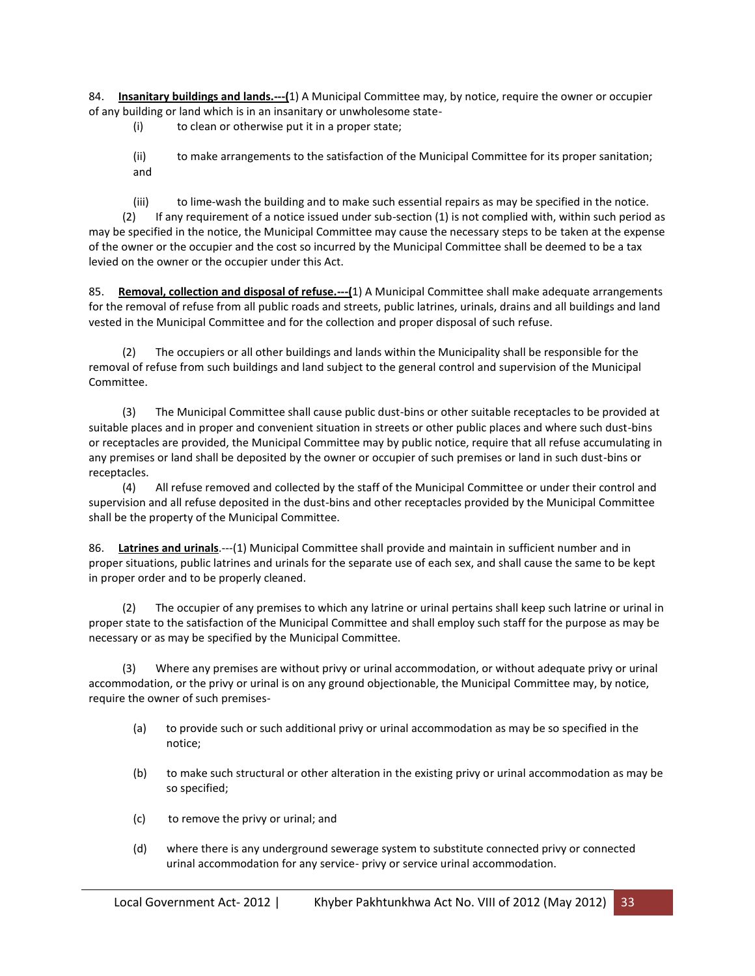84. **Insanitary buildings and lands.---(**1) A Municipal Committee may, by notice, require the owner or occupier of any building or land which is in an insanitary or unwholesome state-

(i) to clean or otherwise put it in a proper state;

(ii) to make arrangements to the satisfaction of the Municipal Committee for its proper sanitation; and

(iii) to lime-wash the building and to make such essential repairs as may be specified in the notice.

 (2) If any requirement of a notice issued under sub-section (1) is not complied with, within such period as may be specified in the notice, the Municipal Committee may cause the necessary steps to be taken at the expense of the owner or the occupier and the cost so incurred by the Municipal Committee shall be deemed to be a tax levied on the owner or the occupier under this Act.

85. **Removal, collection and disposal of refuse.---(**1) A Municipal Committee shall make adequate arrangements for the removal of refuse from all public roads and streets, public latrines, urinals, drains and all buildings and land vested in the Municipal Committee and for the collection and proper disposal of such refuse.

 (2) The occupiers or all other buildings and lands within the Municipality shall be responsible for the removal of refuse from such buildings and land subject to the general control and supervision of the Municipal Committee.

 (3) The Municipal Committee shall cause public dust-bins or other suitable receptacles to be provided at suitable places and in proper and convenient situation in streets or other public places and where such dust-bins or receptacles are provided, the Municipal Committee may by public notice, require that all refuse accumulating in any premises or land shall be deposited by the owner or occupier of such premises or land in such dust-bins or receptacles.

 (4) All refuse removed and collected by the staff of the Municipal Committee or under their control and supervision and all refuse deposited in the dust-bins and other receptacles provided by the Municipal Committee shall be the property of the Municipal Committee.

86. **Latrines and urinals**.---(1) Municipal Committee shall provide and maintain in sufficient number and in proper situations, public latrines and urinals for the separate use of each sex, and shall cause the same to be kept in proper order and to be properly cleaned.

 (2) The occupier of any premises to which any latrine or urinal pertains shall keep such latrine or urinal in proper state to the satisfaction of the Municipal Committee and shall employ such staff for the purpose as may be necessary or as may be specified by the Municipal Committee.

 (3) Where any premises are without privy or urinal accommodation, or without adequate privy or urinal accommodation, or the privy or urinal is on any ground objectionable, the Municipal Committee may, by notice, require the owner of such premises-

- (a) to provide such or such additional privy or urinal accommodation as may be so specified in the notice;
- (b) to make such structural or other alteration in the existing privy or urinal accommodation as may be so specified;
- (c) to remove the privy or urinal; and
- (d) where there is any underground sewerage system to substitute connected privy or connected urinal accommodation for any service- privy or service urinal accommodation.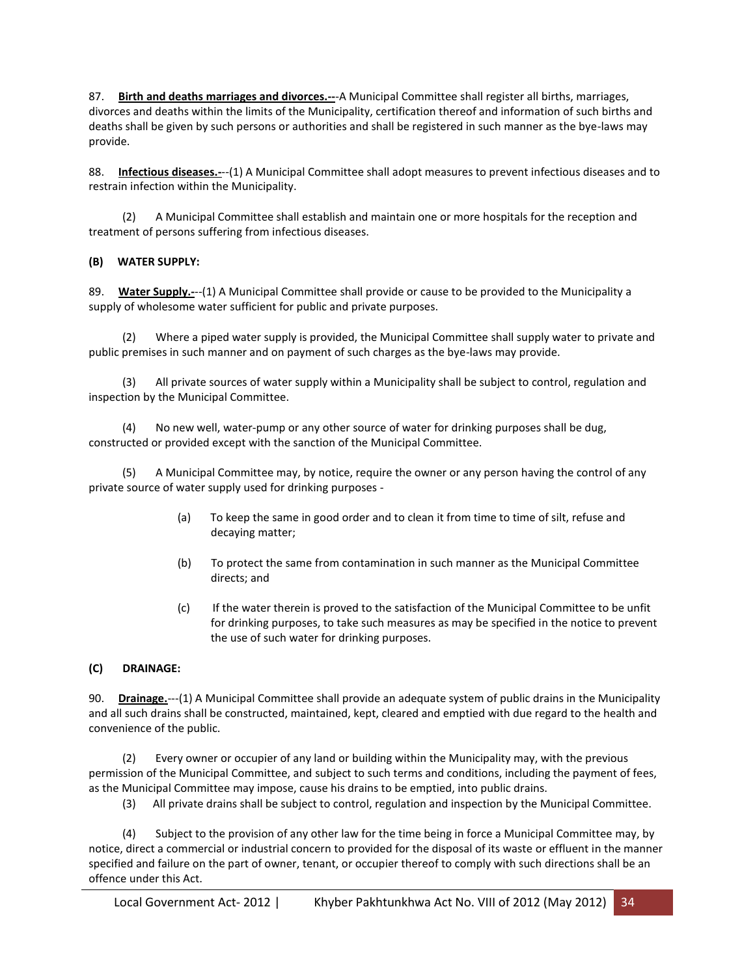87. **Birth and deaths marriages and divorces.--**-A Municipal Committee shall register all births, marriages, divorces and deaths within the limits of the Municipality, certification thereof and information of such births and deaths shall be given by such persons or authorities and shall be registered in such manner as the bye-laws may provide.

88. **Infectious diseases.-**--(1) A Municipal Committee shall adopt measures to prevent infectious diseases and to restrain infection within the Municipality.

 (2) A Municipal Committee shall establish and maintain one or more hospitals for the reception and treatment of persons suffering from infectious diseases.

#### **(B) WATER SUPPLY:**

89. **Water Supply.-**--(1) A Municipal Committee shall provide or cause to be provided to the Municipality a supply of wholesome water sufficient for public and private purposes.

Where a piped water supply is provided, the Municipal Committee shall supply water to private and public premises in such manner and on payment of such charges as the bye-laws may provide.

 (3) All private sources of water supply within a Municipality shall be subject to control, regulation and inspection by the Municipal Committee.

 (4) No new well, water-pump or any other source of water for drinking purposes shall be dug, constructed or provided except with the sanction of the Municipal Committee.

 (5) A Municipal Committee may, by notice, require the owner or any person having the control of any private source of water supply used for drinking purposes -

- (a) To keep the same in good order and to clean it from time to time of silt, refuse and decaying matter;
- (b) To protect the same from contamination in such manner as the Municipal Committee directs; and
- (c) If the water therein is proved to the satisfaction of the Municipal Committee to be unfit for drinking purposes, to take such measures as may be specified in the notice to prevent the use of such water for drinking purposes.

#### **(C) DRAINAGE:**

90. **Drainage.**---(1) A Municipal Committee shall provide an adequate system of public drains in the Municipality and all such drains shall be constructed, maintained, kept, cleared and emptied with due regard to the health and convenience of the public.

 (2) Every owner or occupier of any land or building within the Municipality may, with the previous permission of the Municipal Committee, and subject to such terms and conditions, including the payment of fees, as the Municipal Committee may impose, cause his drains to be emptied, into public drains.

(3) All private drains shall be subject to control, regulation and inspection by the Municipal Committee.

 (4) Subject to the provision of any other law for the time being in force a Municipal Committee may, by notice, direct a commercial or industrial concern to provided for the disposal of its waste or effluent in the manner specified and failure on the part of owner, tenant, or occupier thereof to comply with such directions shall be an offence under this Act.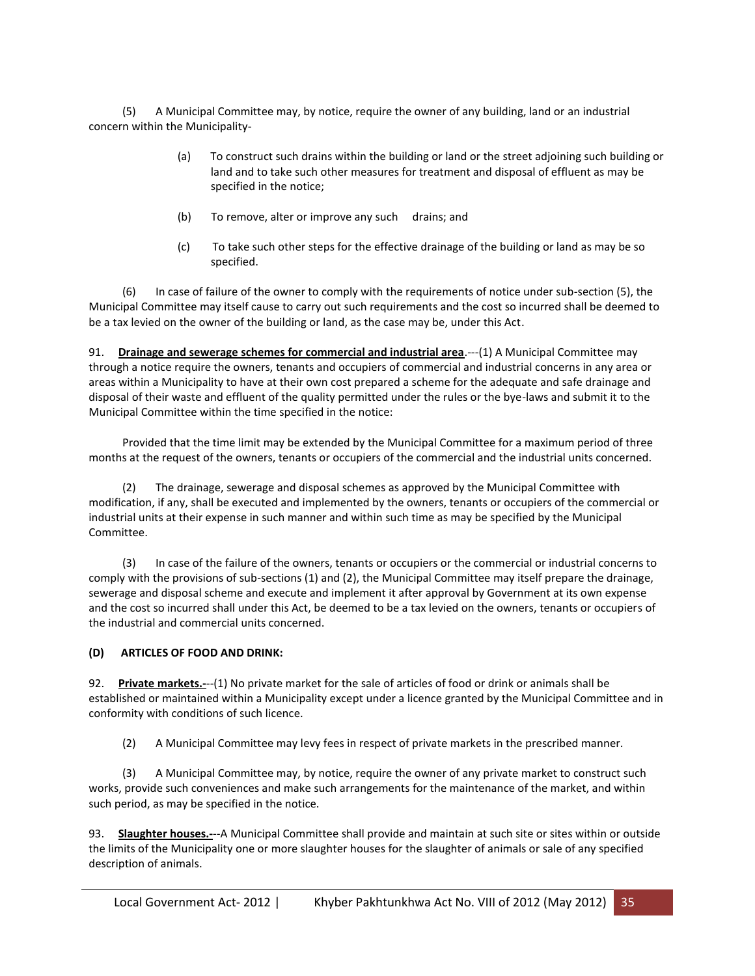(5) A Municipal Committee may, by notice, require the owner of any building, land or an industrial concern within the Municipality-

- (a) To construct such drains within the building or land or the street adjoining such building or land and to take such other measures for treatment and disposal of effluent as may be specified in the notice;
- (b) To remove, alter or improve any such drains; and
- (c) To take such other steps for the effective drainage of the building or land as may be so specified.

 (6) In case of failure of the owner to comply with the requirements of notice under sub-section (5), the Municipal Committee may itself cause to carry out such requirements and the cost so incurred shall be deemed to be a tax levied on the owner of the building or land, as the case may be, under this Act.

91. **Drainage and sewerage schemes for commercial and industrial area**.---(1) A Municipal Committee may through a notice require the owners, tenants and occupiers of commercial and industrial concerns in any area or areas within a Municipality to have at their own cost prepared a scheme for the adequate and safe drainage and disposal of their waste and effluent of the quality permitted under the rules or the bye-laws and submit it to the Municipal Committee within the time specified in the notice:

 Provided that the time limit may be extended by the Municipal Committee for a maximum period of three months at the request of the owners, tenants or occupiers of the commercial and the industrial units concerned.

The drainage, sewerage and disposal schemes as approved by the Municipal Committee with modification, if any, shall be executed and implemented by the owners, tenants or occupiers of the commercial or industrial units at their expense in such manner and within such time as may be specified by the Municipal Committee.

 (3) In case of the failure of the owners, tenants or occupiers or the commercial or industrial concerns to comply with the provisions of sub-sections (1) and (2), the Municipal Committee may itself prepare the drainage, sewerage and disposal scheme and execute and implement it after approval by Government at its own expense and the cost so incurred shall under this Act, be deemed to be a tax levied on the owners, tenants or occupiers of the industrial and commercial units concerned.

#### **(D) ARTICLES OF FOOD AND DRINK:**

92. **Private markets.-**--(1) No private market for the sale of articles of food or drink or animals shall be established or maintained within a Municipality except under a licence granted by the Municipal Committee and in conformity with conditions of such licence.

(2) A Municipal Committee may levy fees in respect of private markets in the prescribed manner.

 (3) A Municipal Committee may, by notice, require the owner of any private market to construct such works, provide such conveniences and make such arrangements for the maintenance of the market, and within such period, as may be specified in the notice.

93. **Slaughter houses.-**--A Municipal Committee shall provide and maintain at such site or sites within or outside the limits of the Municipality one or more slaughter houses for the slaughter of animals or sale of any specified description of animals.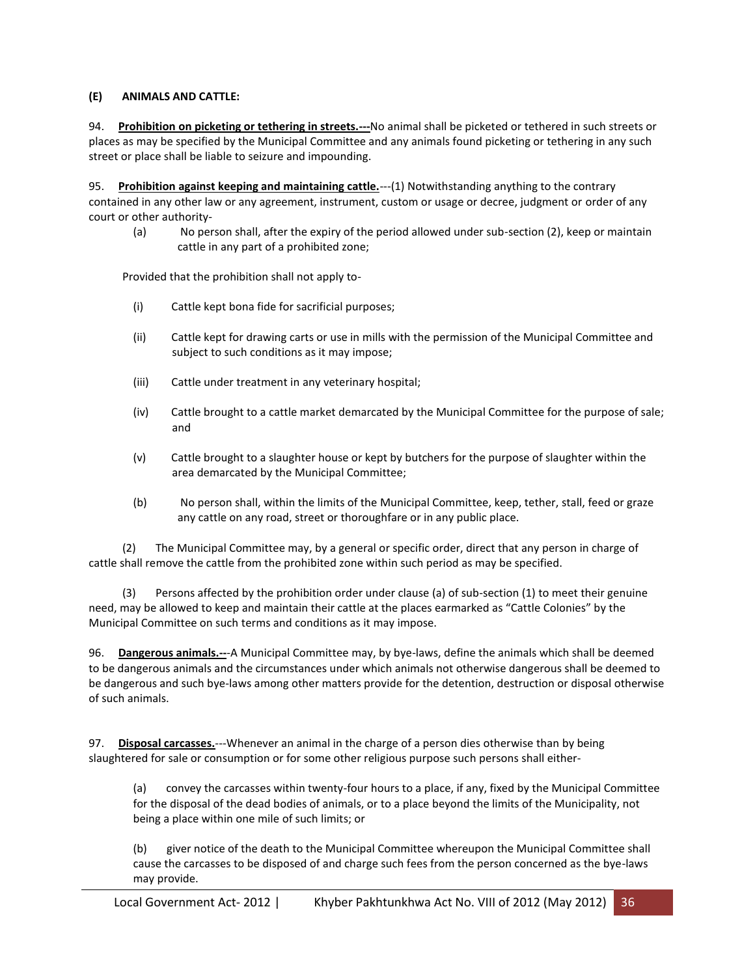#### **(E) ANIMALS AND CATTLE:**

94. **Prohibition on picketing or tethering in streets.---**No animal shall be picketed or tethered in such streets or places as may be specified by the Municipal Committee and any animals found picketing or tethering in any such street or place shall be liable to seizure and impounding.

95. **Prohibition against keeping and maintaining cattle.**---(1) Notwithstanding anything to the contrary contained in any other law or any agreement, instrument, custom or usage or decree, judgment or order of any court or other authority-

(a) No person shall, after the expiry of the period allowed under sub-section (2), keep or maintain cattle in any part of a prohibited zone;

Provided that the prohibition shall not apply to-

- (i) Cattle kept bona fide for sacrificial purposes;
- (ii) Cattle kept for drawing carts or use in mills with the permission of the Municipal Committee and subject to such conditions as it may impose;
- (iii) Cattle under treatment in any veterinary hospital;
- (iv) Cattle brought to a cattle market demarcated by the Municipal Committee for the purpose of sale; and
- (v) Cattle brought to a slaughter house or kept by butchers for the purpose of slaughter within the area demarcated by the Municipal Committee;
- (b) No person shall, within the limits of the Municipal Committee, keep, tether, stall, feed or graze any cattle on any road, street or thoroughfare or in any public place.

 (2) The Municipal Committee may, by a general or specific order, direct that any person in charge of cattle shall remove the cattle from the prohibited zone within such period as may be specified.

 (3) Persons affected by the prohibition order under clause (a) of sub-section (1) to meet their genuine need, may be allowed to keep and maintain their cattle at the places earmarked as "Cattle Colonies" by the Municipal Committee on such terms and conditions as it may impose.

96. **Dangerous animals.--**-A Municipal Committee may, by bye-laws, define the animals which shall be deemed to be dangerous animals and the circumstances under which animals not otherwise dangerous shall be deemed to be dangerous and such bye-laws among other matters provide for the detention, destruction or disposal otherwise of such animals.

97. **Disposal carcasses.**---Whenever an animal in the charge of a person dies otherwise than by being slaughtered for sale or consumption or for some other religious purpose such persons shall either-

(a) convey the carcasses within twenty-four hours to a place, if any, fixed by the Municipal Committee for the disposal of the dead bodies of animals, or to a place beyond the limits of the Municipality, not being a place within one mile of such limits; or

(b) giver notice of the death to the Municipal Committee whereupon the Municipal Committee shall cause the carcasses to be disposed of and charge such fees from the person concerned as the bye-laws may provide.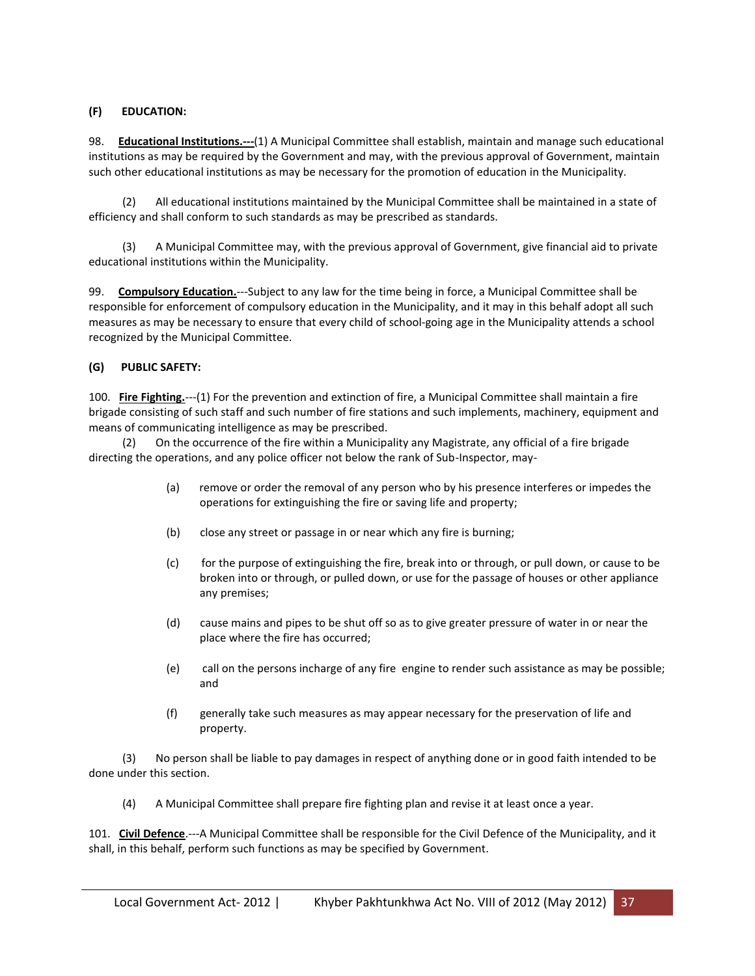### **(F) EDUCATION:**

98. **Educational Institutions.---**(1) A Municipal Committee shall establish, maintain and manage such educational institutions as may be required by the Government and may, with the previous approval of Government, maintain such other educational institutions as may be necessary for the promotion of education in the Municipality.

 (2) All educational institutions maintained by the Municipal Committee shall be maintained in a state of efficiency and shall conform to such standards as may be prescribed as standards.

 (3) A Municipal Committee may, with the previous approval of Government, give financial aid to private educational institutions within the Municipality.

99. **Compulsory Education.**---Subject to any law for the time being in force, a Municipal Committee shall be responsible for enforcement of compulsory education in the Municipality, and it may in this behalf adopt all such measures as may be necessary to ensure that every child of school-going age in the Municipality attends a school recognized by the Municipal Committee.

### **(G) PUBLIC SAFETY:**

100. **Fire Fighting.**---(1) For the prevention and extinction of fire, a Municipal Committee shall maintain a fire brigade consisting of such staff and such number of fire stations and such implements, machinery, equipment and means of communicating intelligence as may be prescribed.

 (2) On the occurrence of the fire within a Municipality any Magistrate, any official of a fire brigade directing the operations, and any police officer not below the rank of Sub-Inspector, may-

- (a) remove or order the removal of any person who by his presence interferes or impedes the operations for extinguishing the fire or saving life and property;
- (b) close any street or passage in or near which any fire is burning;
- (c) for the purpose of extinguishing the fire, break into or through, or pull down, or cause to be broken into or through, or pulled down, or use for the passage of houses or other appliance any premises;
- (d) cause mains and pipes to be shut off so as to give greater pressure of water in or near the place where the fire has occurred;
- (e) call on the persons incharge of any fire engine to render such assistance as may be possible; and
- (f) generally take such measures as may appear necessary for the preservation of life and property.

 (3) No person shall be liable to pay damages in respect of anything done or in good faith intended to be done under this section.

(4) A Municipal Committee shall prepare fire fighting plan and revise it at least once a year.

101. **Civil Defence**.---A Municipal Committee shall be responsible for the Civil Defence of the Municipality, and it shall, in this behalf, perform such functions as may be specified by Government.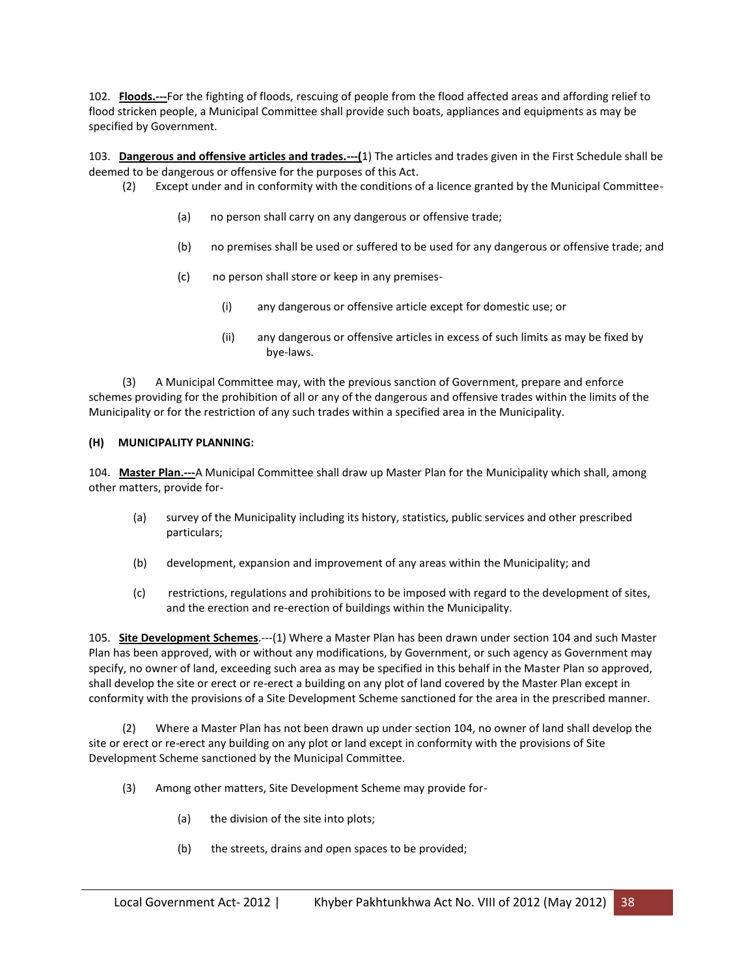102. **Floods.---**For the fighting of floods, rescuing of people from the flood affected areas and affording relief to flood stricken people, a Municipal Committee shall provide such boats, appliances and equipments as may be specified by Government.

103. **Dangerous and offensive articles and trades.---(**1) The articles and trades given in the First Schedule shall be deemed to be dangerous or offensive for the purposes of this Act.

- (2) Except under and in conformity with the conditions of a licence granted by the Municipal Committee-
	- (a) no person shall carry on any dangerous or offensive trade;
	- (b) no premises shall be used or suffered to be used for any dangerous or offensive trade; and
	- (c) no person shall store or keep in any premises-
		- (i) any dangerous or offensive article except for domestic use; or
		- (ii) any dangerous or offensive articles in excess of such limits as may be fixed by bye-laws.

 (3) A Municipal Committee may, with the previous sanction of Government, prepare and enforce schemes providing for the prohibition of all or any of the dangerous and offensive trades within the limits of the Municipality or for the restriction of any such trades within a specified area in the Municipality.

### **(H) MUNICIPALITY PLANNING:**

104. **Master Plan.---**A Municipal Committee shall draw up Master Plan for the Municipality which shall, among other matters, provide for-

- (a) survey of the Municipality including its history, statistics, public services and other prescribed particulars;
- (b) development, expansion and improvement of any areas within the Municipality; and
- (c) restrictions, regulations and prohibitions to be imposed with regard to the development of sites, and the erection and re-erection of buildings within the Municipality.

105. **Site Development Schemes**.---(1) Where a Master Plan has been drawn under section 104 and such Master Plan has been approved, with or without any modifications, by Government, or such agency as Government may specify, no owner of land, exceeding such area as may be specified in this behalf in the Master Plan so approved, shall develop the site or erect or re-erect a building on any plot of land covered by the Master Plan except in conformity with the provisions of a Site Development Scheme sanctioned for the area in the prescribed manner.

 (2) Where a Master Plan has not been drawn up under section 104, no owner of land shall develop the site or erect or re-erect any building on any plot or land except in conformity with the provisions of Site Development Scheme sanctioned by the Municipal Committee.

- (3) Among other matters, Site Development Scheme may provide for-
	- (a) the division of the site into plots;
	- (b) the streets, drains and open spaces to be provided;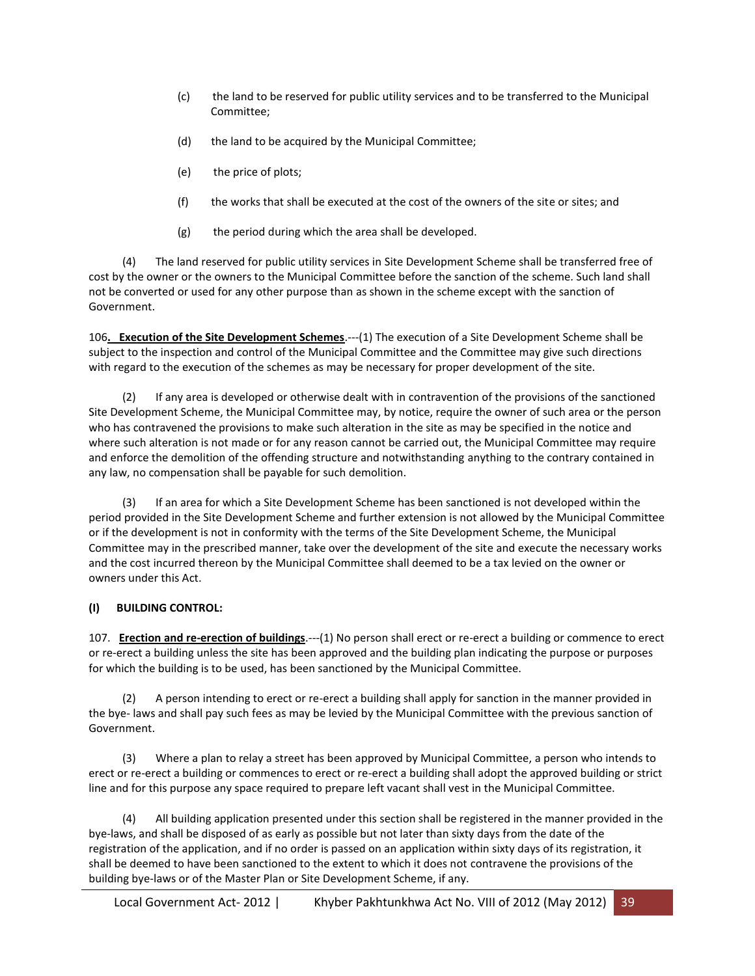- (c) the land to be reserved for public utility services and to be transferred to the Municipal Committee;
- (d) the land to be acquired by the Municipal Committee;
- (e) the price of plots;
- (f) the works that shall be executed at the cost of the owners of the site or sites; and
- $(g)$  the period during which the area shall be developed.

 (4) The land reserved for public utility services in Site Development Scheme shall be transferred free of cost by the owner or the owners to the Municipal Committee before the sanction of the scheme. Such land shall not be converted or used for any other purpose than as shown in the scheme except with the sanction of Government.

106**. Execution of the Site Development Schemes**.---(1) The execution of a Site Development Scheme shall be subject to the inspection and control of the Municipal Committee and the Committee may give such directions with regard to the execution of the schemes as may be necessary for proper development of the site.

 (2) If any area is developed or otherwise dealt with in contravention of the provisions of the sanctioned Site Development Scheme, the Municipal Committee may, by notice, require the owner of such area or the person who has contravened the provisions to make such alteration in the site as may be specified in the notice and where such alteration is not made or for any reason cannot be carried out, the Municipal Committee may require and enforce the demolition of the offending structure and notwithstanding anything to the contrary contained in any law, no compensation shall be payable for such demolition.

 (3) If an area for which a Site Development Scheme has been sanctioned is not developed within the period provided in the Site Development Scheme and further extension is not allowed by the Municipal Committee or if the development is not in conformity with the terms of the Site Development Scheme, the Municipal Committee may in the prescribed manner, take over the development of the site and execute the necessary works and the cost incurred thereon by the Municipal Committee shall deemed to be a tax levied on the owner or owners under this Act.

### **(I) BUILDING CONTROL:**

107. **Erection and re-erection of buildings**.---(1) No person shall erect or re-erect a building or commence to erect or re-erect a building unless the site has been approved and the building plan indicating the purpose or purposes for which the building is to be used, has been sanctioned by the Municipal Committee.

A person intending to erect or re-erect a building shall apply for sanction in the manner provided in the bye- laws and shall pay such fees as may be levied by the Municipal Committee with the previous sanction of Government.

 (3) Where a plan to relay a street has been approved by Municipal Committee, a person who intends to erect or re-erect a building or commences to erect or re-erect a building shall adopt the approved building or strict line and for this purpose any space required to prepare left vacant shall vest in the Municipal Committee.

 (4) All building application presented under this section shall be registered in the manner provided in the bye-laws, and shall be disposed of as early as possible but not later than sixty days from the date of the registration of the application, and if no order is passed on an application within sixty days of its registration, it shall be deemed to have been sanctioned to the extent to which it does not contravene the provisions of the building bye-laws or of the Master Plan or Site Development Scheme, if any.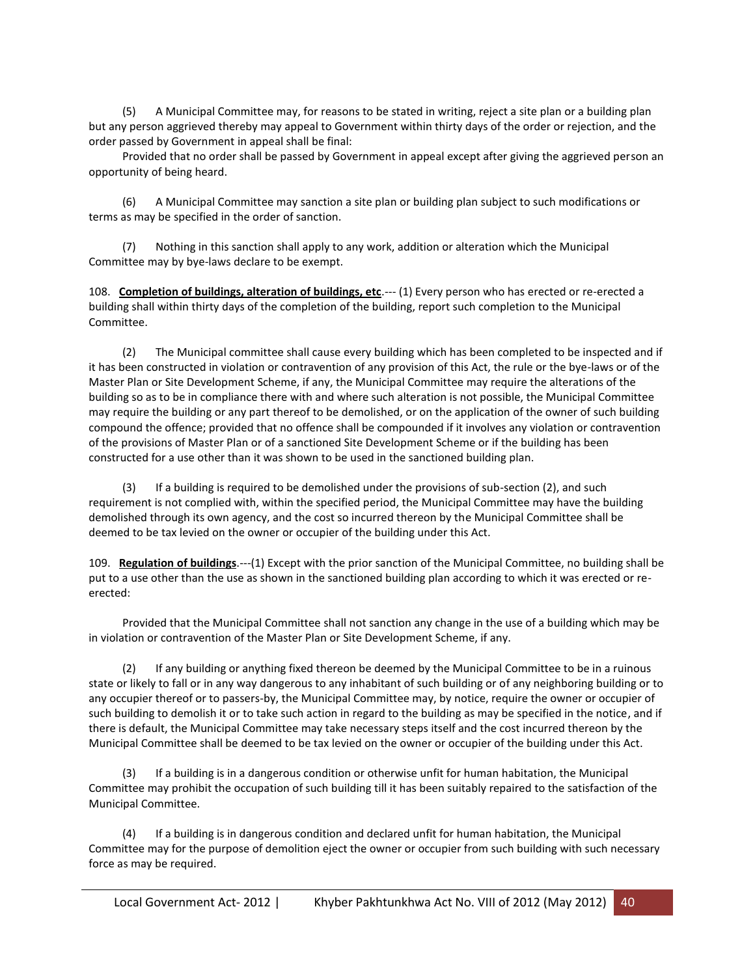(5) A Municipal Committee may, for reasons to be stated in writing, reject a site plan or a building plan but any person aggrieved thereby may appeal to Government within thirty days of the order or rejection, and the order passed by Government in appeal shall be final:

 Provided that no order shall be passed by Government in appeal except after giving the aggrieved person an opportunity of being heard.

 (6) A Municipal Committee may sanction a site plan or building plan subject to such modifications or terms as may be specified in the order of sanction.

 (7) Nothing in this sanction shall apply to any work, addition or alteration which the Municipal Committee may by bye-laws declare to be exempt.

108. **Completion of buildings, alteration of buildings, etc**.--- (1) Every person who has erected or re-erected a building shall within thirty days of the completion of the building, report such completion to the Municipal Committee.

 (2) The Municipal committee shall cause every building which has been completed to be inspected and if it has been constructed in violation or contravention of any provision of this Act, the rule or the bye-laws or of the Master Plan or Site Development Scheme, if any, the Municipal Committee may require the alterations of the building so as to be in compliance there with and where such alteration is not possible, the Municipal Committee may require the building or any part thereof to be demolished, or on the application of the owner of such building compound the offence; provided that no offence shall be compounded if it involves any violation or contravention of the provisions of Master Plan or of a sanctioned Site Development Scheme or if the building has been constructed for a use other than it was shown to be used in the sanctioned building plan.

 (3) If a building is required to be demolished under the provisions of sub-section (2), and such requirement is not complied with, within the specified period, the Municipal Committee may have the building demolished through its own agency, and the cost so incurred thereon by the Municipal Committee shall be deemed to be tax levied on the owner or occupier of the building under this Act.

109. **Regulation of buildings**.---(1) Except with the prior sanction of the Municipal Committee, no building shall be put to a use other than the use as shown in the sanctioned building plan according to which it was erected or reerected:

 Provided that the Municipal Committee shall not sanction any change in the use of a building which may be in violation or contravention of the Master Plan or Site Development Scheme, if any.

 (2) If any building or anything fixed thereon be deemed by the Municipal Committee to be in a ruinous state or likely to fall or in any way dangerous to any inhabitant of such building or of any neighboring building or to any occupier thereof or to passers-by, the Municipal Committee may, by notice, require the owner or occupier of such building to demolish it or to take such action in regard to the building as may be specified in the notice, and if there is default, the Municipal Committee may take necessary steps itself and the cost incurred thereon by the Municipal Committee shall be deemed to be tax levied on the owner or occupier of the building under this Act.

 (3) If a building is in a dangerous condition or otherwise unfit for human habitation, the Municipal Committee may prohibit the occupation of such building till it has been suitably repaired to the satisfaction of the Municipal Committee.

 (4) If a building is in dangerous condition and declared unfit for human habitation, the Municipal Committee may for the purpose of demolition eject the owner or occupier from such building with such necessary force as may be required.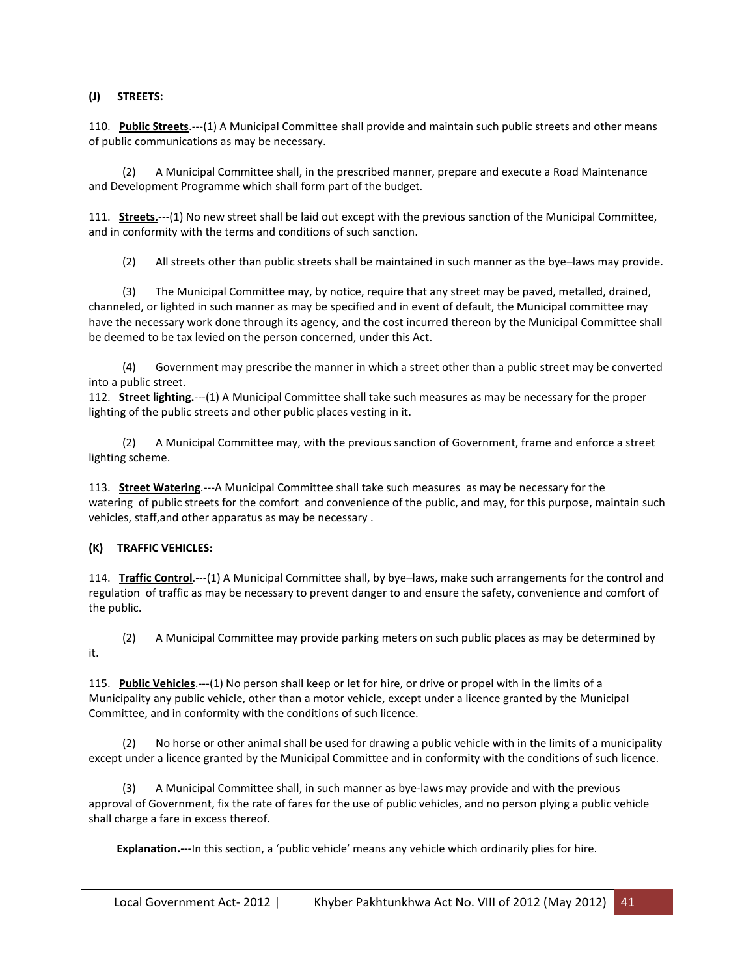### **(J) STREETS:**

110. **Public Streets**.---(1) A Municipal Committee shall provide and maintain such public streets and other means of public communications as may be necessary.

 (2) A Municipal Committee shall, in the prescribed manner, prepare and execute a Road Maintenance and Development Programme which shall form part of the budget.

111. **Streets.**---(1) No new street shall be laid out except with the previous sanction of the Municipal Committee, and in conformity with the terms and conditions of such sanction.

(2) All streets other than public streets shall be maintained in such manner as the bye–laws may provide.

 (3) The Municipal Committee may, by notice, require that any street may be paved, metalled, drained, channeled, or lighted in such manner as may be specified and in event of default, the Municipal committee may have the necessary work done through its agency, and the cost incurred thereon by the Municipal Committee shall be deemed to be tax levied on the person concerned, under this Act.

 (4) Government may prescribe the manner in which a street other than a public street may be converted into a public street.

112. **Street lighting.**---(1) A Municipal Committee shall take such measures as may be necessary for the proper lighting of the public streets and other public places vesting in it.

 (2) A Municipal Committee may, with the previous sanction of Government, frame and enforce a street lighting scheme.

113. **Street Watering**.---A Municipal Committee shall take such measures as may be necessary for the watering of public streets for the comfort and convenience of the public, and may, for this purpose, maintain such vehicles, staff,and other apparatus as may be necessary .

### **(K) TRAFFIC VEHICLES:**

114. **Traffic Control**.---(1) A Municipal Committee shall, by bye–laws, make such arrangements for the control and regulation of traffic as may be necessary to prevent danger to and ensure the safety, convenience and comfort of the public.

 (2) A Municipal Committee may provide parking meters on such public places as may be determined by it.

115. **Public Vehicles**.---(1) No person shall keep or let for hire, or drive or propel with in the limits of a Municipality any public vehicle, other than a motor vehicle, except under a licence granted by the Municipal Committee, and in conformity with the conditions of such licence.

 (2) No horse or other animal shall be used for drawing a public vehicle with in the limits of a municipality except under a licence granted by the Municipal Committee and in conformity with the conditions of such licence.

 (3) A Municipal Committee shall, in such manner as bye-laws may provide and with the previous approval of Government, fix the rate of fares for the use of public vehicles, and no person plying a public vehicle shall charge a fare in excess thereof.

**Explanation.---**In this section, a 'public vehicle' means any vehicle which ordinarily plies for hire.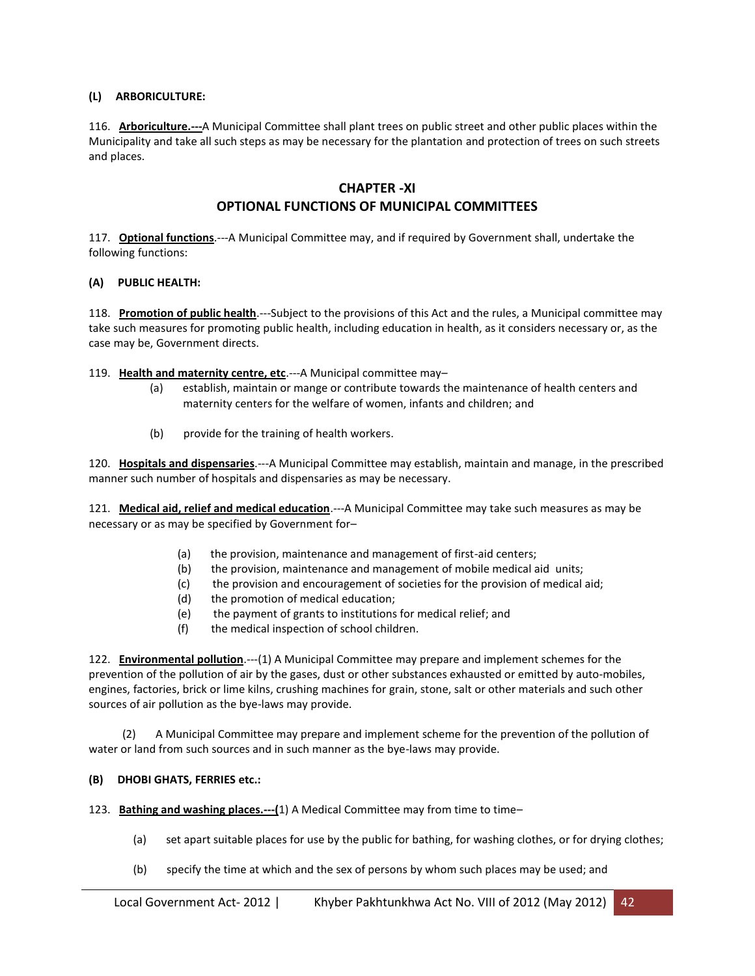### **(L) ARBORICULTURE:**

116. **Arboriculture.---**A Municipal Committee shall plant trees on public street and other public places within the Municipality and take all such steps as may be necessary for the plantation and protection of trees on such streets and places.

### **CHAPTER -XI**

# **OPTIONAL FUNCTIONS OF MUNICIPAL COMMITTEES**

117. **Optional functions**.---A Municipal Committee may, and if required by Government shall, undertake the following functions:

### **(A) PUBLIC HEALTH:**

118. **Promotion of public health**.---Subject to the provisions of this Act and the rules, a Municipal committee may take such measures for promoting public health, including education in health, as it considers necessary or, as the case may be, Government directs.

119. **Health and maternity centre, etc**.---A Municipal committee may–

- (a) establish, maintain or mange or contribute towards the maintenance of health centers and maternity centers for the welfare of women, infants and children; and
- (b) provide for the training of health workers.

120. **Hospitals and dispensaries**.---A Municipal Committee may establish, maintain and manage, in the prescribed manner such number of hospitals and dispensaries as may be necessary.

121. **Medical aid, relief and medical education**.---A Municipal Committee may take such measures as may be necessary or as may be specified by Government for–

- (a) the provision, maintenance and management of first-aid centers;
- (b) the provision, maintenance and management of mobile medical aid units;
- (c) the provision and encouragement of societies for the provision of medical aid;
- (d) the promotion of medical education;
- (e) the payment of grants to institutions for medical relief; and
- (f) the medical inspection of school children.

122. **Environmental pollution**.---(1) A Municipal Committee may prepare and implement schemes for the prevention of the pollution of air by the gases, dust or other substances exhausted or emitted by auto-mobiles, engines, factories, brick or lime kilns, crushing machines for grain, stone, salt or other materials and such other sources of air pollution as the bye-laws may provide.

 (2) A Municipal Committee may prepare and implement scheme for the prevention of the pollution of water or land from such sources and in such manner as the bye-laws may provide.

### **(B) DHOBI GHATS, FERRIES etc.:**

- 123. **Bathing and washing places.---(**1) A Medical Committee may from time to time–
	- (a) set apart suitable places for use by the public for bathing, for washing clothes, or for drying clothes;
	- (b) specify the time at which and the sex of persons by whom such places may be used; and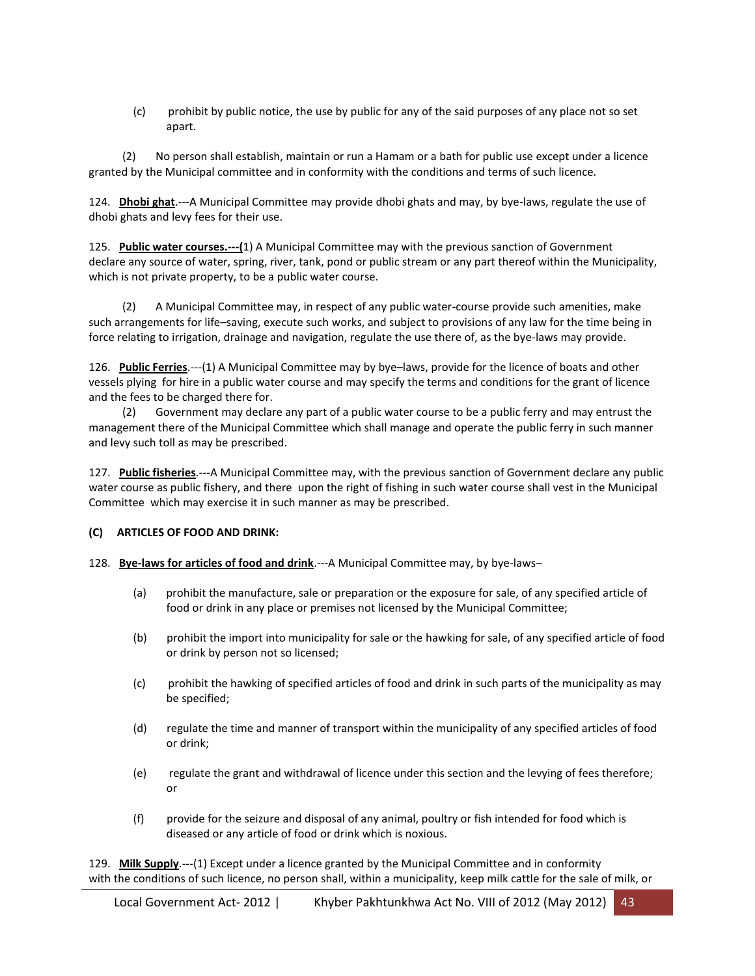(c) prohibit by public notice, the use by public for any of the said purposes of any place not so set apart.

 (2) No person shall establish, maintain or run a Hamam or a bath for public use except under a licence granted by the Municipal committee and in conformity with the conditions and terms of such licence.

124. **Dhobi ghat**.---A Municipal Committee may provide dhobi ghats and may, by bye-laws, regulate the use of dhobi ghats and levy fees for their use.

125. **Public water courses.---(**1) A Municipal Committee may with the previous sanction of Government declare any source of water, spring, river, tank, pond or public stream or any part thereof within the Municipality, which is not private property, to be a public water course.

 (2) A Municipal Committee may, in respect of any public water-course provide such amenities, make such arrangements for life–saving, execute such works, and subject to provisions of any law for the time being in force relating to irrigation, drainage and navigation, regulate the use there of, as the bye-laws may provide.

126. **Public Ferries**.---(1) A Municipal Committee may by bye–laws, provide for the licence of boats and other vessels plying for hire in a public water course and may specify the terms and conditions for the grant of licence and the fees to be charged there for.

 (2) Government may declare any part of a public water course to be a public ferry and may entrust the management there of the Municipal Committee which shall manage and operate the public ferry in such manner and levy such toll as may be prescribed.

127. **Public fisheries**.---A Municipal Committee may, with the previous sanction of Government declare any public water course as public fishery, and there upon the right of fishing in such water course shall vest in the Municipal Committee which may exercise it in such manner as may be prescribed.

### **(C) ARTICLES OF FOOD AND DRINK:**

### 128. **Bye-laws for articles of food and drink**.---A Municipal Committee may, by bye-laws–

- (a) prohibit the manufacture, sale or preparation or the exposure for sale, of any specified article of food or drink in any place or premises not licensed by the Municipal Committee;
- (b) prohibit the import into municipality for sale or the hawking for sale, of any specified article of food or drink by person not so licensed;
- (c) prohibit the hawking of specified articles of food and drink in such parts of the municipality as may be specified;
- (d) regulate the time and manner of transport within the municipality of any specified articles of food or drink;
- (e) regulate the grant and withdrawal of licence under this section and the levying of fees therefore; or
- (f) provide for the seizure and disposal of any animal, poultry or fish intended for food which is diseased or any article of food or drink which is noxious.

129. **Milk Supply**.---(1) Except under a licence granted by the Municipal Committee and in conformity with the conditions of such licence, no person shall, within a municipality, keep milk cattle for the sale of milk, or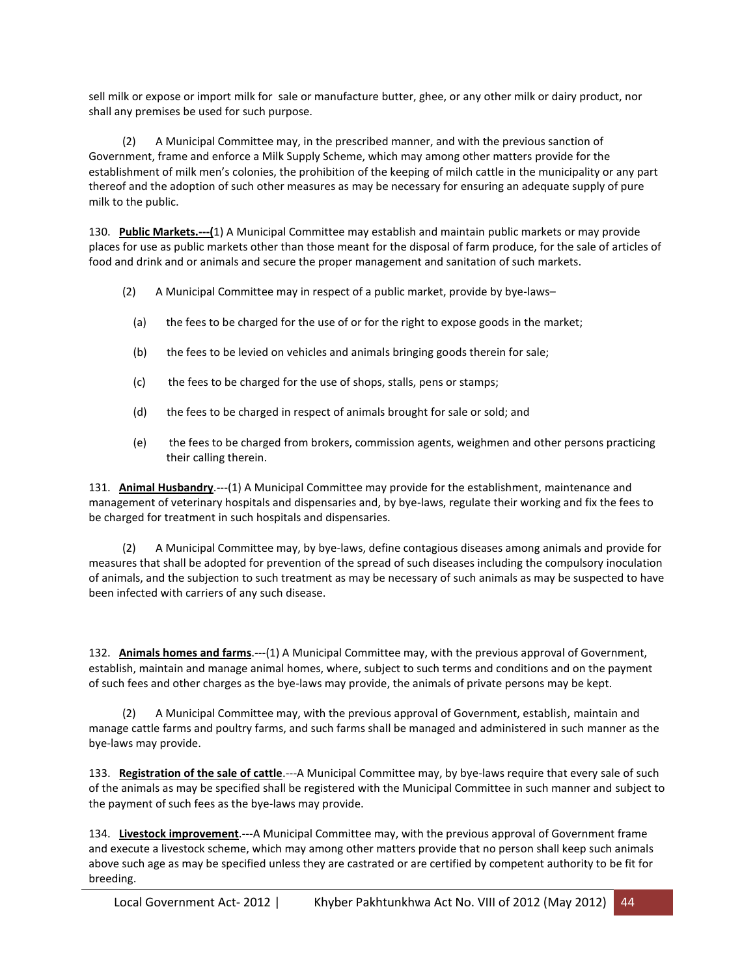sell milk or expose or import milk for sale or manufacture butter, ghee, or any other milk or dairy product, nor shall any premises be used for such purpose.

 (2) A Municipal Committee may, in the prescribed manner, and with the previous sanction of Government, frame and enforce a Milk Supply Scheme, which may among other matters provide for the establishment of milk men's colonies, the prohibition of the keeping of milch cattle in the municipality or any part thereof and the adoption of such other measures as may be necessary for ensuring an adequate supply of pure milk to the public.

130. **Public Markets.---(**1) A Municipal Committee may establish and maintain public markets or may provide places for use as public markets other than those meant for the disposal of farm produce, for the sale of articles of food and drink and or animals and secure the proper management and sanitation of such markets.

- (2) A Municipal Committee may in respect of a public market, provide by bye-laws–
	- (a) the fees to be charged for the use of or for the right to expose goods in the market;
	- (b) the fees to be levied on vehicles and animals bringing goods therein for sale;
	- (c) the fees to be charged for the use of shops, stalls, pens or stamps;
	- (d) the fees to be charged in respect of animals brought for sale or sold; and
	- (e) the fees to be charged from brokers, commission agents, weighmen and other persons practicing their calling therein.

131. **Animal Husbandry**.---(1) A Municipal Committee may provide for the establishment, maintenance and management of veterinary hospitals and dispensaries and, by bye-laws, regulate their working and fix the fees to be charged for treatment in such hospitals and dispensaries.

 (2) A Municipal Committee may, by bye-laws, define contagious diseases among animals and provide for measures that shall be adopted for prevention of the spread of such diseases including the compulsory inoculation of animals, and the subjection to such treatment as may be necessary of such animals as may be suspected to have been infected with carriers of any such disease.

132. **Animals homes and farms**.---(1) A Municipal Committee may, with the previous approval of Government, establish, maintain and manage animal homes, where, subject to such terms and conditions and on the payment of such fees and other charges as the bye-laws may provide, the animals of private persons may be kept.

 (2) A Municipal Committee may, with the previous approval of Government, establish, maintain and manage cattle farms and poultry farms, and such farms shall be managed and administered in such manner as the bye-laws may provide.

133. **Registration of the sale of cattle**.---A Municipal Committee may, by bye-laws require that every sale of such of the animals as may be specified shall be registered with the Municipal Committee in such manner and subject to the payment of such fees as the bye-laws may provide.

134. **Livestock improvement**.---A Municipal Committee may, with the previous approval of Government frame and execute a livestock scheme, which may among other matters provide that no person shall keep such animals above such age as may be specified unless they are castrated or are certified by competent authority to be fit for breeding.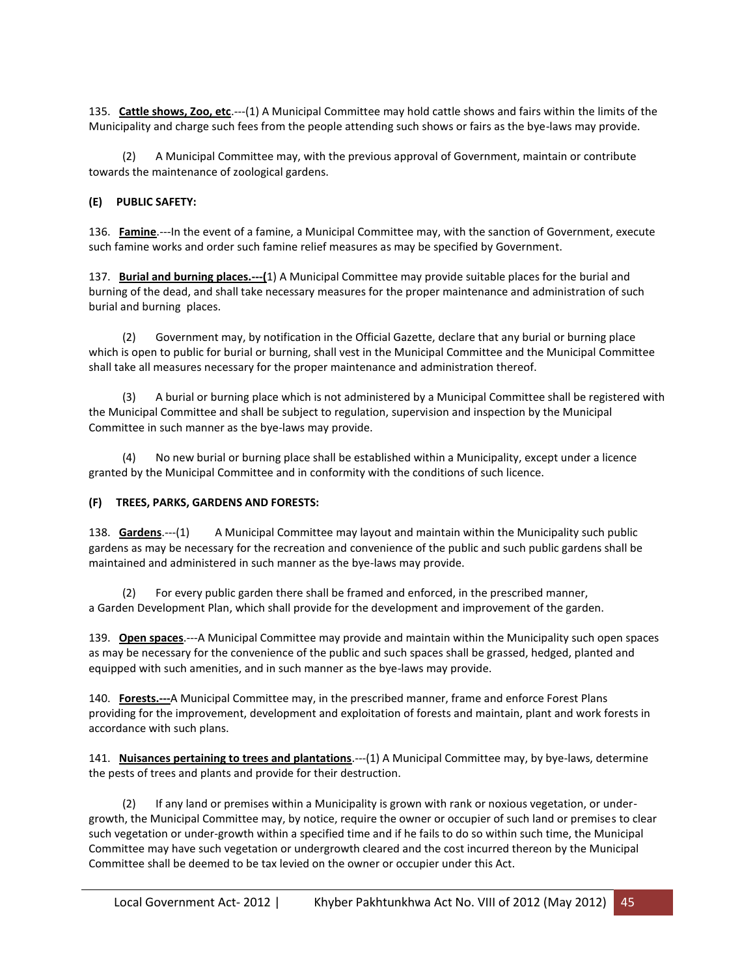135. **Cattle shows, Zoo, etc**.---(1) A Municipal Committee may hold cattle shows and fairs within the limits of the Municipality and charge such fees from the people attending such shows or fairs as the bye-laws may provide.

 (2) A Municipal Committee may, with the previous approval of Government, maintain or contribute towards the maintenance of zoological gardens.

### **(E) PUBLIC SAFETY:**

136. **Famine**.---In the event of a famine, a Municipal Committee may, with the sanction of Government, execute such famine works and order such famine relief measures as may be specified by Government.

137. **Burial and burning places.---(**1) A Municipal Committee may provide suitable places for the burial and burning of the dead, and shall take necessary measures for the proper maintenance and administration of such burial and burning places.

 (2) Government may, by notification in the Official Gazette, declare that any burial or burning place which is open to public for burial or burning, shall vest in the Municipal Committee and the Municipal Committee shall take all measures necessary for the proper maintenance and administration thereof.

 (3) A burial or burning place which is not administered by a Municipal Committee shall be registered with the Municipal Committee and shall be subject to regulation, supervision and inspection by the Municipal Committee in such manner as the bye-laws may provide.

 (4) No new burial or burning place shall be established within a Municipality, except under a licence granted by the Municipal Committee and in conformity with the conditions of such licence.

### **(F) TREES, PARKS, GARDENS AND FORESTS:**

138. **Gardens**.---(1) A Municipal Committee may layout and maintain within the Municipality such public gardens as may be necessary for the recreation and convenience of the public and such public gardens shall be maintained and administered in such manner as the bye-laws may provide.

For every public garden there shall be framed and enforced, in the prescribed manner, a Garden Development Plan, which shall provide for the development and improvement of the garden.

139. **Open spaces**.---A Municipal Committee may provide and maintain within the Municipality such open spaces as may be necessary for the convenience of the public and such spaces shall be grassed, hedged, planted and equipped with such amenities, and in such manner as the bye-laws may provide.

140. **Forests.---**A Municipal Committee may, in the prescribed manner, frame and enforce Forest Plans providing for the improvement, development and exploitation of forests and maintain, plant and work forests in accordance with such plans.

141. **Nuisances pertaining to trees and plantations**.---(1) A Municipal Committee may, by bye-laws, determine the pests of trees and plants and provide for their destruction.

 (2) If any land or premises within a Municipality is grown with rank or noxious vegetation, or undergrowth, the Municipal Committee may, by notice, require the owner or occupier of such land or premises to clear such vegetation or under-growth within a specified time and if he fails to do so within such time, the Municipal Committee may have such vegetation or undergrowth cleared and the cost incurred thereon by the Municipal Committee shall be deemed to be tax levied on the owner or occupier under this Act.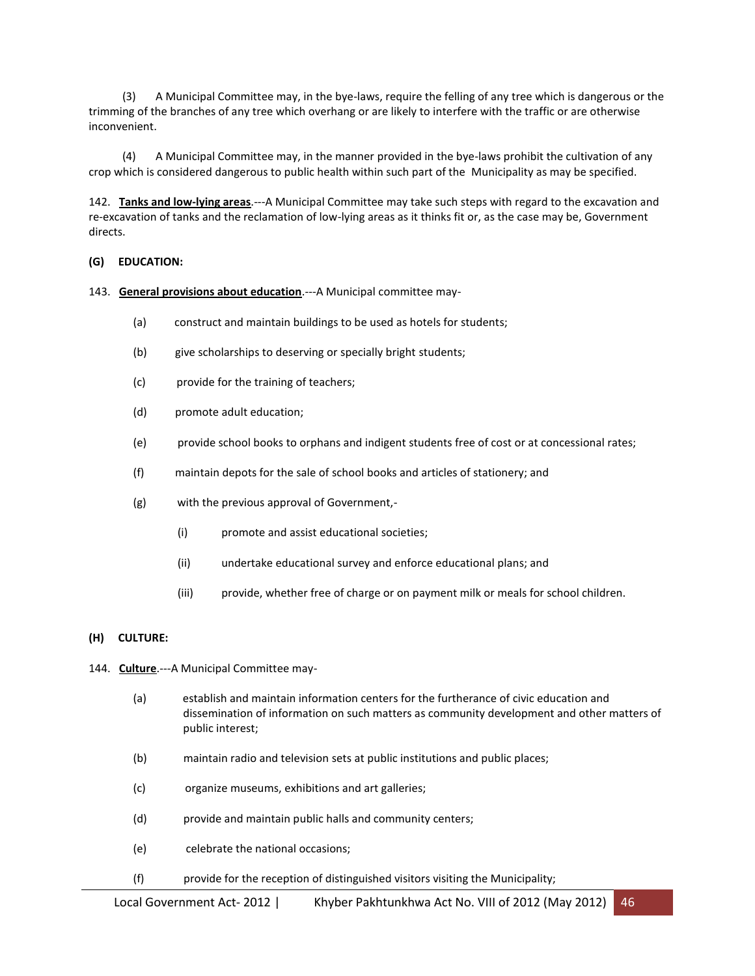(3) A Municipal Committee may, in the bye-laws, require the felling of any tree which is dangerous or the trimming of the branches of any tree which overhang or are likely to interfere with the traffic or are otherwise inconvenient.

 (4) A Municipal Committee may, in the manner provided in the bye-laws prohibit the cultivation of any crop which is considered dangerous to public health within such part of the Municipality as may be specified.

142. **Tanks and low-lying areas**.---A Municipal Committee may take such steps with regard to the excavation and re-excavation of tanks and the reclamation of low-lying areas as it thinks fit or, as the case may be, Government directs.

### **(G) EDUCATION:**

#### 143. **General provisions about education**.---A Municipal committee may-

- (a) construct and maintain buildings to be used as hotels for students;
- (b) give scholarships to deserving or specially bright students;
- (c) provide for the training of teachers;
- (d) promote adult education;
- (e) provide school books to orphans and indigent students free of cost or at concessional rates;
- (f) maintain depots for the sale of school books and articles of stationery; and
- (g) with the previous approval of Government,-
	- (i) promote and assist educational societies;
	- (ii) undertake educational survey and enforce educational plans; and
	- (iii) provide, whether free of charge or on payment milk or meals for school children.

#### **(H) CULTURE:**

- 144. **Culture**.---A Municipal Committee may-
	- (a) establish and maintain information centers for the furtherance of civic education and dissemination of information on such matters as community development and other matters of public interest;
	- (b) maintain radio and television sets at public institutions and public places;
	- (c) organize museums, exhibitions and art galleries;
	- (d) provide and maintain public halls and community centers;
	- (e) celebrate the national occasions;
	- (f) provide for the reception of distinguished visitors visiting the Municipality;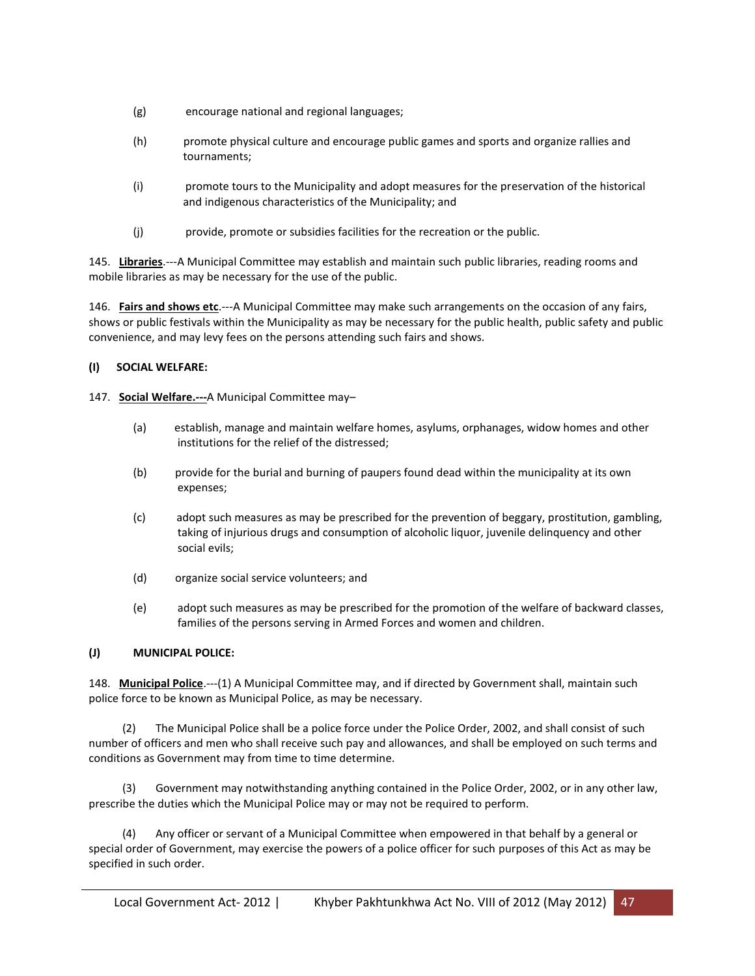- (g) encourage national and regional languages;
- (h) promote physical culture and encourage public games and sports and organize rallies and tournaments;
- (i) promote tours to the Municipality and adopt measures for the preservation of the historical and indigenous characteristics of the Municipality; and
- (j) provide, promote or subsidies facilities for the recreation or the public.

145. **Libraries**.---A Municipal Committee may establish and maintain such public libraries, reading rooms and mobile libraries as may be necessary for the use of the public.

146. **Fairs and shows etc**.---A Municipal Committee may make such arrangements on the occasion of any fairs, shows or public festivals within the Municipality as may be necessary for the public health, public safety and public convenience, and may levy fees on the persons attending such fairs and shows.

### **(I) SOCIAL WELFARE:**

### 147. **Social Welfare.---**A Municipal Committee may–

- (a) establish, manage and maintain welfare homes, asylums, orphanages, widow homes and other institutions for the relief of the distressed;
- (b) provide for the burial and burning of paupers found dead within the municipality at its own expenses;
- (c) adopt such measures as may be prescribed for the prevention of beggary, prostitution, gambling, taking of injurious drugs and consumption of alcoholic liquor, juvenile delinquency and other social evils;
- (d) organize social service volunteers; and
- (e) adopt such measures as may be prescribed for the promotion of the welfare of backward classes, families of the persons serving in Armed Forces and women and children.

### **(J) MUNICIPAL POLICE:**

148. **Municipal Police**.---(1) A Municipal Committee may, and if directed by Government shall, maintain such police force to be known as Municipal Police, as may be necessary.

 (2) The Municipal Police shall be a police force under the Police Order, 2002, and shall consist of such number of officers and men who shall receive such pay and allowances, and shall be employed on such terms and conditions as Government may from time to time determine.

 (3) Government may notwithstanding anything contained in the Police Order, 2002, or in any other law, prescribe the duties which the Municipal Police may or may not be required to perform.

 (4) Any officer or servant of a Municipal Committee when empowered in that behalf by a general or special order of Government, may exercise the powers of a police officer for such purposes of this Act as may be specified in such order.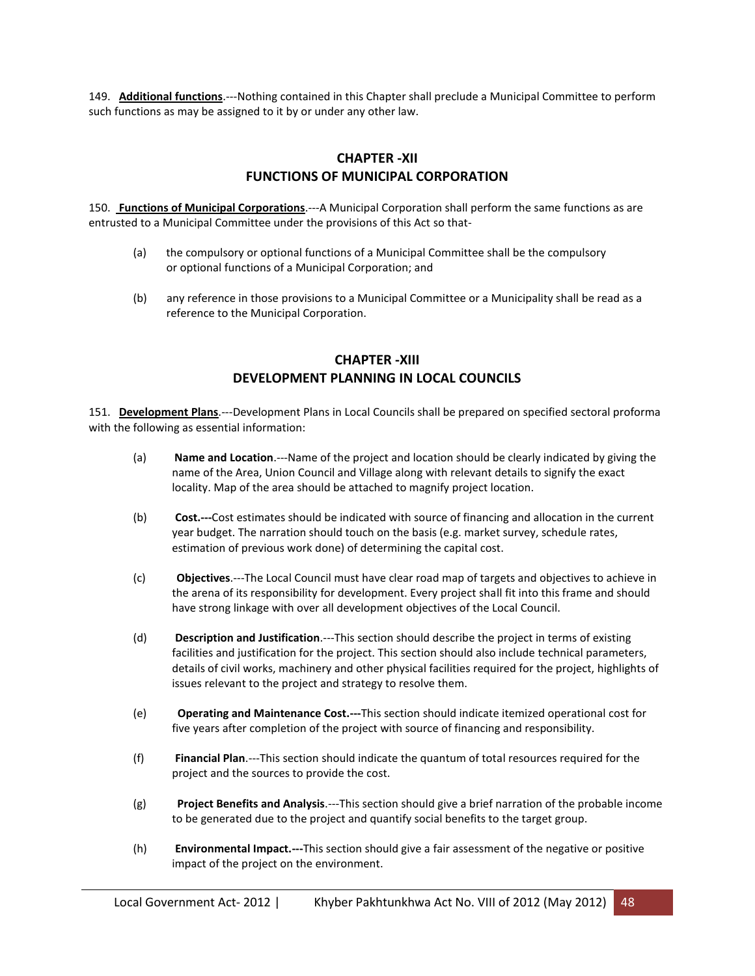149. **Additional functions**.---Nothing contained in this Chapter shall preclude a Municipal Committee to perform such functions as may be assigned to it by or under any other law.

# **CHAPTER -XII FUNCTIONS OF MUNICIPAL CORPORATION**

150. **Functions of Municipal Corporations**.---A Municipal Corporation shall perform the same functions as are entrusted to a Municipal Committee under the provisions of this Act so that-

- (a) the compulsory or optional functions of a Municipal Committee shall be the compulsory or optional functions of a Municipal Corporation; and
- (b) any reference in those provisions to a Municipal Committee or a Municipality shall be read as a reference to the Municipal Corporation.

# **CHAPTER -XIII DEVELOPMENT PLANNING IN LOCAL COUNCILS**

151. **Development Plans**.---Development Plans in Local Councils shall be prepared on specified sectoral proforma with the following as essential information:

- (a) **Name and Location**.---Name of the project and location should be clearly indicated by giving the name of the Area, Union Council and Village along with relevant details to signify the exact locality. Map of the area should be attached to magnify project location.
- (b) **Cost.---**Cost estimates should be indicated with source of financing and allocation in the current year budget. The narration should touch on the basis (e.g. market survey, schedule rates, estimation of previous work done) of determining the capital cost.
- (c) **Objectives**.---The Local Council must have clear road map of targets and objectives to achieve in the arena of its responsibility for development. Every project shall fit into this frame and should have strong linkage with over all development objectives of the Local Council.
- (d) **Description and Justification**.---This section should describe the project in terms of existing facilities and justification for the project. This section should also include technical parameters, details of civil works, machinery and other physical facilities required for the project, highlights of issues relevant to the project and strategy to resolve them.
- (e) **Operating and Maintenance Cost.---**This section should indicate itemized operational cost for five years after completion of the project with source of financing and responsibility.
- (f) **Financial Plan**.---This section should indicate the quantum of total resources required for the project and the sources to provide the cost.
- (g) **Project Benefits and Analysis**.---This section should give a brief narration of the probable income to be generated due to the project and quantify social benefits to the target group.
- (h) **Environmental Impact.---**This section should give a fair assessment of the negative or positive impact of the project on the environment.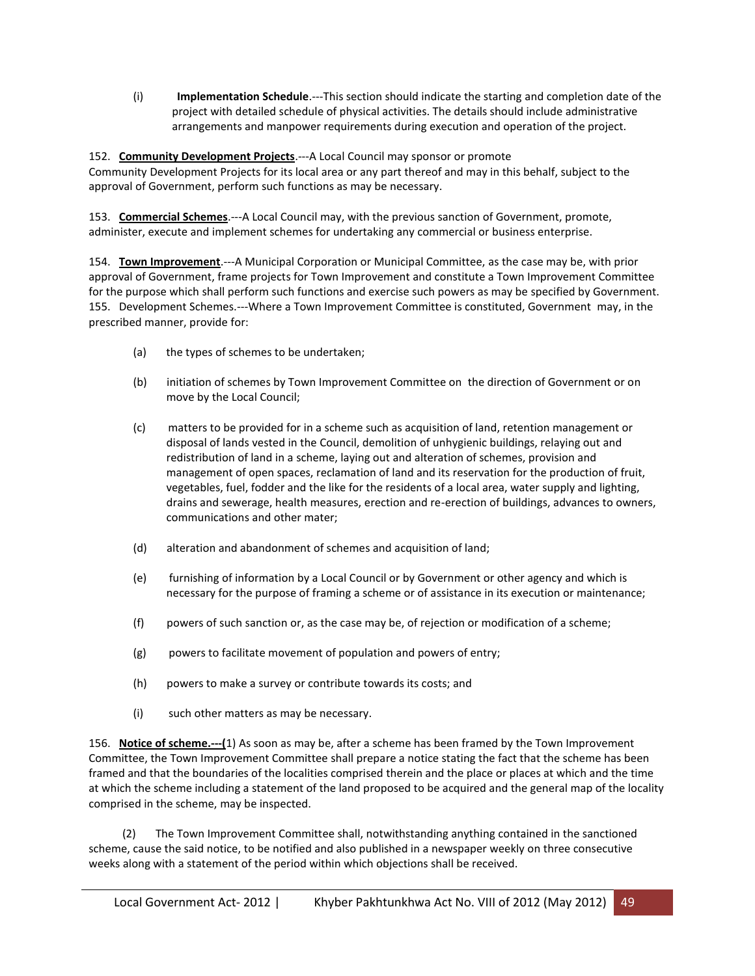(i) **Implementation Schedule**.---This section should indicate the starting and completion date of the project with detailed schedule of physical activities. The details should include administrative arrangements and manpower requirements during execution and operation of the project.

### 152. **Community Development Projects**.---A Local Council may sponsor or promote Community Development Projects for its local area or any part thereof and may in this behalf, subject to the approval of Government, perform such functions as may be necessary.

153. **Commercial Schemes**.---A Local Council may, with the previous sanction of Government, promote, administer, execute and implement schemes for undertaking any commercial or business enterprise.

154. **Town Improvement**.---A Municipal Corporation or Municipal Committee, as the case may be, with prior approval of Government, frame projects for Town Improvement and constitute a Town Improvement Committee for the purpose which shall perform such functions and exercise such powers as may be specified by Government. 155. Development Schemes.---Where a Town Improvement Committee is constituted, Government may, in the prescribed manner, provide for:

- (a) the types of schemes to be undertaken;
- (b) initiation of schemes by Town Improvement Committee on the direction of Government or on move by the Local Council;
- (c) matters to be provided for in a scheme such as acquisition of land, retention management or disposal of lands vested in the Council, demolition of unhygienic buildings, relaying out and redistribution of land in a scheme, laying out and alteration of schemes, provision and management of open spaces, reclamation of land and its reservation for the production of fruit, vegetables, fuel, fodder and the like for the residents of a local area, water supply and lighting, drains and sewerage, health measures, erection and re-erection of buildings, advances to owners, communications and other mater;
- (d) alteration and abandonment of schemes and acquisition of land;
- (e) furnishing of information by a Local Council or by Government or other agency and which is necessary for the purpose of framing a scheme or of assistance in its execution or maintenance;
- (f) powers of such sanction or, as the case may be, of rejection or modification of a scheme;
- (g) powers to facilitate movement of population and powers of entry;
- (h) powers to make a survey or contribute towards its costs; and
- (i) such other matters as may be necessary.

156. **Notice of scheme.---(**1) As soon as may be, after a scheme has been framed by the Town Improvement Committee, the Town Improvement Committee shall prepare a notice stating the fact that the scheme has been framed and that the boundaries of the localities comprised therein and the place or places at which and the time at which the scheme including a statement of the land proposed to be acquired and the general map of the locality comprised in the scheme, may be inspected.

 (2) The Town Improvement Committee shall, notwithstanding anything contained in the sanctioned scheme, cause the said notice, to be notified and also published in a newspaper weekly on three consecutive weeks along with a statement of the period within which objections shall be received.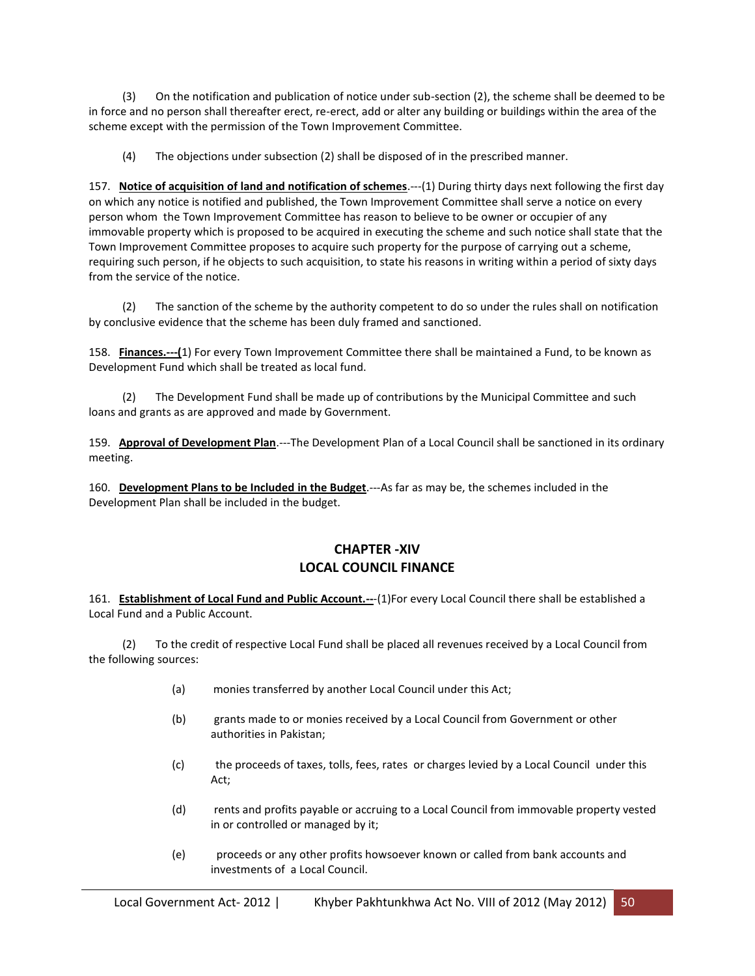(3) On the notification and publication of notice under sub-section (2), the scheme shall be deemed to be in force and no person shall thereafter erect, re-erect, add or alter any building or buildings within the area of the scheme except with the permission of the Town Improvement Committee.

(4) The objections under subsection (2) shall be disposed of in the prescribed manner.

157. **Notice of acquisition of land and notification of schemes**.---(1) During thirty days next following the first day on which any notice is notified and published, the Town Improvement Committee shall serve a notice on every person whom the Town Improvement Committee has reason to believe to be owner or occupier of any immovable property which is proposed to be acquired in executing the scheme and such notice shall state that the Town Improvement Committee proposes to acquire such property for the purpose of carrying out a scheme, requiring such person, if he objects to such acquisition, to state his reasons in writing within a period of sixty days from the service of the notice.

 (2) The sanction of the scheme by the authority competent to do so under the rules shall on notification by conclusive evidence that the scheme has been duly framed and sanctioned.

158. **Finances.---(**1) For every Town Improvement Committee there shall be maintained a Fund, to be known as Development Fund which shall be treated as local fund.

 (2) The Development Fund shall be made up of contributions by the Municipal Committee and such loans and grants as are approved and made by Government.

159. **Approval of Development Plan**.---The Development Plan of a Local Council shall be sanctioned in its ordinary meeting.

160. **Development Plans to be Included in the Budget**.---As far as may be, the schemes included in the Development Plan shall be included in the budget.

# **CHAPTER -XIV LOCAL COUNCIL FINANCE**

161. **Establishment of Local Fund and Public Account.--**-(1)For every Local Council there shall be established a Local Fund and a Public Account.

 (2) To the credit of respective Local Fund shall be placed all revenues received by a Local Council from the following sources:

- (a) monies transferred by another Local Council under this Act;
- (b) grants made to or monies received by a Local Council from Government or other authorities in Pakistan;
- (c) the proceeds of taxes, tolls, fees, rates or charges levied by a Local Council under this Act;
- (d) rents and profits payable or accruing to a Local Council from immovable property vested in or controlled or managed by it;
- (e) proceeds or any other profits howsoever known or called from bank accounts and investments of a Local Council.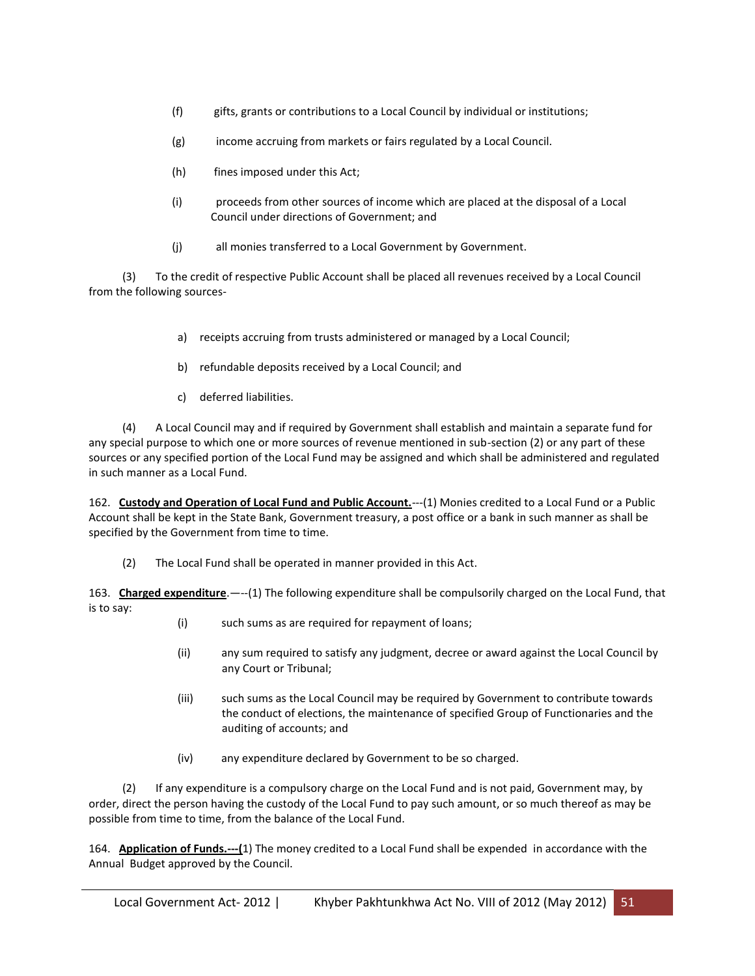- (f) gifts, grants or contributions to a Local Council by individual or institutions;
- (g) income accruing from markets or fairs regulated by a Local Council.
- (h) fines imposed under this Act;
- (i) proceeds from other sources of income which are placed at the disposal of a Local Council under directions of Government; and
- (j) all monies transferred to a Local Government by Government.

 (3) To the credit of respective Public Account shall be placed all revenues received by a Local Council from the following sources-

- a) receipts accruing from trusts administered or managed by a Local Council;
- b) refundable deposits received by a Local Council; and
- c) deferred liabilities.

 (4) A Local Council may and if required by Government shall establish and maintain a separate fund for any special purpose to which one or more sources of revenue mentioned in sub-section (2) or any part of these sources or any specified portion of the Local Fund may be assigned and which shall be administered and regulated in such manner as a Local Fund.

162. **Custody and Operation of Local Fund and Public Account.**---(1) Monies credited to a Local Fund or a Public Account shall be kept in the State Bank, Government treasury, a post office or a bank in such manner as shall be specified by the Government from time to time.

(2) The Local Fund shall be operated in manner provided in this Act.

163. **Charged expenditure**.—--(1) The following expenditure shall be compulsorily charged on the Local Fund, that is to say:

- (i) such sums as are required for repayment of loans;
- (ii) any sum required to satisfy any judgment, decree or award against the Local Council by any Court or Tribunal;
- (iii) such sums as the Local Council may be required by Government to contribute towards the conduct of elections, the maintenance of specified Group of Functionaries and the auditing of accounts; and
- (iv) any expenditure declared by Government to be so charged.

 (2) If any expenditure is a compulsory charge on the Local Fund and is not paid, Government may, by order, direct the person having the custody of the Local Fund to pay such amount, or so much thereof as may be possible from time to time, from the balance of the Local Fund.

164. **Application of Funds.---(**1) The money credited to a Local Fund shall be expended in accordance with the Annual Budget approved by the Council.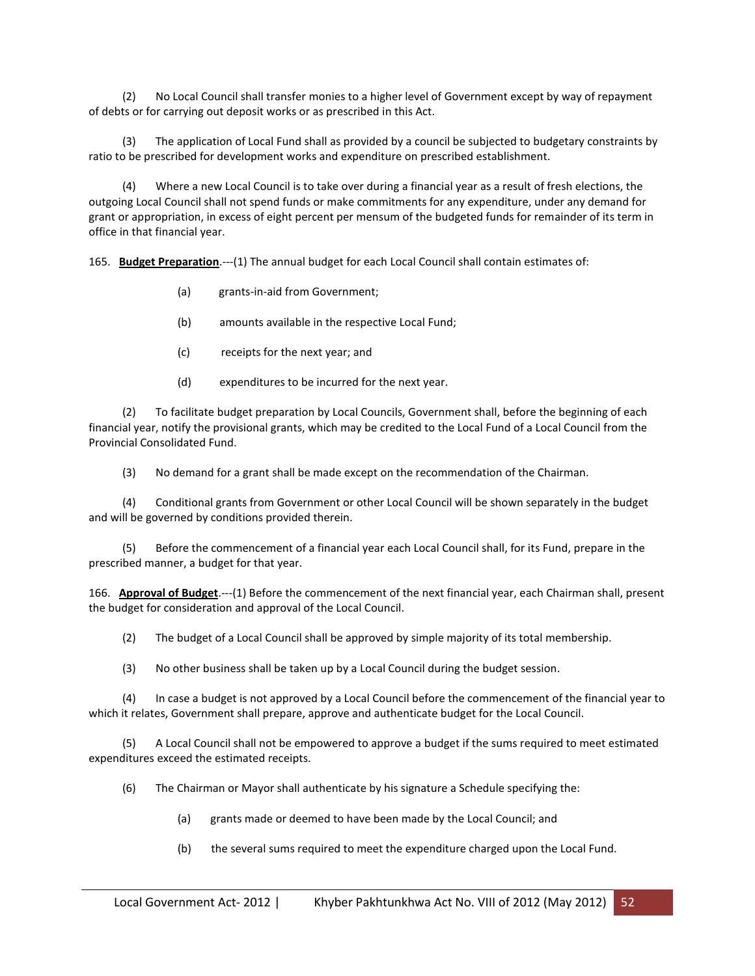(2) No Local Council shall transfer monies to a higher level of Government except by way of repayment of debts or for carrying out deposit works or as prescribed in this Act.

 (3) The application of Local Fund shall as provided by a council be subjected to budgetary constraints by ratio to be prescribed for development works and expenditure on prescribed establishment.

 (4) Where a new Local Council is to take over during a financial year as a result of fresh elections, the outgoing Local Council shall not spend funds or make commitments for any expenditure, under any demand for grant or appropriation, in excess of eight percent per mensum of the budgeted funds for remainder of its term in office in that financial year.

165. **Budget Preparation**.---(1) The annual budget for each Local Council shall contain estimates of:

- (a) grants-in-aid from Government;
- (b) amounts available in the respective Local Fund;
- (c) receipts for the next year; and
- (d) expenditures to be incurred for the next year.

 (2) To facilitate budget preparation by Local Councils, Government shall, before the beginning of each financial year, notify the provisional grants, which may be credited to the Local Fund of a Local Council from the Provincial Consolidated Fund.

(3) No demand for a grant shall be made except on the recommendation of the Chairman.

 (4) Conditional grants from Government or other Local Council will be shown separately in the budget and will be governed by conditions provided therein.

 (5) Before the commencement of a financial year each Local Council shall, for its Fund, prepare in the prescribed manner, a budget for that year.

166. **Approval of Budget**.---(1) Before the commencement of the next financial year, each Chairman shall, present the budget for consideration and approval of the Local Council.

(2) The budget of a Local Council shall be approved by simple majority of its total membership.

(3) No other business shall be taken up by a Local Council during the budget session.

 (4) In case a budget is not approved by a Local Council before the commencement of the financial year to which it relates, Government shall prepare, approve and authenticate budget for the Local Council.

 (5) A Local Council shall not be empowered to approve a budget if the sums required to meet estimated expenditures exceed the estimated receipts.

(6) The Chairman or Mayor shall authenticate by his signature a Schedule specifying the:

- (a) grants made or deemed to have been made by the Local Council; and
- (b) the several sums required to meet the expenditure charged upon the Local Fund.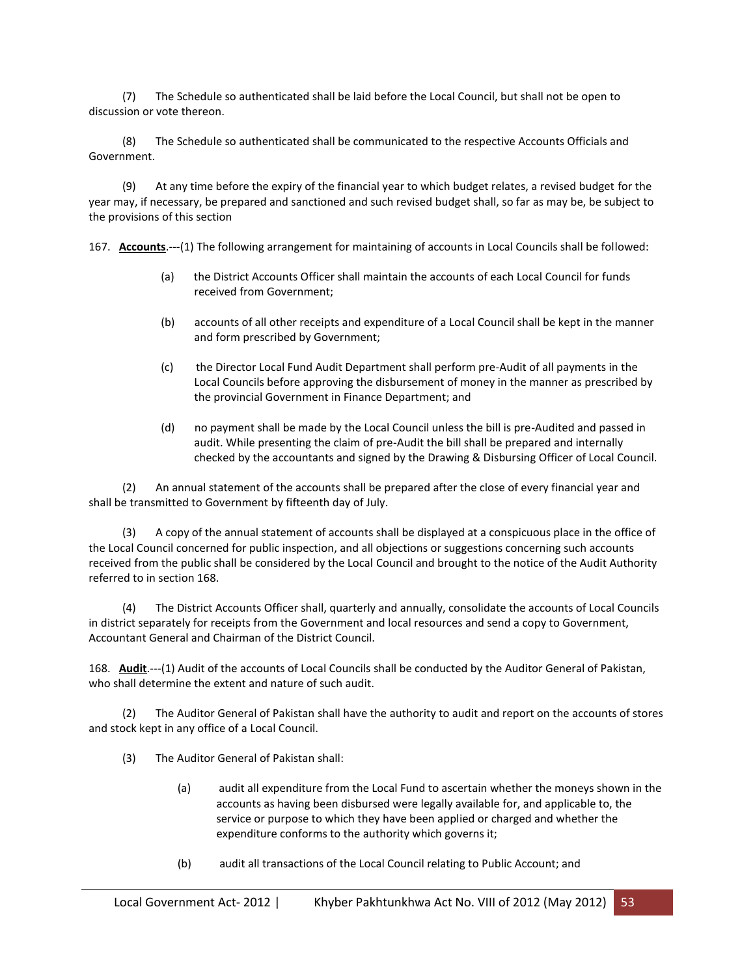(7) The Schedule so authenticated shall be laid before the Local Council, but shall not be open to discussion or vote thereon.

 (8) The Schedule so authenticated shall be communicated to the respective Accounts Officials and Government.

 (9) At any time before the expiry of the financial year to which budget relates, a revised budget for the year may, if necessary, be prepared and sanctioned and such revised budget shall, so far as may be, be subject to the provisions of this section

167. **Accounts**.---(1) The following arrangement for maintaining of accounts in Local Councils shall be followed:

- (a) the District Accounts Officer shall maintain the accounts of each Local Council for funds received from Government;
- (b) accounts of all other receipts and expenditure of a Local Council shall be kept in the manner and form prescribed by Government;
- (c) the Director Local Fund Audit Department shall perform pre-Audit of all payments in the Local Councils before approving the disbursement of money in the manner as prescribed by the provincial Government in Finance Department; and
- (d) no payment shall be made by the Local Council unless the bill is pre-Audited and passed in audit. While presenting the claim of pre-Audit the bill shall be prepared and internally checked by the accountants and signed by the Drawing & Disbursing Officer of Local Council.

 (2) An annual statement of the accounts shall be prepared after the close of every financial year and shall be transmitted to Government by fifteenth day of July.

 (3) A copy of the annual statement of accounts shall be displayed at a conspicuous place in the office of the Local Council concerned for public inspection, and all objections or suggestions concerning such accounts received from the public shall be considered by the Local Council and brought to the notice of the Audit Authority referred to in section 168.

 (4) The District Accounts Officer shall, quarterly and annually, consolidate the accounts of Local Councils in district separately for receipts from the Government and local resources and send a copy to Government, Accountant General and Chairman of the District Council.

168. **Audit**.---(1) Audit of the accounts of Local Councils shall be conducted by the Auditor General of Pakistan, who shall determine the extent and nature of such audit.

 (2) The Auditor General of Pakistan shall have the authority to audit and report on the accounts of stores and stock kept in any office of a Local Council.

- (3) The Auditor General of Pakistan shall:
	- (a) audit all expenditure from the Local Fund to ascertain whether the moneys shown in the accounts as having been disbursed were legally available for, and applicable to, the service or purpose to which they have been applied or charged and whether the expenditure conforms to the authority which governs it;
	- (b) audit all transactions of the Local Council relating to Public Account; and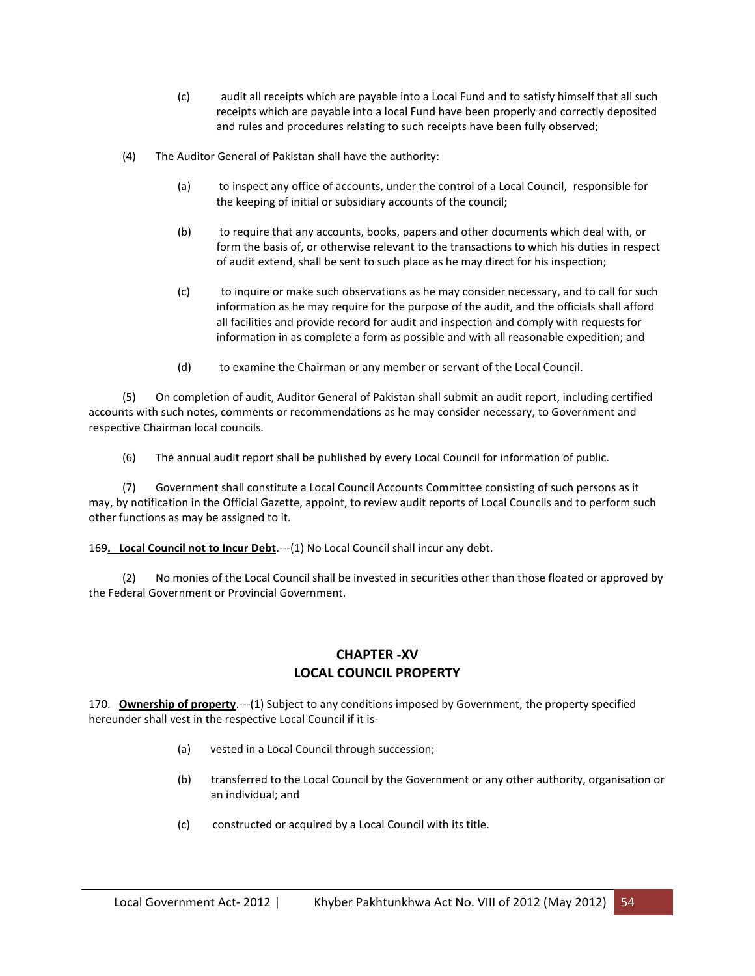- (c) audit all receipts which are payable into a Local Fund and to satisfy himself that all such receipts which are payable into a local Fund have been properly and correctly deposited and rules and procedures relating to such receipts have been fully observed;
- (4) The Auditor General of Pakistan shall have the authority:
	- (a) to inspect any office of accounts, under the control of a Local Council, responsible for the keeping of initial or subsidiary accounts of the council;
	- (b) to require that any accounts, books, papers and other documents which deal with, or form the basis of, or otherwise relevant to the transactions to which his duties in respect of audit extend, shall be sent to such place as he may direct for his inspection;
	- (c) to inquire or make such observations as he may consider necessary, and to call for such information as he may require for the purpose of the audit, and the officials shall afford all facilities and provide record for audit and inspection and comply with requests for information in as complete a form as possible and with all reasonable expedition; and
	- (d) to examine the Chairman or any member or servant of the Local Council.

 (5) On completion of audit, Auditor General of Pakistan shall submit an audit report, including certified accounts with such notes, comments or recommendations as he may consider necessary, to Government and respective Chairman local councils.

(6) The annual audit report shall be published by every Local Council for information of public.

 (7) Government shall constitute a Local Council Accounts Committee consisting of such persons as it may, by notification in the Official Gazette, appoint, to review audit reports of Local Councils and to perform such other functions as may be assigned to it.

169**. Local Council not to Incur Debt**.---(1) No Local Council shall incur any debt.

 (2) No monies of the Local Council shall be invested in securities other than those floated or approved by the Federal Government or Provincial Government.

## **CHAPTER -XV LOCAL COUNCIL PROPERTY**

170. **Ownership of property**.---(1) Subject to any conditions imposed by Government, the property specified hereunder shall vest in the respective Local Council if it is-

- (a) vested in a Local Council through succession;
- (b) transferred to the Local Council by the Government or any other authority, organisation or an individual; and
- (c) constructed or acquired by a Local Council with its title.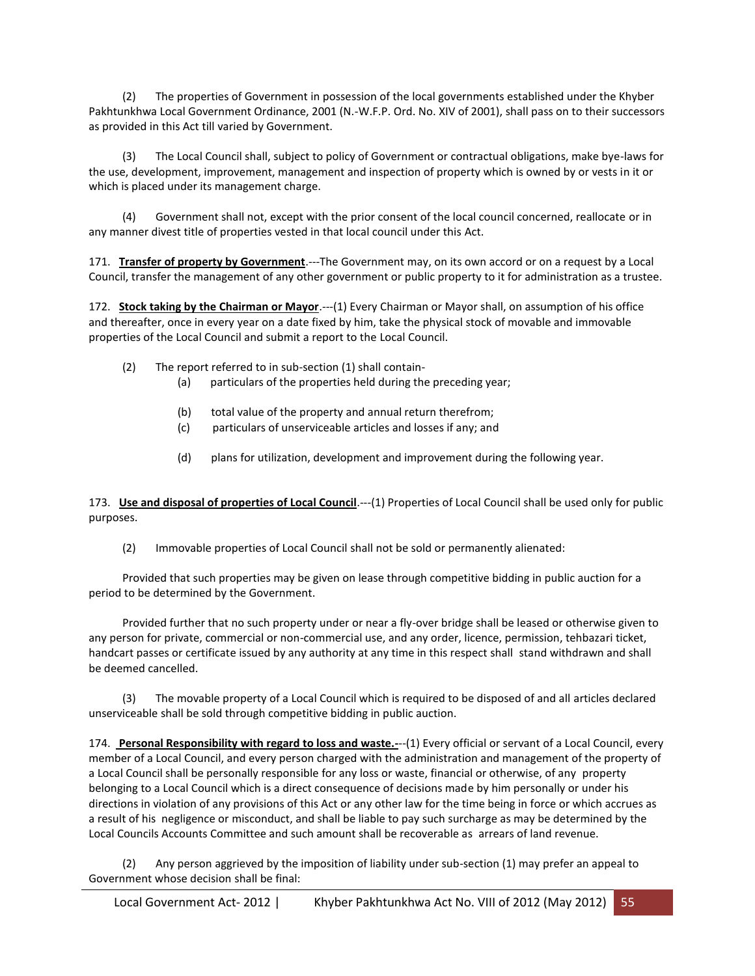(2) The properties of Government in possession of the local governments established under the Khyber Pakhtunkhwa Local Government Ordinance, 2001 (N.-W.F.P. Ord. No. XIV of 2001), shall pass on to their successors as provided in this Act till varied by Government.

 (3) The Local Council shall, subject to policy of Government or contractual obligations, make bye-laws for the use, development, improvement, management and inspection of property which is owned by or vests in it or which is placed under its management charge.

 (4) Government shall not, except with the prior consent of the local council concerned, reallocate or in any manner divest title of properties vested in that local council under this Act.

171. **Transfer of property by Government**.---The Government may, on its own accord or on a request by a Local Council, transfer the management of any other government or public property to it for administration as a trustee.

172. **Stock taking by the Chairman or Mayor**.---(1) Every Chairman or Mayor shall, on assumption of his office and thereafter, once in every year on a date fixed by him, take the physical stock of movable and immovable properties of the Local Council and submit a report to the Local Council.

- (2) The report referred to in sub-section (1) shall contain-
	- (a) particulars of the properties held during the preceding year;
	- (b) total value of the property and annual return therefrom;
	- (c) particulars of unserviceable articles and losses if any; and
	- (d) plans for utilization, development and improvement during the following year.

173. **Use and disposal of properties of Local Council**.---(1) Properties of Local Council shall be used only for public purposes.

(2) Immovable properties of Local Council shall not be sold or permanently alienated:

 Provided that such properties may be given on lease through competitive bidding in public auction for a period to be determined by the Government.

 Provided further that no such property under or near a fly-over bridge shall be leased or otherwise given to any person for private, commercial or non-commercial use, and any order, licence, permission, tehbazari ticket, handcart passes or certificate issued by any authority at any time in this respect shall stand withdrawn and shall be deemed cancelled.

The movable property of a Local Council which is required to be disposed of and all articles declared unserviceable shall be sold through competitive bidding in public auction.

174. **Personal Responsibility with regard to loss and waste.-**--(1) Every official or servant of a Local Council, every member of a Local Council, and every person charged with the administration and management of the property of a Local Council shall be personally responsible for any loss or waste, financial or otherwise, of any property belonging to a Local Council which is a direct consequence of decisions made by him personally or under his directions in violation of any provisions of this Act or any other law for the time being in force or which accrues as a result of his negligence or misconduct, and shall be liable to pay such surcharge as may be determined by the Local Councils Accounts Committee and such amount shall be recoverable as arrears of land revenue.

 (2) Any person aggrieved by the imposition of liability under sub-section (1) may prefer an appeal to Government whose decision shall be final: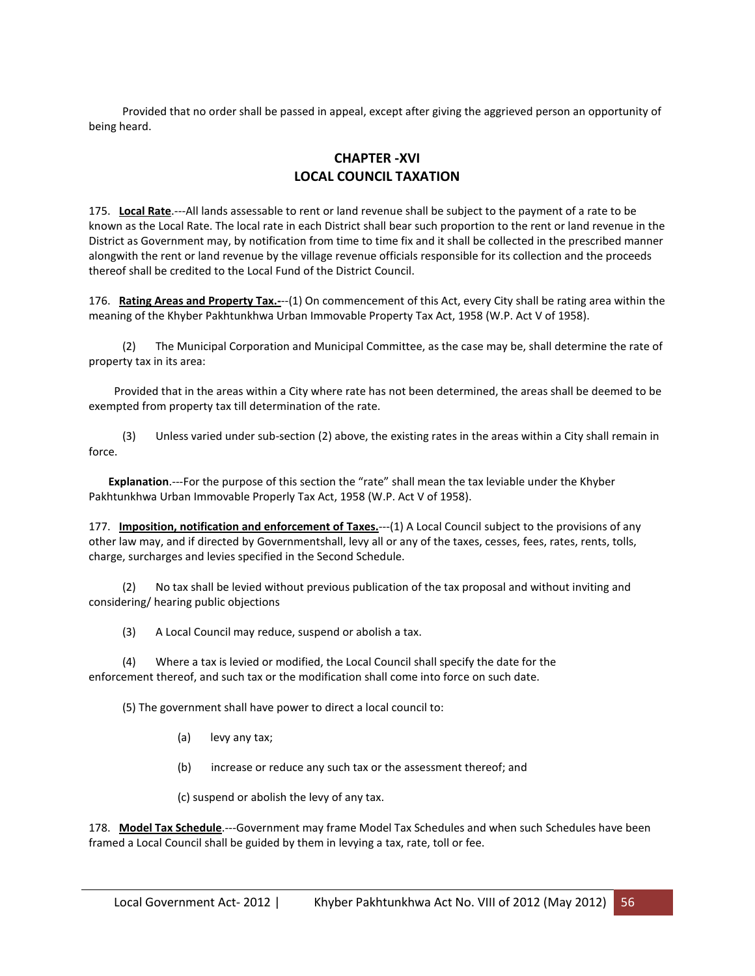Provided that no order shall be passed in appeal, except after giving the aggrieved person an opportunity of being heard.

# **CHAPTER -XVI LOCAL COUNCIL TAXATION**

175. **Local Rate**.---All lands assessable to rent or land revenue shall be subject to the payment of a rate to be known as the Local Rate. The local rate in each District shall bear such proportion to the rent or land revenue in the District as Government may, by notification from time to time fix and it shall be collected in the prescribed manner alongwith the rent or land revenue by the village revenue officials responsible for its collection and the proceeds thereof shall be credited to the Local Fund of the District Council.

176. **Rating Areas and Property Tax.-**--(1) On commencement of this Act, every City shall be rating area within the meaning of the Khyber Pakhtunkhwa Urban Immovable Property Tax Act, 1958 (W.P. Act V of 1958).

 (2) The Municipal Corporation and Municipal Committee, as the case may be, shall determine the rate of property tax in its area:

 Provided that in the areas within a City where rate has not been determined, the areas shall be deemed to be exempted from property tax till determination of the rate.

 (3) Unless varied under sub-section (2) above, the existing rates in the areas within a City shall remain in force.

 **Explanation**.---For the purpose of this section the "rate" shall mean the tax leviable under the Khyber Pakhtunkhwa Urban Immovable Properly Tax Act, 1958 (W.P. Act V of 1958).

177. **Imposition, notification and enforcement of Taxes.**---(1) A Local Council subject to the provisions of any other law may, and if directed by Governmentshall, levy all or any of the taxes, cesses, fees, rates, rents, tolls, charge, surcharges and levies specified in the Second Schedule.

 (2) No tax shall be levied without previous publication of the tax proposal and without inviting and considering/ hearing public objections

(3) A Local Council may reduce, suspend or abolish a tax.

 (4) Where a tax is levied or modified, the Local Council shall specify the date for the enforcement thereof, and such tax or the modification shall come into force on such date.

(5) The government shall have power to direct a local council to:

- (a) levy any tax;
- (b) increase or reduce any such tax or the assessment thereof; and

(c) suspend or abolish the levy of any tax.

178. **Model Tax Schedule**.---Government may frame Model Tax Schedules and when such Schedules have been framed a Local Council shall be guided by them in levying a tax, rate, toll or fee.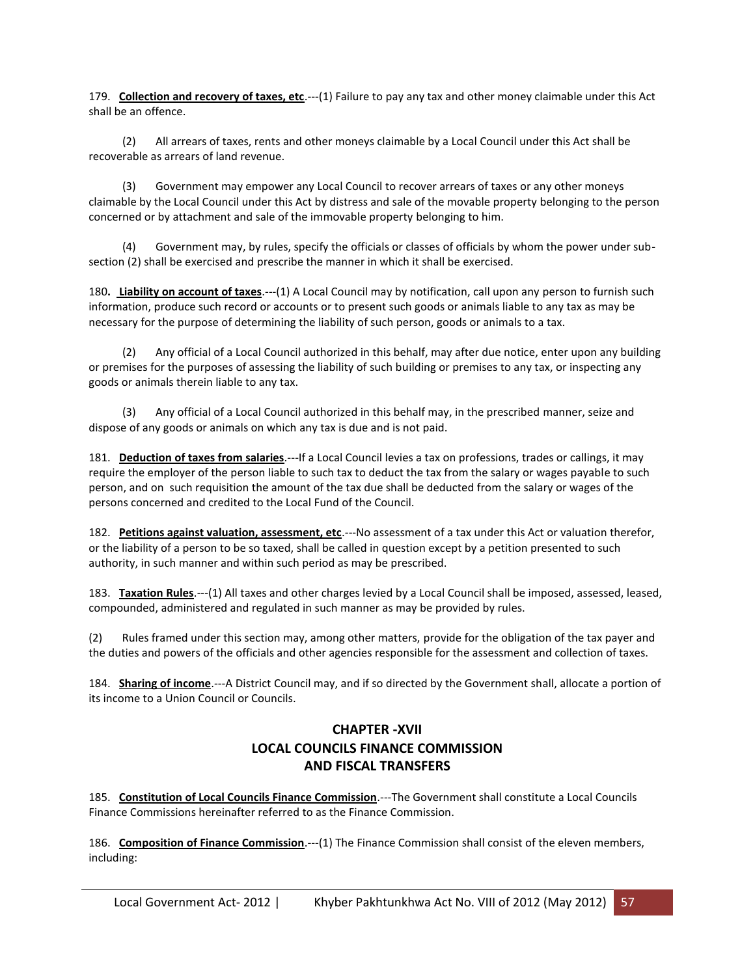179. **Collection and recovery of taxes, etc**.---(1) Failure to pay any tax and other money claimable under this Act shall be an offence.

 (2) All arrears of taxes, rents and other moneys claimable by a Local Council under this Act shall be recoverable as arrears of land revenue.

 (3) Government may empower any Local Council to recover arrears of taxes or any other moneys claimable by the Local Council under this Act by distress and sale of the movable property belonging to the person concerned or by attachment and sale of the immovable property belonging to him.

 (4) Government may, by rules, specify the officials or classes of officials by whom the power under subsection (2) shall be exercised and prescribe the manner in which it shall be exercised.

180**. Liability on account of taxes**.---(1) A Local Council may by notification, call upon any person to furnish such information, produce such record or accounts or to present such goods or animals liable to any tax as may be necessary for the purpose of determining the liability of such person, goods or animals to a tax.

 (2) Any official of a Local Council authorized in this behalf, may after due notice, enter upon any building or premises for the purposes of assessing the liability of such building or premises to any tax, or inspecting any goods or animals therein liable to any tax.

Any official of a Local Council authorized in this behalf may, in the prescribed manner, seize and dispose of any goods or animals on which any tax is due and is not paid.

181. **Deduction of taxes from salaries**.---If a Local Council levies a tax on professions, trades or callings, it may require the employer of the person liable to such tax to deduct the tax from the salary or wages payable to such person, and on such requisition the amount of the tax due shall be deducted from the salary or wages of the persons concerned and credited to the Local Fund of the Council.

182. **Petitions against valuation, assessment, etc**.---No assessment of a tax under this Act or valuation therefor, or the liability of a person to be so taxed, shall be called in question except by a petition presented to such authority, in such manner and within such period as may be prescribed.

183. **Taxation Rules**.---(1) All taxes and other charges levied by a Local Council shall be imposed, assessed, leased, compounded, administered and regulated in such manner as may be provided by rules.

(2) Rules framed under this section may, among other matters, provide for the obligation of the tax payer and the duties and powers of the officials and other agencies responsible for the assessment and collection of taxes.

184. **Sharing of income**.---A District Council may, and if so directed by the Government shall, allocate a portion of its income to a Union Council or Councils.

# **CHAPTER -XVII LOCAL COUNCILS FINANCE COMMISSION AND FISCAL TRANSFERS**

185. **Constitution of Local Councils Finance Commission**.---The Government shall constitute a Local Councils Finance Commissions hereinafter referred to as the Finance Commission.

186. **Composition of Finance Commission**.---(1) The Finance Commission shall consist of the eleven members, including: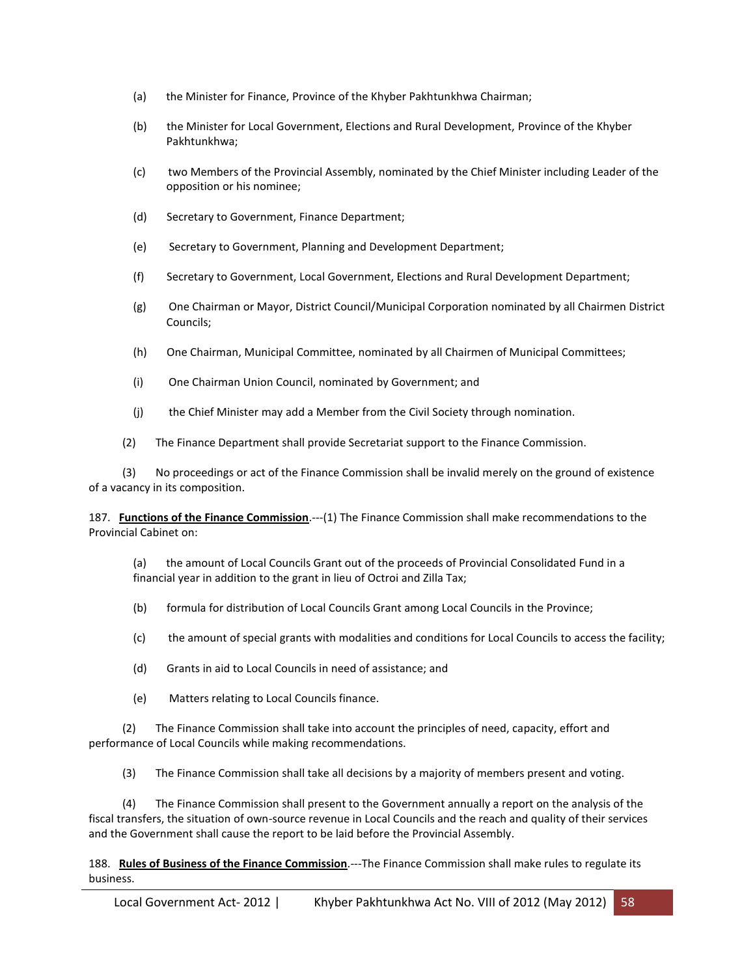- (a) the Minister for Finance, Province of the Khyber Pakhtunkhwa Chairman;
- (b) the Minister for Local Government, Elections and Rural Development, Province of the Khyber Pakhtunkhwa;
- (c) two Members of the Provincial Assembly, nominated by the Chief Minister including Leader of the opposition or his nominee;
- (d) Secretary to Government, Finance Department;
- (e) Secretary to Government, Planning and Development Department;
- (f) Secretary to Government, Local Government, Elections and Rural Development Department;
- (g) One Chairman or Mayor, District Council/Municipal Corporation nominated by all Chairmen District Councils;
- (h) One Chairman, Municipal Committee, nominated by all Chairmen of Municipal Committees;
- (i) One Chairman Union Council, nominated by Government; and
- (j) the Chief Minister may add a Member from the Civil Society through nomination.
- (2) The Finance Department shall provide Secretariat support to the Finance Commission.

 (3) No proceedings or act of the Finance Commission shall be invalid merely on the ground of existence of a vacancy in its composition.

187. **Functions of the Finance Commission**.---(1) The Finance Commission shall make recommendations to the Provincial Cabinet on:

(a) the amount of Local Councils Grant out of the proceeds of Provincial Consolidated Fund in a financial year in addition to the grant in lieu of Octroi and Zilla Tax;

- (b) formula for distribution of Local Councils Grant among Local Councils in the Province;
- (c) the amount of special grants with modalities and conditions for Local Councils to access the facility;
- (d) Grants in aid to Local Councils in need of assistance; and
- (e) Matters relating to Local Councils finance.

 (2) The Finance Commission shall take into account the principles of need, capacity, effort and performance of Local Councils while making recommendations.

(3) The Finance Commission shall take all decisions by a majority of members present and voting.

 (4) The Finance Commission shall present to the Government annually a report on the analysis of the fiscal transfers, the situation of own-source revenue in Local Councils and the reach and quality of their services and the Government shall cause the report to be laid before the Provincial Assembly.

188. **Rules of Business of the Finance Commission**.---The Finance Commission shall make rules to regulate its business.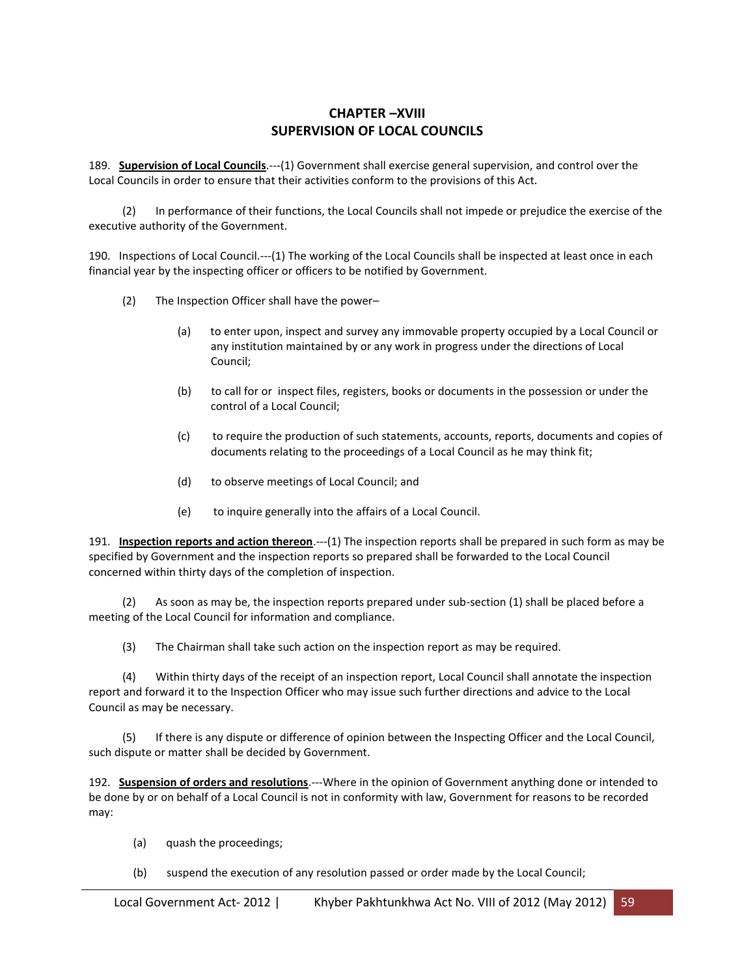# **CHAPTER –XVIII SUPERVISION OF LOCAL COUNCILS**

189. **Supervision of Local Councils**.---(1) Government shall exercise general supervision, and control over the Local Councils in order to ensure that their activities conform to the provisions of this Act.

 (2) In performance of their functions, the Local Councils shall not impede or prejudice the exercise of the executive authority of the Government.

190. Inspections of Local Council.---(1) The working of the Local Councils shall be inspected at least once in each financial year by the inspecting officer or officers to be notified by Government.

- (2) The Inspection Officer shall have the power–
	- (a) to enter upon, inspect and survey any immovable property occupied by a Local Council or any institution maintained by or any work in progress under the directions of Local Council;
	- (b) to call for or inspect files, registers, books or documents in the possession or under the control of a Local Council;
	- (c) to require the production of such statements, accounts, reports, documents and copies of documents relating to the proceedings of a Local Council as he may think fit;
	- (d) to observe meetings of Local Council; and
	- (e) to inquire generally into the affairs of a Local Council.

191. **Inspection reports and action thereon**.---(1) The inspection reports shall be prepared in such form as may be specified by Government and the inspection reports so prepared shall be forwarded to the Local Council concerned within thirty days of the completion of inspection.

 (2) As soon as may be, the inspection reports prepared under sub-section (1) shall be placed before a meeting of the Local Council for information and compliance.

(3) The Chairman shall take such action on the inspection report as may be required.

 (4) Within thirty days of the receipt of an inspection report, Local Council shall annotate the inspection report and forward it to the Inspection Officer who may issue such further directions and advice to the Local Council as may be necessary.

 (5) If there is any dispute or difference of opinion between the Inspecting Officer and the Local Council, such dispute or matter shall be decided by Government.

192. **Suspension of orders and resolutions**.---Where in the opinion of Government anything done or intended to be done by or on behalf of a Local Council is not in conformity with law, Government for reasons to be recorded may:

- (a) quash the proceedings;
- (b) suspend the execution of any resolution passed or order made by the Local Council;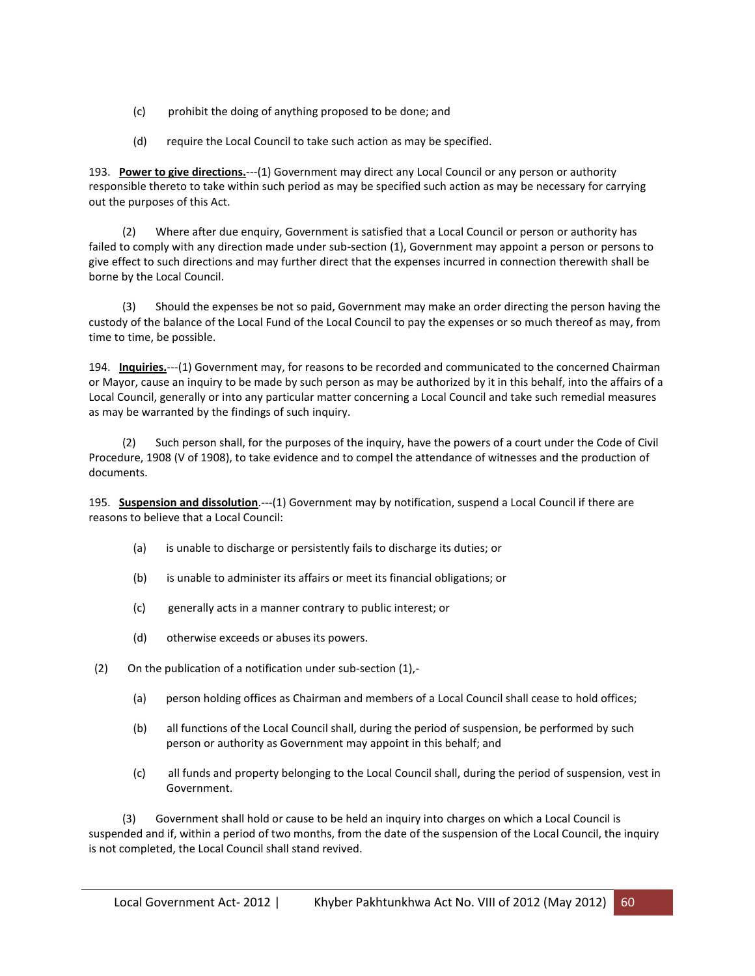- (c) prohibit the doing of anything proposed to be done; and
- (d) require the Local Council to take such action as may be specified.

193. **Power to give directions.**---(1) Government may direct any Local Council or any person or authority responsible thereto to take within such period as may be specified such action as may be necessary for carrying out the purposes of this Act.

 (2) Where after due enquiry, Government is satisfied that a Local Council or person or authority has failed to comply with any direction made under sub-section (1), Government may appoint a person or persons to give effect to such directions and may further direct that the expenses incurred in connection therewith shall be borne by the Local Council.

 (3) Should the expenses be not so paid, Government may make an order directing the person having the custody of the balance of the Local Fund of the Local Council to pay the expenses or so much thereof as may, from time to time, be possible.

194. **Inquiries.**---(1) Government may, for reasons to be recorded and communicated to the concerned Chairman or Mayor, cause an inquiry to be made by such person as may be authorized by it in this behalf, into the affairs of a Local Council, generally or into any particular matter concerning a Local Council and take such remedial measures as may be warranted by the findings of such inquiry.

 (2) Such person shall, for the purposes of the inquiry, have the powers of a court under the Code of Civil Procedure, 1908 (V of 1908), to take evidence and to compel the attendance of witnesses and the production of documents.

195. **Suspension and dissolution**.---(1) Government may by notification, suspend a Local Council if there are reasons to believe that a Local Council:

- (a) is unable to discharge or persistently fails to discharge its duties; or
- (b) is unable to administer its affairs or meet its financial obligations; or
- (c) generally acts in a manner contrary to public interest; or
- (d) otherwise exceeds or abuses its powers.
- (2) On the publication of a notification under sub-section (1),-
	- (a) person holding offices as Chairman and members of a Local Council shall cease to hold offices;
	- (b) all functions of the Local Council shall, during the period of suspension, be performed by such person or authority as Government may appoint in this behalf; and
	- (c) all funds and property belonging to the Local Council shall, during the period of suspension, vest in Government.

 (3) Government shall hold or cause to be held an inquiry into charges on which a Local Council is suspended and if, within a period of two months, from the date of the suspension of the Local Council, the inquiry is not completed, the Local Council shall stand revived.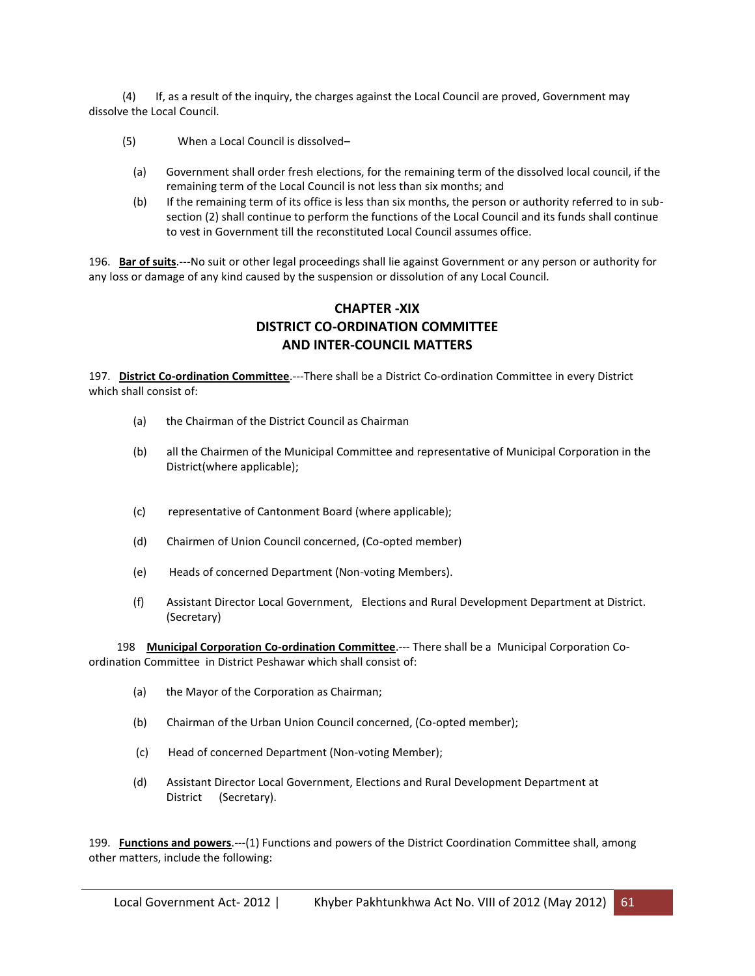(4) If, as a result of the inquiry, the charges against the Local Council are proved, Government may dissolve the Local Council.

- (5) When a Local Council is dissolved–
	- (a) Government shall order fresh elections, for the remaining term of the dissolved local council, if the remaining term of the Local Council is not less than six months; and
	- (b) If the remaining term of its office is less than six months, the person or authority referred to in subsection (2) shall continue to perform the functions of the Local Council and its funds shall continue to vest in Government till the reconstituted Local Council assumes office.

196. **Bar of suits**.---No suit or other legal proceedings shall lie against Government or any person or authority for any loss or damage of any kind caused by the suspension or dissolution of any Local Council.

# **CHAPTER -XIX DISTRICT CO-ORDINATION COMMITTEE AND INTER-COUNCIL MATTERS**

197. **District Co-ordination Committee**.---There shall be a District Co-ordination Committee in every District which shall consist of:

- (a) the Chairman of the District Council as Chairman
- (b) all the Chairmen of the Municipal Committee and representative of Municipal Corporation in the District(where applicable);
- (c) representative of Cantonment Board (where applicable);
- (d) Chairmen of Union Council concerned, (Co-opted member)
- (e) Heads of concerned Department (Non-voting Members).
- (f) Assistant Director Local Government, Elections and Rural Development Department at District. (Secretary)

 198 **Municipal Corporation Co-ordination Committee**.--- There shall be a Municipal Corporation Coordination Committee in District Peshawar which shall consist of:

- (a) the Mayor of the Corporation as Chairman;
- (b) Chairman of the Urban Union Council concerned, (Co-opted member);
- (c) Head of concerned Department (Non-voting Member);
- (d) Assistant Director Local Government, Elections and Rural Development Department at District (Secretary).

199. **Functions and powers**.---(1) Functions and powers of the District Coordination Committee shall, among other matters, include the following: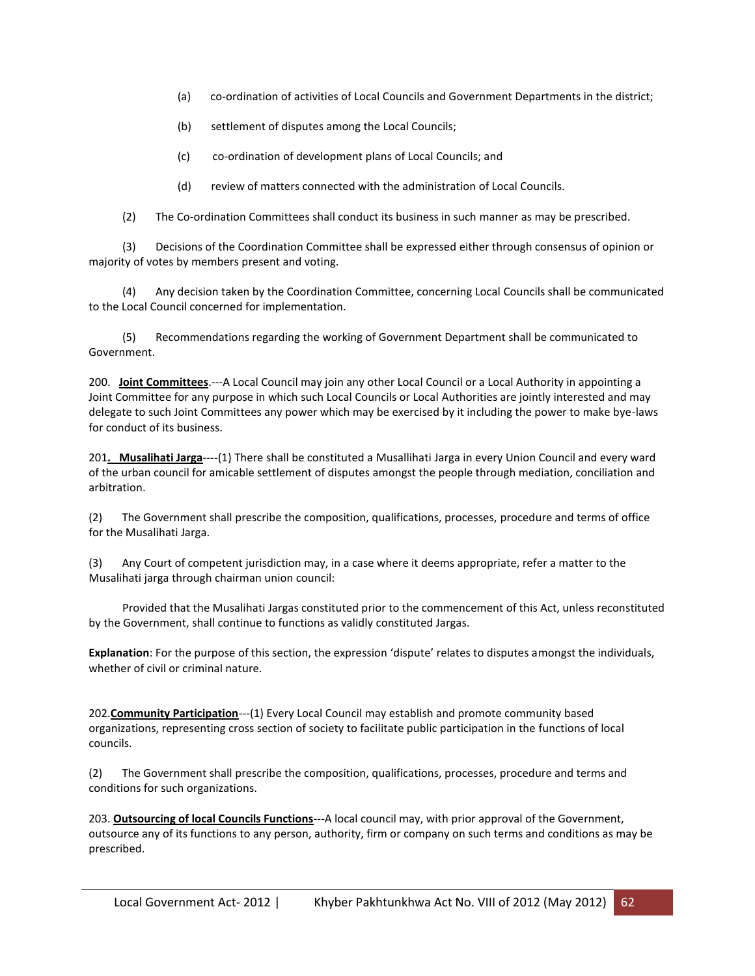- (a) co-ordination of activities of Local Councils and Government Departments in the district;
- (b) settlement of disputes among the Local Councils;
- (c) co-ordination of development plans of Local Councils; and
- (d) review of matters connected with the administration of Local Councils.
- (2) The Co-ordination Committees shall conduct its business in such manner as may be prescribed.

 (3) Decisions of the Coordination Committee shall be expressed either through consensus of opinion or majority of votes by members present and voting.

 (4) Any decision taken by the Coordination Committee, concerning Local Councils shall be communicated to the Local Council concerned for implementation.

 (5) Recommendations regarding the working of Government Department shall be communicated to Government.

200. **Joint Committees**.---A Local Council may join any other Local Council or a Local Authority in appointing a Joint Committee for any purpose in which such Local Councils or Local Authorities are jointly interested and may delegate to such Joint Committees any power which may be exercised by it including the power to make bye-laws for conduct of its business.

201**. Musalihati Jarga**----(1) There shall be constituted a Musallihati Jarga in every Union Council and every ward of the urban council for amicable settlement of disputes amongst the people through mediation, conciliation and arbitration.

(2) The Government shall prescribe the composition, qualifications, processes, procedure and terms of office for the Musalihati Jarga.

(3) Any Court of competent jurisdiction may, in a case where it deems appropriate, refer a matter to the Musalihati jarga through chairman union council:

 Provided that the Musalihati Jargas constituted prior to the commencement of this Act, unless reconstituted by the Government, shall continue to functions as validly constituted Jargas.

**Explanation**: For the purpose of this section, the expression 'dispute' relates to disputes amongst the individuals, whether of civil or criminal nature.

202.**Community Participation**---(1) Every Local Council may establish and promote community based organizations, representing cross section of society to facilitate public participation in the functions of local councils.

(2) The Government shall prescribe the composition, qualifications, processes, procedure and terms and conditions for such organizations.

203. **Outsourcing of local Councils Functions**---A local council may, with prior approval of the Government, outsource any of its functions to any person, authority, firm or company on such terms and conditions as may be prescribed.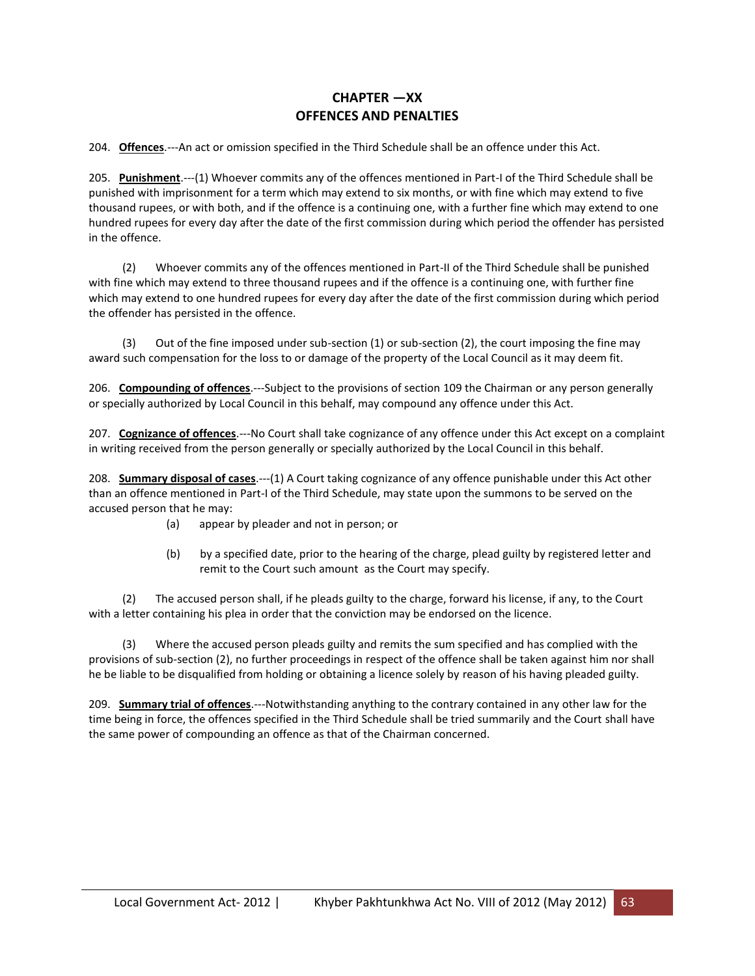# **CHAPTER —XX OFFENCES AND PENALTIES**

204. **Offences**.---An act or omission specified in the Third Schedule shall be an offence under this Act.

205. **Punishment**.---(1) Whoever commits any of the offences mentioned in Part-I of the Third Schedule shall be punished with imprisonment for a term which may extend to six months, or with fine which may extend to five thousand rupees, or with both, and if the offence is a continuing one, with a further fine which may extend to one hundred rupees for every day after the date of the first commission during which period the offender has persisted in the offence.

 (2) Whoever commits any of the offences mentioned in Part-II of the Third Schedule shall be punished with fine which may extend to three thousand rupees and if the offence is a continuing one, with further fine which may extend to one hundred rupees for every day after the date of the first commission during which period the offender has persisted in the offence.

 (3) Out of the fine imposed under sub-section (1) or sub-section (2), the court imposing the fine may award such compensation for the loss to or damage of the property of the Local Council as it may deem fit.

206. **Compounding of offences**.---Subject to the provisions of section 109 the Chairman or any person generally or specially authorized by Local Council in this behalf, may compound any offence under this Act.

207. **Cognizance of offences**.---No Court shall take cognizance of any offence under this Act except on a complaint in writing received from the person generally or specially authorized by the Local Council in this behalf.

208. **Summary disposal of cases**.---(1) A Court taking cognizance of any offence punishable under this Act other than an offence mentioned in Part-I of the Third Schedule, may state upon the summons to be served on the accused person that he may:

- (a) appear by pleader and not in person; or
- (b) by a specified date, prior to the hearing of the charge, plead guilty by registered letter and remit to the Court such amount as the Court may specify.

 (2) The accused person shall, if he pleads guilty to the charge, forward his license, if any, to the Court with a letter containing his plea in order that the conviction may be endorsed on the licence.

Where the accused person pleads guilty and remits the sum specified and has complied with the provisions of sub-section (2), no further proceedings in respect of the offence shall be taken against him nor shall he be liable to be disqualified from holding or obtaining a licence solely by reason of his having pleaded guilty.

209. **Summary trial of offences**.---Notwithstanding anything to the contrary contained in any other law for the time being in force, the offences specified in the Third Schedule shall be tried summarily and the Court shall have the same power of compounding an offence as that of the Chairman concerned.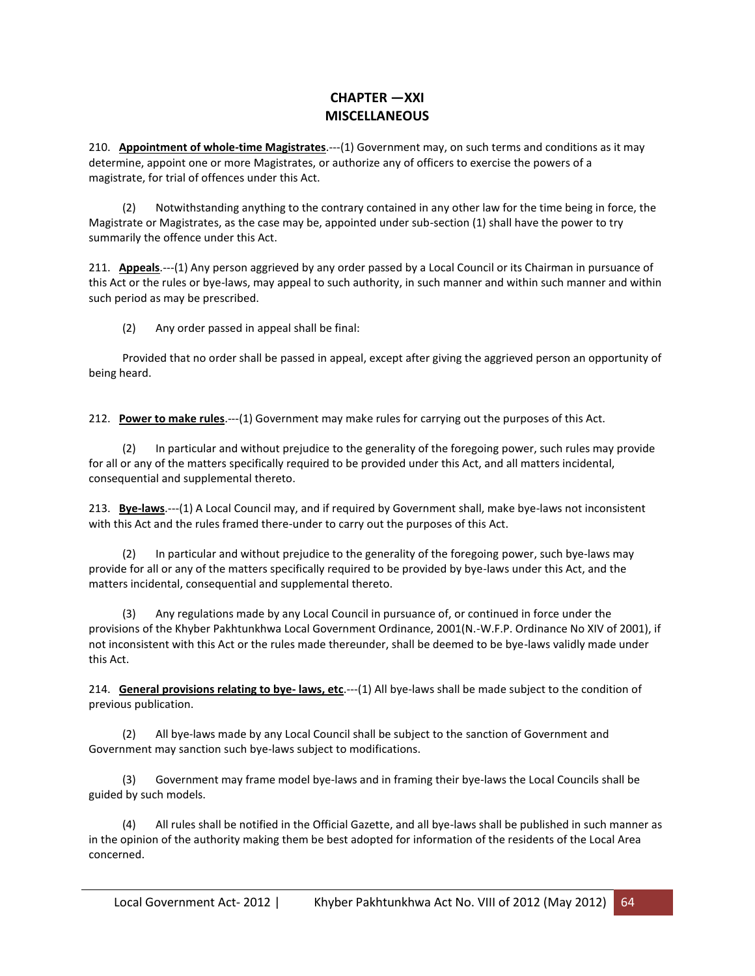# **CHAPTER —XXI MISCELLANEOUS**

210. **Appointment of whole-time Magistrates**.---(1) Government may, on such terms and conditions as it may determine, appoint one or more Magistrates, or authorize any of officers to exercise the powers of a magistrate, for trial of offences under this Act.

Notwithstanding anything to the contrary contained in any other law for the time being in force, the Magistrate or Magistrates, as the case may be, appointed under sub-section (1) shall have the power to try summarily the offence under this Act.

211. **Appeals**.---(1) Any person aggrieved by any order passed by a Local Council or its Chairman in pursuance of this Act or the rules or bye-laws, may appeal to such authority, in such manner and within such manner and within such period as may be prescribed.

(2) Any order passed in appeal shall be final:

 Provided that no order shall be passed in appeal, except after giving the aggrieved person an opportunity of being heard.

212. **Power to make rules**.---(1) Government may make rules for carrying out the purposes of this Act.

 (2) In particular and without prejudice to the generality of the foregoing power, such rules may provide for all or any of the matters specifically required to be provided under this Act, and all matters incidental, consequential and supplemental thereto.

213. **Bye-laws**.---(1) A Local Council may, and if required by Government shall, make bye-laws not inconsistent with this Act and the rules framed there-under to carry out the purposes of this Act.

 (2) In particular and without prejudice to the generality of the foregoing power, such bye-laws may provide for all or any of the matters specifically required to be provided by bye-laws under this Act, and the matters incidental, consequential and supplemental thereto.

 (3) Any regulations made by any Local Council in pursuance of, or continued in force under the provisions of the Khyber Pakhtunkhwa Local Government Ordinance, 2001(N.-W.F.P. Ordinance No XIV of 2001), if not inconsistent with this Act or the rules made thereunder, shall be deemed to be bye-laws validly made under this Act.

214. **General provisions relating to bye- laws, etc**.---(1) All bye-laws shall be made subject to the condition of previous publication.

 (2) All bye-laws made by any Local Council shall be subject to the sanction of Government and Government may sanction such bye-laws subject to modifications.

 (3) Government may frame model bye-laws and in framing their bye-laws the Local Councils shall be guided by such models.

 (4) All rules shall be notified in the Official Gazette, and all bye-laws shall be published in such manner as in the opinion of the authority making them be best adopted for information of the residents of the Local Area concerned.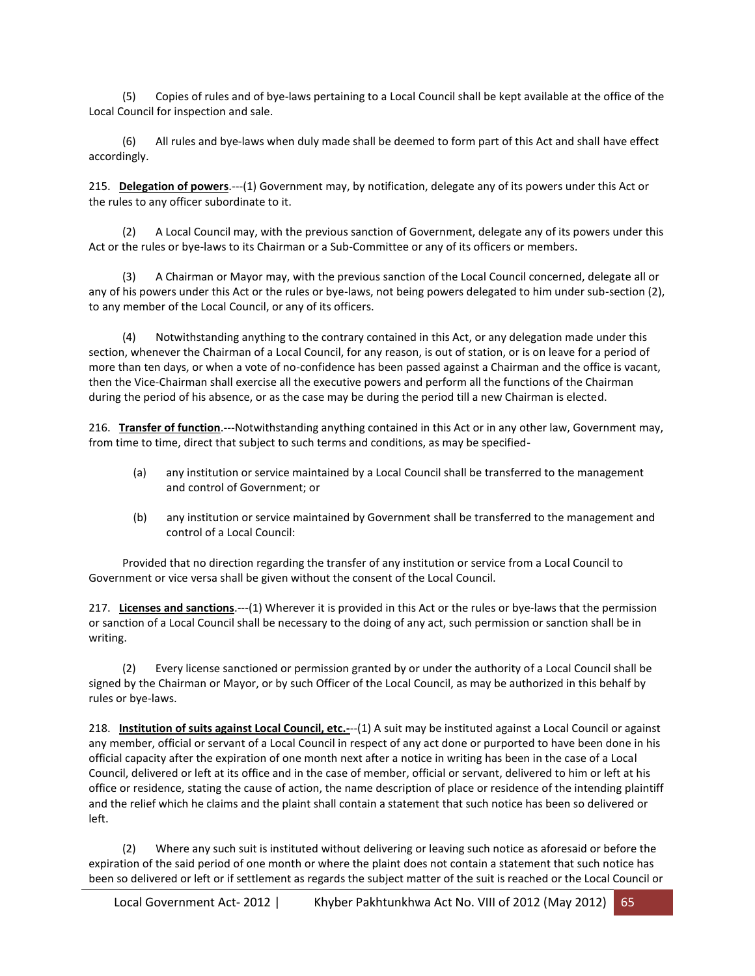(5) Copies of rules and of bye-laws pertaining to a Local Council shall be kept available at the office of the Local Council for inspection and sale.

 (6) All rules and bye-laws when duly made shall be deemed to form part of this Act and shall have effect accordingly.

215. **Delegation of powers**.---(1) Government may, by notification, delegate any of its powers under this Act or the rules to any officer subordinate to it.

 (2) A Local Council may, with the previous sanction of Government, delegate any of its powers under this Act or the rules or bye-laws to its Chairman or a Sub-Committee or any of its officers or members.

 (3) A Chairman or Mayor may, with the previous sanction of the Local Council concerned, delegate all or any of his powers under this Act or the rules or bye-laws, not being powers delegated to him under sub-section (2), to any member of the Local Council, or any of its officers.

 (4) Notwithstanding anything to the contrary contained in this Act, or any delegation made under this section, whenever the Chairman of a Local Council, for any reason, is out of station, or is on leave for a period of more than ten days, or when a vote of no-confidence has been passed against a Chairman and the office is vacant, then the Vice-Chairman shall exercise all the executive powers and perform all the functions of the Chairman during the period of his absence, or as the case may be during the period till a new Chairman is elected.

216. **Transfer of function**.---Notwithstanding anything contained in this Act or in any other law, Government may, from time to time, direct that subject to such terms and conditions, as may be specified-

- (a) any institution or service maintained by a Local Council shall be transferred to the management and control of Government; or
- (b) any institution or service maintained by Government shall be transferred to the management and control of a Local Council:

 Provided that no direction regarding the transfer of any institution or service from a Local Council to Government or vice versa shall be given without the consent of the Local Council.

217. **Licenses and sanctions**.---(1) Wherever it is provided in this Act or the rules or bye-laws that the permission or sanction of a Local Council shall be necessary to the doing of any act, such permission or sanction shall be in writing.

 (2) Every license sanctioned or permission granted by or under the authority of a Local Council shall be signed by the Chairman or Mayor, or by such Officer of the Local Council, as may be authorized in this behalf by rules or bye-laws.

218. **Institution of suits against Local Council, etc.-**--(1) A suit may be instituted against a Local Council or against any member, official or servant of a Local Council in respect of any act done or purported to have been done in his official capacity after the expiration of one month next after a notice in writing has been in the case of a Local Council, delivered or left at its office and in the case of member, official or servant, delivered to him or left at his office or residence, stating the cause of action, the name description of place or residence of the intending plaintiff and the relief which he claims and the plaint shall contain a statement that such notice has been so delivered or left.

 (2) Where any such suit is instituted without delivering or leaving such notice as aforesaid or before the expiration of the said period of one month or where the plaint does not contain a statement that such notice has been so delivered or left or if settlement as regards the subject matter of the suit is reached or the Local Council or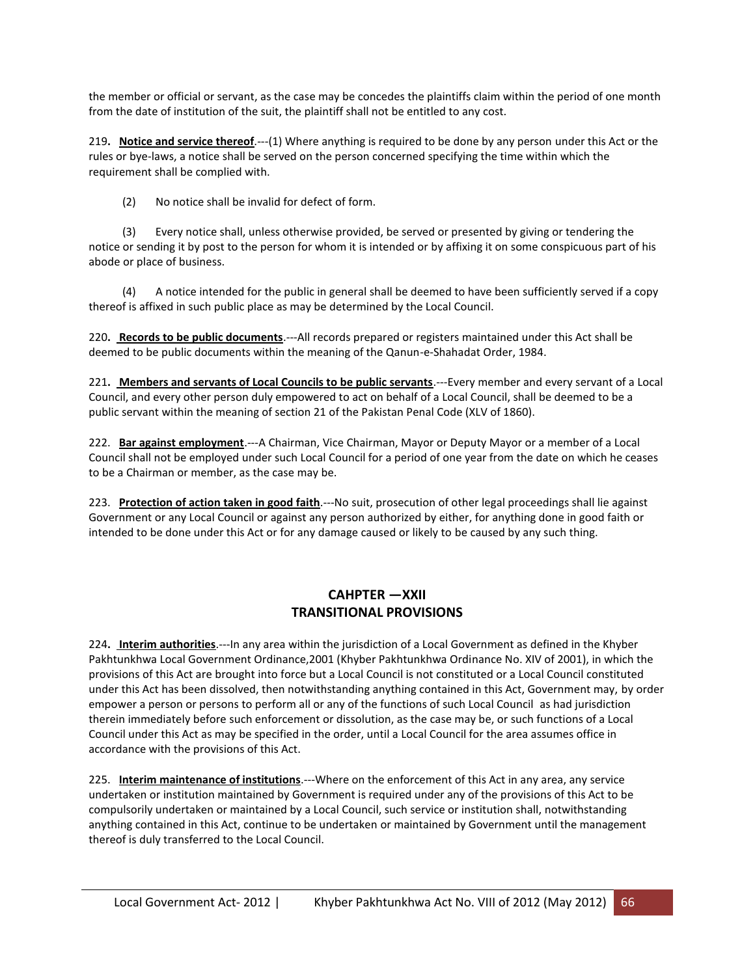the member or official or servant, as the case may be concedes the plaintiffs claim within the period of one month from the date of institution of the suit, the plaintiff shall not be entitled to any cost.

219**. Notice and service thereof**.---(1) Where anything is required to be done by any person under this Act or the rules or bye-laws, a notice shall be served on the person concerned specifying the time within which the requirement shall be complied with.

(2) No notice shall be invalid for defect of form.

 (3) Every notice shall, unless otherwise provided, be served or presented by giving or tendering the notice or sending it by post to the person for whom it is intended or by affixing it on some conspicuous part of his abode or place of business.

 (4) A notice intended for the public in general shall be deemed to have been sufficiently served if a copy thereof is affixed in such public place as may be determined by the Local Council.

220**. Records to be public documents**.---All records prepared or registers maintained under this Act shall be deemed to be public documents within the meaning of the Qanun-e-Shahadat Order, 1984.

221**. Members and servants of Local Councils to be public servants**.---Every member and every servant of a Local Council, and every other person duly empowered to act on behalf of a Local Council, shall be deemed to be a public servant within the meaning of section 21 of the Pakistan Penal Code (XLV of 1860).

222. **Bar against employment**.---A Chairman, Vice Chairman, Mayor or Deputy Mayor or a member of a Local Council shall not be employed under such Local Council for a period of one year from the date on which he ceases to be a Chairman or member, as the case may be.

223. Protection of action taken in good faith.---No suit, prosecution of other legal proceedings shall lie against Government or any Local Council or against any person authorized by either, for anything done in good faith or intended to be done under this Act or for any damage caused or likely to be caused by any such thing.

# **CAHPTER —XXII TRANSITIONAL PROVISIONS**

224**. Interim authorities**.---In any area within the jurisdiction of a Local Government as defined in the Khyber Pakhtunkhwa Local Government Ordinance,2001 (Khyber Pakhtunkhwa Ordinance No. XIV of 2001), in which the provisions of this Act are brought into force but a Local Council is not constituted or a Local Council constituted under this Act has been dissolved, then notwithstanding anything contained in this Act, Government may, by order empower a person or persons to perform all or any of the functions of such Local Council as had jurisdiction therein immediately before such enforcement or dissolution, as the case may be, or such functions of a Local Council under this Act as may be specified in the order, until a Local Council for the area assumes office in accordance with the provisions of this Act.

225. **Interim maintenance of institutions**.---Where on the enforcement of this Act in any area, any service undertaken or institution maintained by Government is required under any of the provisions of this Act to be compulsorily undertaken or maintained by a Local Council, such service or institution shall, notwithstanding anything contained in this Act, continue to be undertaken or maintained by Government until the management thereof is duly transferred to the Local Council.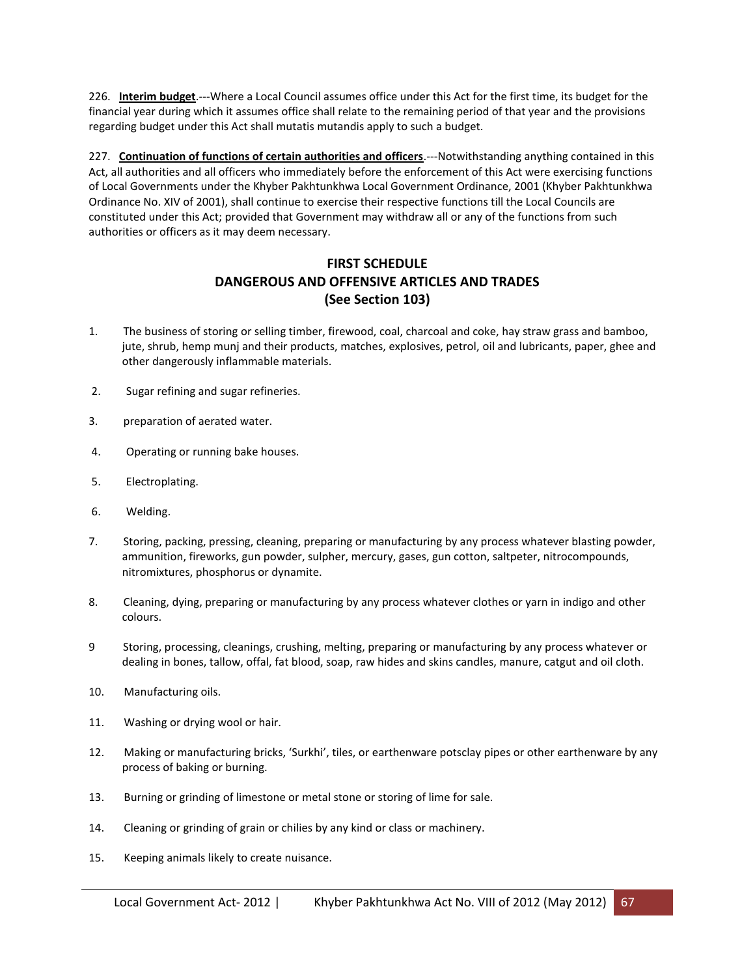226. **Interim budget**.---Where a Local Council assumes office under this Act for the first time, its budget for the financial year during which it assumes office shall relate to the remaining period of that year and the provisions regarding budget under this Act shall mutatis mutandis apply to such a budget.

227. **Continuation of functions of certain authorities and officers**.---Notwithstanding anything contained in this Act, all authorities and all officers who immediately before the enforcement of this Act were exercising functions of Local Governments under the Khyber Pakhtunkhwa Local Government Ordinance, 2001 (Khyber Pakhtunkhwa Ordinance No. XIV of 2001), shall continue to exercise their respective functions till the Local Councils are constituted under this Act; provided that Government may withdraw all or any of the functions from such authorities or officers as it may deem necessary.

# **FIRST SCHEDULE DANGEROUS AND OFFENSIVE ARTICLES AND TRADES (See Section 103)**

- 1. The business of storing or selling timber, firewood, coal, charcoal and coke, hay straw grass and bamboo, jute, shrub, hemp munj and their products, matches, explosives, petrol, oil and lubricants, paper, ghee and other dangerously inflammable materials.
- 2. Sugar refining and sugar refineries.
- 3. preparation of aerated water.
- 4. Operating or running bake houses.
- 5. Electroplating.
- 6. Welding.
- 7. Storing, packing, pressing, cleaning, preparing or manufacturing by any process whatever blasting powder, ammunition, fireworks, gun powder, sulpher, mercury, gases, gun cotton, saltpeter, nitrocompounds, nitromixtures, phosphorus or dynamite.
- 8. Cleaning, dying, preparing or manufacturing by any process whatever clothes or yarn in indigo and other colours.
- 9 Storing, processing, cleanings, crushing, melting, preparing or manufacturing by any process whatever or dealing in bones, tallow, offal, fat blood, soap, raw hides and skins candles, manure, catgut and oil cloth.
- 10. Manufacturing oils.
- 11. Washing or drying wool or hair.
- 12. Making or manufacturing bricks, 'Surkhi', tiles, or earthenware potsclay pipes or other earthenware by any process of baking or burning.
- 13. Burning or grinding of limestone or metal stone or storing of lime for sale.
- 14. Cleaning or grinding of grain or chilies by any kind or class or machinery.
- 15. Keeping animals likely to create nuisance.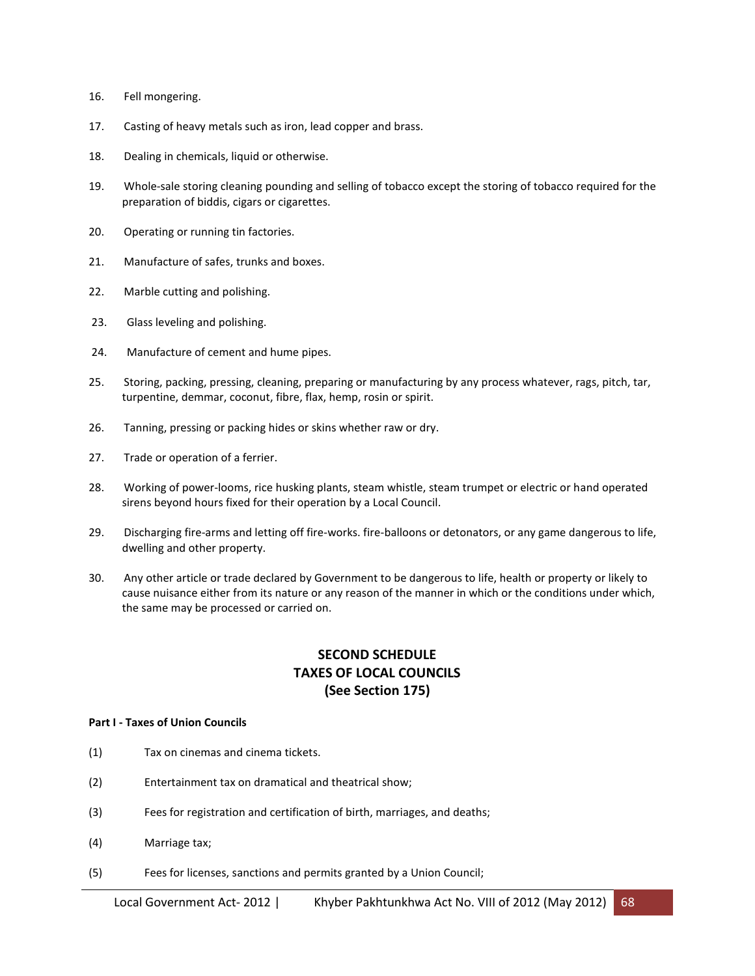- 16. Fell mongering.
- 17. Casting of heavy metals such as iron, lead copper and brass.
- 18. Dealing in chemicals, liquid or otherwise.
- 19. Whole-sale storing cleaning pounding and selling of tobacco except the storing of tobacco required for the preparation of biddis, cigars or cigarettes.
- 20. Operating or running tin factories.
- 21. Manufacture of safes, trunks and boxes.
- 22. Marble cutting and polishing.
- 23. Glass leveling and polishing.
- 24. Manufacture of cement and hume pipes.
- 25. Storing, packing, pressing, cleaning, preparing or manufacturing by any process whatever, rags, pitch, tar, turpentine, demmar, coconut, fibre, flax, hemp, rosin or spirit.
- 26. Tanning, pressing or packing hides or skins whether raw or dry.
- 27. Trade or operation of a ferrier.
- 28. Working of power-looms, rice husking plants, steam whistle, steam trumpet or electric or hand operated sirens beyond hours fixed for their operation by a Local Council.
- 29. Discharging fire-arms and letting off fire-works. fire-balloons or detonators, or any game dangerous to life, dwelling and other property.
- 30. Any other article or trade declared by Government to be dangerous to life, health or property or likely to cause nuisance either from its nature or any reason of the manner in which or the conditions under which, the same may be processed or carried on.

# **SECOND SCHEDULE TAXES OF LOCAL COUNCILS (See Section 175)**

#### **Part I - Taxes of Union Councils**

- (1) Tax on cinemas and cinema tickets.
- (2) Entertainment tax on dramatical and theatrical show;
- (3) Fees for registration and certification of birth, marriages, and deaths;
- (4) Marriage tax;
- (5) Fees for licenses, sanctions and permits granted by a Union Council;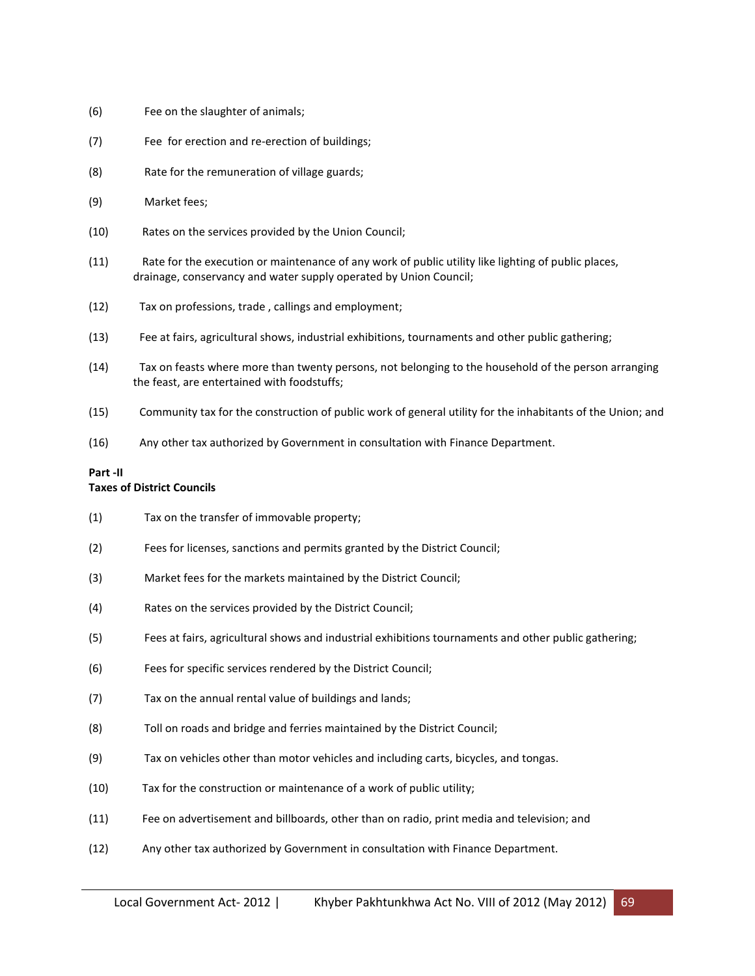- (6) Fee on the slaughter of animals;
- (7) Fee for erection and re-erection of buildings;
- (8) Rate for the remuneration of village guards;
- (9) Market fees;
- (10) Rates on the services provided by the Union Council;
- (11) Rate for the execution or maintenance of any work of public utility like lighting of public places, drainage, conservancy and water supply operated by Union Council;
- (12) Tax on professions, trade , callings and employment;
- (13) Fee at fairs, agricultural shows, industrial exhibitions, tournaments and other public gathering;
- (14) Tax on feasts where more than twenty persons, not belonging to the household of the person arranging the feast, are entertained with foodstuffs;
- (15) Community tax for the construction of public work of general utility for the inhabitants of the Union; and
- (16) Any other tax authorized by Government in consultation with Finance Department.

#### **Part -II**

#### **Taxes of District Councils**

- (1) Tax on the transfer of immovable property;
- (2) Fees for licenses, sanctions and permits granted by the District Council;
- (3) Market fees for the markets maintained by the District Council;
- (4) Rates on the services provided by the District Council;
- (5) Fees at fairs, agricultural shows and industrial exhibitions tournaments and other public gathering;
- (6) Fees for specific services rendered by the District Council;
- (7) Tax on the annual rental value of buildings and lands;
- (8) Toll on roads and bridge and ferries maintained by the District Council;
- (9) Tax on vehicles other than motor vehicles and including carts, bicycles, and tongas.
- (10) Tax for the construction or maintenance of a work of public utility;
- (11) Fee on advertisement and billboards, other than on radio, print media and television; and
- (12) Any other tax authorized by Government in consultation with Finance Department.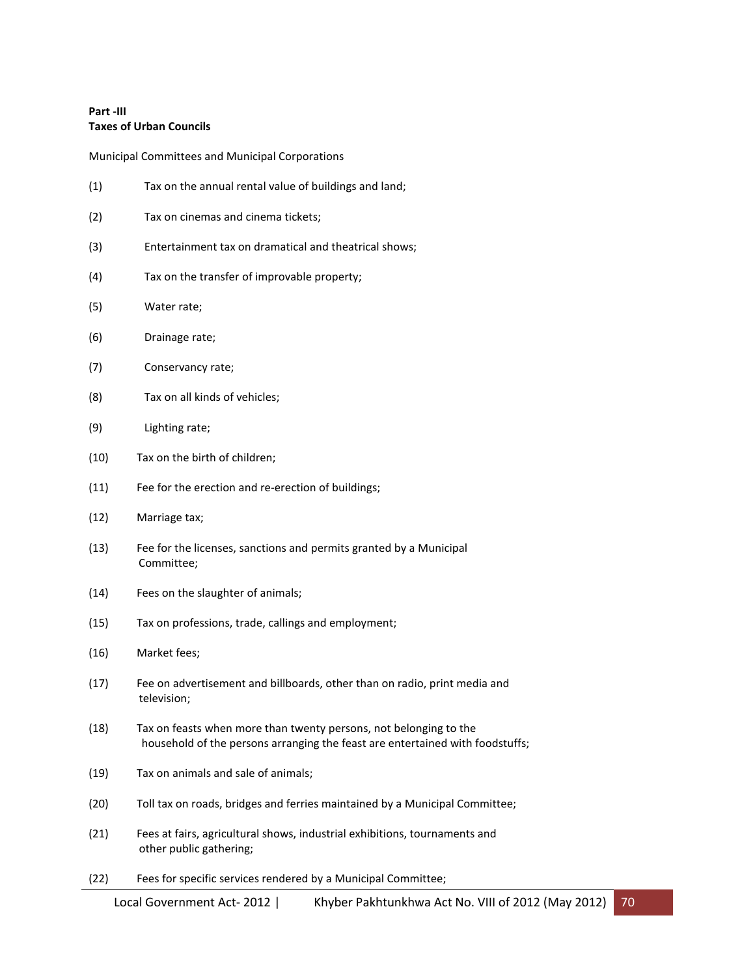### **Part -III Taxes of Urban Councils**

Municipal Committees and Municipal Corporations

| (1)  | Tax on the annual rental value of buildings and land;                                                                                              |
|------|----------------------------------------------------------------------------------------------------------------------------------------------------|
| (2)  | Tax on cinemas and cinema tickets;                                                                                                                 |
| (3)  | Entertainment tax on dramatical and theatrical shows;                                                                                              |
| (4)  | Tax on the transfer of improvable property;                                                                                                        |
| (5)  | Water rate;                                                                                                                                        |
| (6)  | Drainage rate;                                                                                                                                     |
| (7)  | Conservancy rate;                                                                                                                                  |
| (8)  | Tax on all kinds of vehicles;                                                                                                                      |
| (9)  | Lighting rate;                                                                                                                                     |
| (10) | Tax on the birth of children;                                                                                                                      |
| (11) | Fee for the erection and re-erection of buildings;                                                                                                 |
| (12) | Marriage tax;                                                                                                                                      |
| (13) | Fee for the licenses, sanctions and permits granted by a Municipal<br>Committee;                                                                   |
| (14) | Fees on the slaughter of animals;                                                                                                                  |
| (15) | Tax on professions, trade, callings and employment;                                                                                                |
| (16) | Market fees;                                                                                                                                       |
| (17) | Fee on advertisement and billboards, other than on radio, print media and<br>television;                                                           |
| (18) | Tax on feasts when more than twenty persons, not belonging to the<br>household of the persons arranging the feast are entertained with foodstuffs; |
| (19) | Tax on animals and sale of animals;                                                                                                                |
| (20) | Toll tax on roads, bridges and ferries maintained by a Municipal Committee;                                                                        |
| (21) | Fees at fairs, agricultural shows, industrial exhibitions, tournaments and<br>other public gathering;                                              |
| (22) | Fees for specific services rendered by a Municipal Committee;                                                                                      |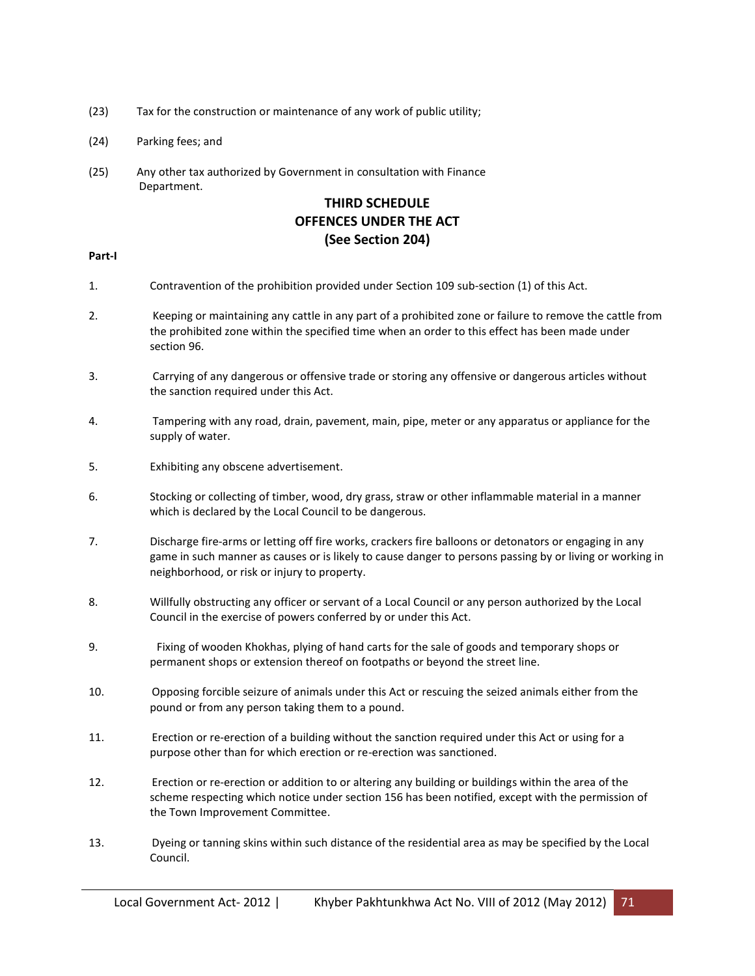- (23) Tax for the construction or maintenance of any work of public utility;
- (24) Parking fees; and
- (25) Any other tax authorized by Government in consultation with Finance Department.

# **THIRD SCHEDULE OFFENCES UNDER THE ACT (See Section 204)**

### **Part-I**

- 1. Contravention of the prohibition provided under Section 109 sub-section (1) of this Act.
- 2. Keeping or maintaining any cattle in any part of a prohibited zone or failure to remove the cattle from the prohibited zone within the specified time when an order to this effect has been made under section 96.
- 3. Carrying of any dangerous or offensive trade or storing any offensive or dangerous articles without the sanction required under this Act.
- 4. Tampering with any road, drain, pavement, main, pipe, meter or any apparatus or appliance for the supply of water.
- 5. Exhibiting any obscene advertisement.
- 6. Stocking or collecting of timber, wood, dry grass, straw or other inflammable material in a manner which is declared by the Local Council to be dangerous.
- 7. Discharge fire-arms or letting off fire works, crackers fire balloons or detonators or engaging in any game in such manner as causes or is likely to cause danger to persons passing by or living or working in neighborhood, or risk or injury to property.
- 8. Willfully obstructing any officer or servant of a Local Council or any person authorized by the Local Council in the exercise of powers conferred by or under this Act.
- 9. Fixing of wooden Khokhas, plying of hand carts for the sale of goods and temporary shops or permanent shops or extension thereof on footpaths or beyond the street line.
- 10. Opposing forcible seizure of animals under this Act or rescuing the seized animals either from the pound or from any person taking them to a pound.
- 11. Erection or re-erection of a building without the sanction required under this Act or using for a purpose other than for which erection or re-erection was sanctioned.
- 12. Erection or re-erection or addition to or altering any building or buildings within the area of the scheme respecting which notice under section 156 has been notified, except with the permission of the Town Improvement Committee.
- 13. Dyeing or tanning skins within such distance of the residential area as may be specified by the Local Council.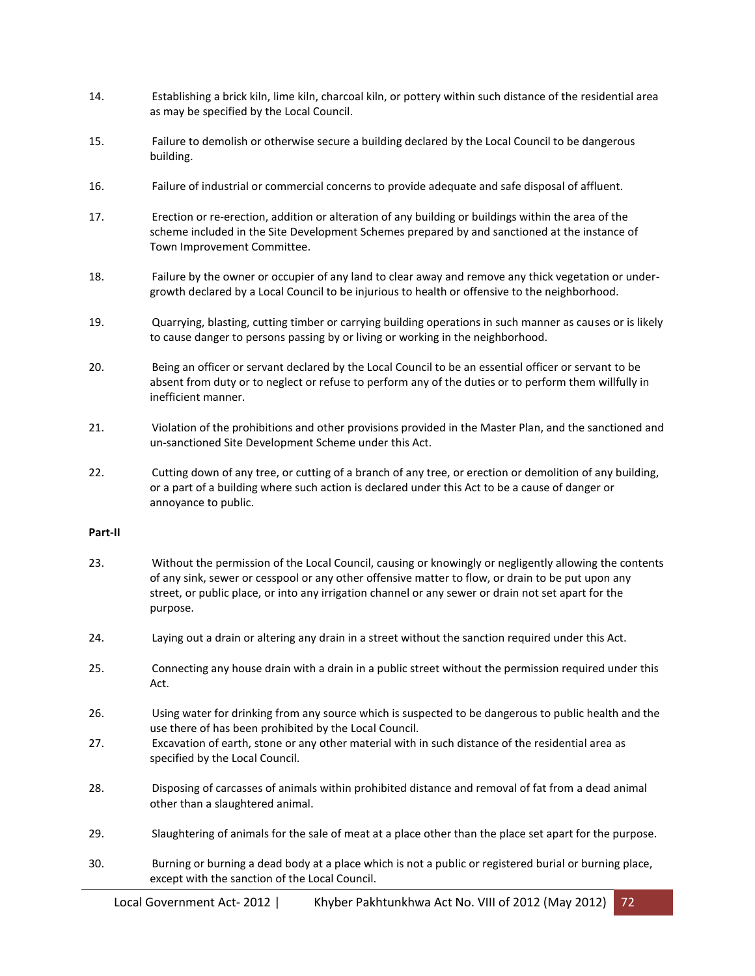- 14. Establishing a brick kiln, lime kiln, charcoal kiln, or pottery within such distance of the residential area as may be specified by the Local Council.
- 15. Failure to demolish or otherwise secure a building declared by the Local Council to be dangerous building.
- 16. Failure of industrial or commercial concerns to provide adequate and safe disposal of affluent.
- 17. Erection or re-erection, addition or alteration of any building or buildings within the area of the scheme included in the Site Development Schemes prepared by and sanctioned at the instance of Town Improvement Committee.
- 18. Failure by the owner or occupier of any land to clear away and remove any thick vegetation or undergrowth declared by a Local Council to be injurious to health or offensive to the neighborhood.
- 19. Quarrying, blasting, cutting timber or carrying building operations in such manner as causes or is likely to cause danger to persons passing by or living or working in the neighborhood.
- 20. Being an officer or servant declared by the Local Council to be an essential officer or servant to be absent from duty or to neglect or refuse to perform any of the duties or to perform them willfully in inefficient manner.
- 21. Violation of the prohibitions and other provisions provided in the Master Plan, and the sanctioned and un-sanctioned Site Development Scheme under this Act.
- 22. Cutting down of any tree, or cutting of a branch of any tree, or erection or demolition of any building, or a part of a building where such action is declared under this Act to be a cause of danger or annoyance to public.

### **Part-II**

- 23. Without the permission of the Local Council, causing or knowingly or negligently allowing the contents of any sink, sewer or cesspool or any other offensive matter to flow, or drain to be put upon any street, or public place, or into any irrigation channel or any sewer or drain not set apart for the purpose.
- 24. Laying out a drain or altering any drain in a street without the sanction required under this Act.
- 25. Connecting any house drain with a drain in a public street without the permission required under this Act.
- 26. Using water for drinking from any source which is suspected to be dangerous to public health and the use there of has been prohibited by the Local Council.
- 27. Excavation of earth, stone or any other material with in such distance of the residential area as specified by the Local Council.
- 28. Disposing of carcasses of animals within prohibited distance and removal of fat from a dead animal other than a slaughtered animal.
- 29. Slaughtering of animals for the sale of meat at a place other than the place set apart for the purpose.
- 30. Burning or burning a dead body at a place which is not a public or registered burial or burning place, except with the sanction of the Local Council.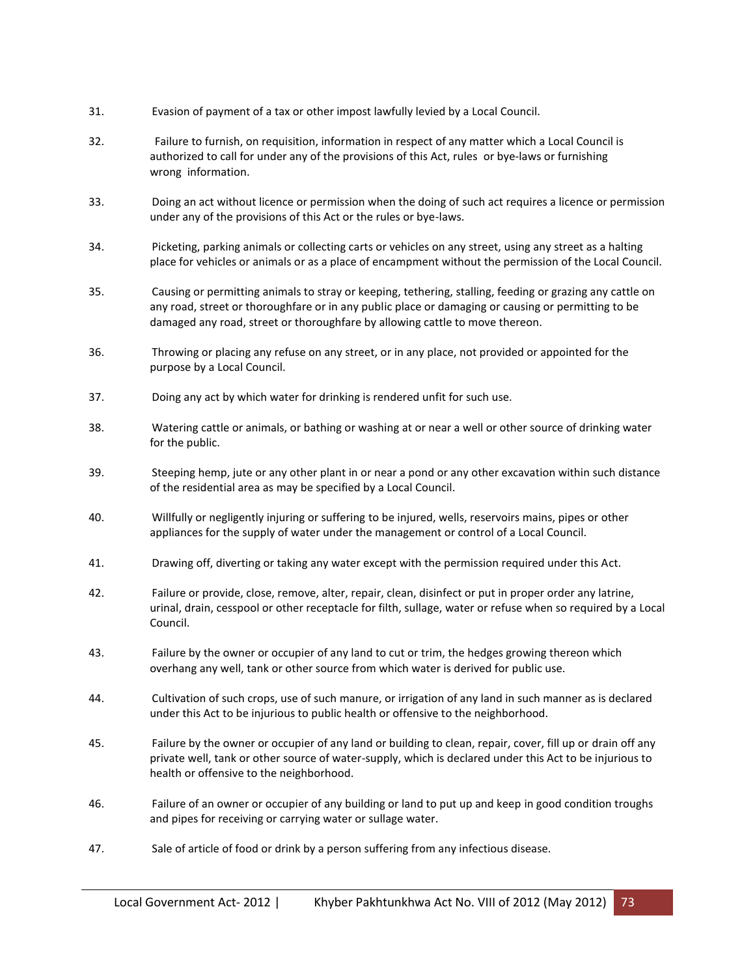- 31. Evasion of payment of a tax or other impost lawfully levied by a Local Council.
- 32. Failure to furnish, on requisition, information in respect of any matter which a Local Council is authorized to call for under any of the provisions of this Act, rules or bye-laws or furnishing wrong information.
- 33. Doing an act without licence or permission when the doing of such act requires a licence or permission under any of the provisions of this Act or the rules or bye-laws.
- 34. Picketing, parking animals or collecting carts or vehicles on any street, using any street as a halting place for vehicles or animals or as a place of encampment without the permission of the Local Council.
- 35. Causing or permitting animals to stray or keeping, tethering, stalling, feeding or grazing any cattle on any road, street or thoroughfare or in any public place or damaging or causing or permitting to be damaged any road, street or thoroughfare by allowing cattle to move thereon.
- 36. Throwing or placing any refuse on any street, or in any place, not provided or appointed for the purpose by a Local Council.
- 37. Doing any act by which water for drinking is rendered unfit for such use.
- 38. Watering cattle or animals, or bathing or washing at or near a well or other source of drinking water for the public.
- 39. Steeping hemp, jute or any other plant in or near a pond or any other excavation within such distance of the residential area as may be specified by a Local Council.
- 40. Willfully or negligently injuring or suffering to be injured, wells, reservoirs mains, pipes or other appliances for the supply of water under the management or control of a Local Council.
- 41. Drawing off, diverting or taking any water except with the permission required under this Act.
- 42. Failure or provide, close, remove, alter, repair, clean, disinfect or put in proper order any latrine, urinal, drain, cesspool or other receptacle for filth, sullage, water or refuse when so required by a Local Council.
- 43. Failure by the owner or occupier of any land to cut or trim, the hedges growing thereon which overhang any well, tank or other source from which water is derived for public use.
- 44. Cultivation of such crops, use of such manure, or irrigation of any land in such manner as is declared under this Act to be injurious to public health or offensive to the neighborhood.
- 45. Failure by the owner or occupier of any land or building to clean, repair, cover, fill up or drain off any private well, tank or other source of water-supply, which is declared under this Act to be injurious to health or offensive to the neighborhood.
- 46. Failure of an owner or occupier of any building or land to put up and keep in good condition troughs and pipes for receiving or carrying water or sullage water.
- 47. Sale of article of food or drink by a person suffering from any infectious disease.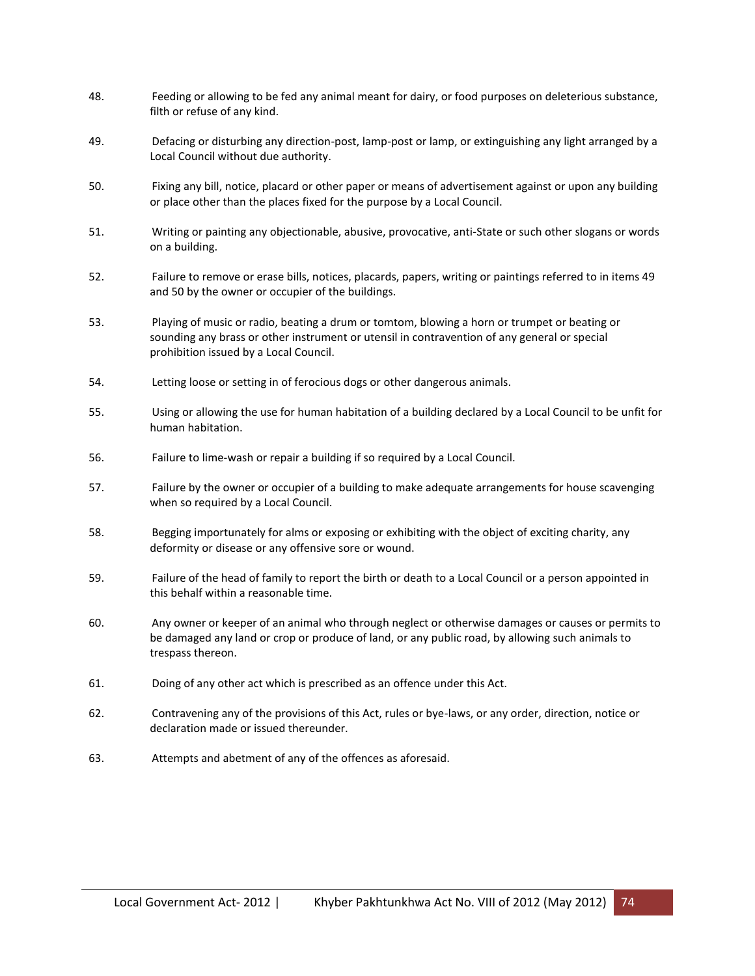- 48. Feeding or allowing to be fed any animal meant for dairy, or food purposes on deleterious substance, filth or refuse of any kind.
- 49. Defacing or disturbing any direction-post, lamp-post or lamp, or extinguishing any light arranged by a Local Council without due authority.
- 50. Fixing any bill, notice, placard or other paper or means of advertisement against or upon any building or place other than the places fixed for the purpose by a Local Council.
- 51. Writing or painting any objectionable, abusive, provocative, anti-State or such other slogans or words on a building.
- 52. Failure to remove or erase bills, notices, placards, papers, writing or paintings referred to in items 49 and 50 by the owner or occupier of the buildings.
- 53. Playing of music or radio, beating a drum or tomtom, blowing a horn or trumpet or beating or sounding any brass or other instrument or utensil in contravention of any general or special prohibition issued by a Local Council.
- 54. Letting loose or setting in of ferocious dogs or other dangerous animals.
- 55. Using or allowing the use for human habitation of a building declared by a Local Council to be unfit for human habitation.
- 56. Failure to lime-wash or repair a building if so required by a Local Council.
- 57. Failure by the owner or occupier of a building to make adequate arrangements for house scavenging when so required by a Local Council.
- 58. Begging importunately for alms or exposing or exhibiting with the object of exciting charity, any deformity or disease or any offensive sore or wound.
- 59. Failure of the head of family to report the birth or death to a Local Council or a person appointed in this behalf within a reasonable time.
- 60. Any owner or keeper of an animal who through neglect or otherwise damages or causes or permits to be damaged any land or crop or produce of land, or any public road, by allowing such animals to trespass thereon.
- 61. Doing of any other act which is prescribed as an offence under this Act.
- 62. Contravening any of the provisions of this Act, rules or bye-laws, or any order, direction, notice or declaration made or issued thereunder.
- 63. Attempts and abetment of any of the offences as aforesaid.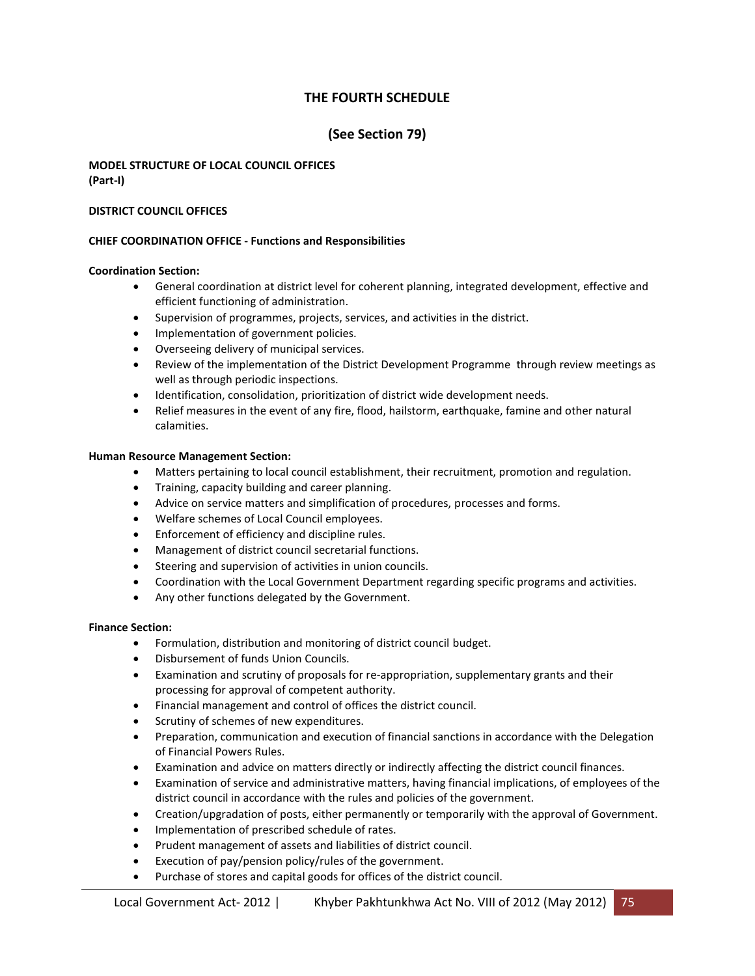# **THE FOURTH SCHEDULE**

# **(See Section 79)**

# **MODEL STRUCTURE OF LOCAL COUNCIL OFFICES (Part-I)**

# **DISTRICT COUNCIL OFFICES**

# **CHIEF COORDINATION OFFICE - Functions and Responsibilities**

# **Coordination Section:**

- General coordination at district level for coherent planning, integrated development, effective and efficient functioning of administration.
- Supervision of programmes, projects, services, and activities in the district.
- Implementation of government policies.
- Overseeing delivery of municipal services.
- Review of the implementation of the District Development Programme through review meetings as well as through periodic inspections.
- Identification, consolidation, prioritization of district wide development needs.
- Relief measures in the event of any fire, flood, hailstorm, earthquake, famine and other natural calamities.

#### **Human Resource Management Section:**

- Matters pertaining to local council establishment, their recruitment, promotion and regulation.
- **•** Training, capacity building and career planning.
- Advice on service matters and simplification of procedures, processes and forms.
- Welfare schemes of Local Council employees.
- **•** Enforcement of efficiency and discipline rules.
- Management of district council secretarial functions.
- Steering and supervision of activities in union councils.
- Coordination with the Local Government Department regarding specific programs and activities.
- Any other functions delegated by the Government.

#### **Finance Section:**

- Formulation, distribution and monitoring of district council budget.
- Disbursement of funds Union Councils.
- Examination and scrutiny of proposals for re-appropriation, supplementary grants and their processing for approval of competent authority.
- Financial management and control of offices the district council.
- Scrutiny of schemes of new expenditures.
- Preparation, communication and execution of financial sanctions in accordance with the Delegation of Financial Powers Rules.
- Examination and advice on matters directly or indirectly affecting the district council finances.
- Examination of service and administrative matters, having financial implications, of employees of the district council in accordance with the rules and policies of the government.
- Creation/upgradation of posts, either permanently or temporarily with the approval of Government.
- Implementation of prescribed schedule of rates.
- Prudent management of assets and liabilities of district council.
- Execution of pay/pension policy/rules of the government.
- Purchase of stores and capital goods for offices of the district council.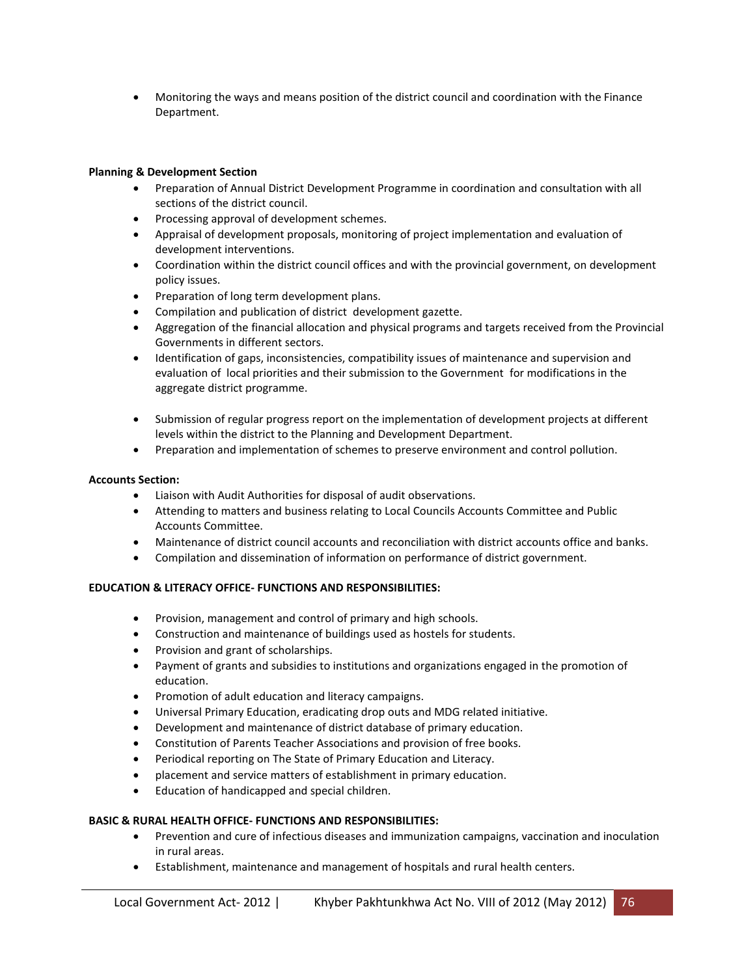Monitoring the ways and means position of the district council and coordination with the Finance Department.

# **Planning & Development Section**

- Preparation of Annual District Development Programme in coordination and consultation with all sections of the district council.
- Processing approval of development schemes.
- Appraisal of development proposals, monitoring of project implementation and evaluation of development interventions.
- Coordination within the district council offices and with the provincial government, on development policy issues.
- Preparation of long term development plans.
- Compilation and publication of district development gazette.
- Aggregation of the financial allocation and physical programs and targets received from the Provincial Governments in different sectors.
- Identification of gaps, inconsistencies, compatibility issues of maintenance and supervision and evaluation of local priorities and their submission to the Government for modifications in the aggregate district programme.
- Submission of regular progress report on the implementation of development projects at different levels within the district to the Planning and Development Department.
- Preparation and implementation of schemes to preserve environment and control pollution.

# **Accounts Section:**

- Liaison with Audit Authorities for disposal of audit observations.
- Attending to matters and business relating to Local Councils Accounts Committee and Public Accounts Committee.
- Maintenance of district council accounts and reconciliation with district accounts office and banks.
- Compilation and dissemination of information on performance of district government.

# **EDUCATION & LITERACY OFFICE- FUNCTIONS AND RESPONSIBILITIES:**

- Provision, management and control of primary and high schools.
- Construction and maintenance of buildings used as hostels for students.
- Provision and grant of scholarships.
- Payment of grants and subsidies to institutions and organizations engaged in the promotion of education.
- Promotion of adult education and literacy campaigns.
- Universal Primary Education, eradicating drop outs and MDG related initiative.
- Development and maintenance of district database of primary education.
- Constitution of Parents Teacher Associations and provision of free books.
- Periodical reporting on The State of Primary Education and Literacy.
- placement and service matters of establishment in primary education.
- Education of handicapped and special children.

#### **BASIC & RURAL HEALTH OFFICE- FUNCTIONS AND RESPONSIBILITIES:**

- Prevention and cure of infectious diseases and immunization campaigns, vaccination and inoculation in rural areas.
- Establishment, maintenance and management of hospitals and rural health centers.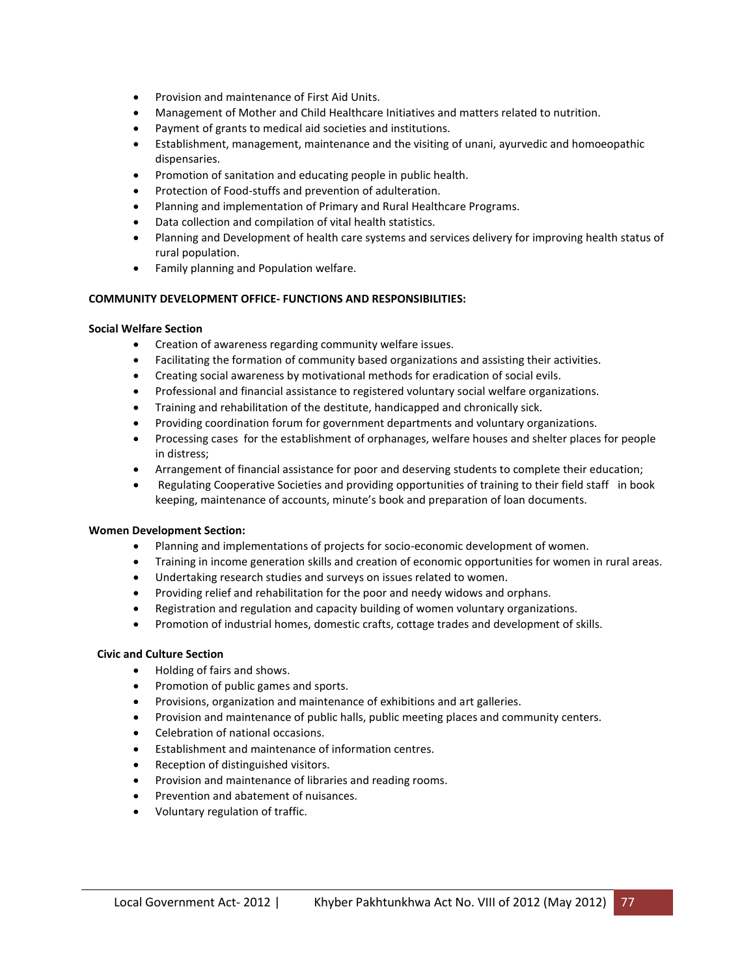- **•** Provision and maintenance of First Aid Units.
- Management of Mother and Child Healthcare Initiatives and matters related to nutrition.
- Payment of grants to medical aid societies and institutions.
- Establishment, management, maintenance and the visiting of unani, ayurvedic and homoeopathic dispensaries.
- Promotion of sanitation and educating people in public health.
- Protection of Food-stuffs and prevention of adulteration.
- Planning and implementation of Primary and Rural Healthcare Programs.
- Data collection and compilation of vital health statistics.
- Planning and Development of health care systems and services delivery for improving health status of rural population.
- Family planning and Population welfare.

#### **COMMUNITY DEVELOPMENT OFFICE- FUNCTIONS AND RESPONSIBILITIES:**

#### **Social Welfare Section**

- Creation of awareness regarding community welfare issues.
- Facilitating the formation of community based organizations and assisting their activities.
- Creating social awareness by motivational methods for eradication of social evils.
- Professional and financial assistance to registered voluntary social welfare organizations.
- Training and rehabilitation of the destitute, handicapped and chronically sick.
- Providing coordination forum for government departments and voluntary organizations.
- Processing cases for the establishment of orphanages, welfare houses and shelter places for people in distress;
- Arrangement of financial assistance for poor and deserving students to complete their education;
- Regulating Cooperative Societies and providing opportunities of training to their field staff in book keeping, maintenance of accounts, minute's book and preparation of loan documents.

#### **Women Development Section:**

- Planning and implementations of projects for socio-economic development of women.
- Training in income generation skills and creation of economic opportunities for women in rural areas.
- Undertaking research studies and surveys on issues related to women.
- Providing relief and rehabilitation for the poor and needy widows and orphans.
- Registration and regulation and capacity building of women voluntary organizations.
- Promotion of industrial homes, domestic crafts, cottage trades and development of skills.

#### **Civic and Culture Section**

- Holding of fairs and shows.
- Promotion of public games and sports.
- Provisions, organization and maintenance of exhibitions and art galleries.
- Provision and maintenance of public halls, public meeting places and community centers.
- Celebration of national occasions.
- Establishment and maintenance of information centres.
- Reception of distinguished visitors.
- Provision and maintenance of libraries and reading rooms.
- Prevention and abatement of nuisances.
- Voluntary regulation of traffic.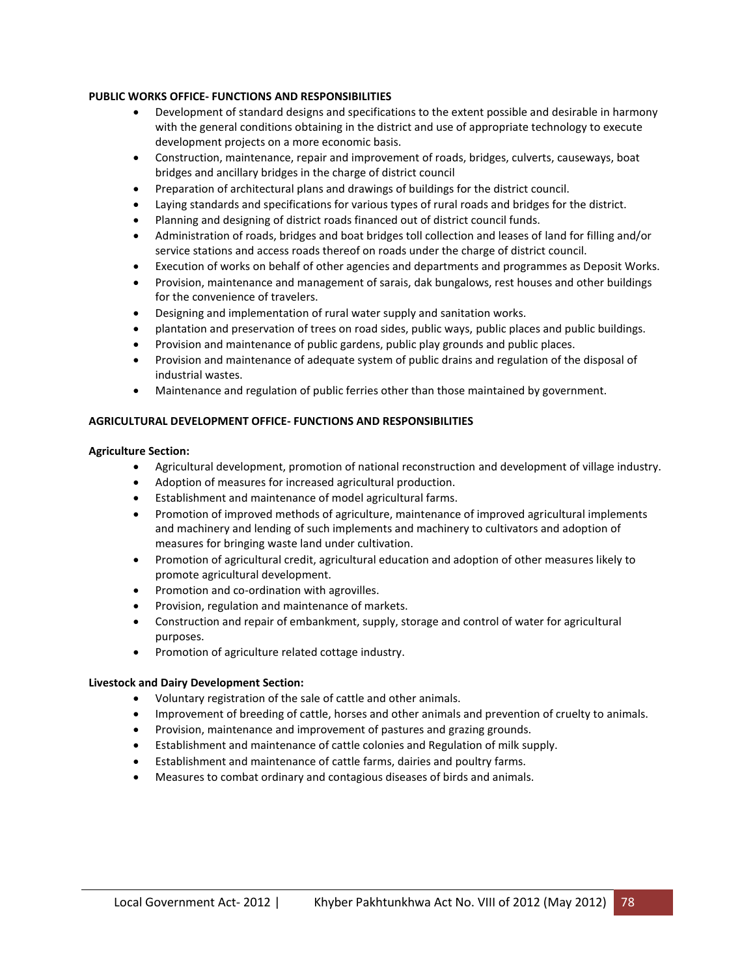#### **PUBLIC WORKS OFFICE- FUNCTIONS AND RESPONSIBILITIES**

- Development of standard designs and specifications to the extent possible and desirable in harmony with the general conditions obtaining in the district and use of appropriate technology to execute development projects on a more economic basis.
- Construction, maintenance, repair and improvement of roads, bridges, culverts, causeways, boat bridges and ancillary bridges in the charge of district council
- Preparation of architectural plans and drawings of buildings for the district council.
- Laying standards and specifications for various types of rural roads and bridges for the district.
- Planning and designing of district roads financed out of district council funds.
- Administration of roads, bridges and boat bridges toll collection and leases of land for filling and/or service stations and access roads thereof on roads under the charge of district council.
- Execution of works on behalf of other agencies and departments and programmes as Deposit Works.
- Provision, maintenance and management of sarais, dak bungalows, rest houses and other buildings for the convenience of travelers.
- Designing and implementation of rural water supply and sanitation works.
- plantation and preservation of trees on road sides, public ways, public places and public buildings.
- Provision and maintenance of public gardens, public play grounds and public places.
- Provision and maintenance of adequate system of public drains and regulation of the disposal of industrial wastes.
- Maintenance and regulation of public ferries other than those maintained by government.

# **AGRICULTURAL DEVELOPMENT OFFICE- FUNCTIONS AND RESPONSIBILITIES**

#### **Agriculture Section:**

- Agricultural development, promotion of national reconstruction and development of village industry.
- Adoption of measures for increased agricultural production.
- Establishment and maintenance of model agricultural farms.
- Promotion of improved methods of agriculture, maintenance of improved agricultural implements and machinery and lending of such implements and machinery to cultivators and adoption of measures for bringing waste land under cultivation.
- Promotion of agricultural credit, agricultural education and adoption of other measures likely to promote agricultural development.
- Promotion and co-ordination with agrovilles.
- Provision, regulation and maintenance of markets.
- Construction and repair of embankment, supply, storage and control of water for agricultural purposes.
- Promotion of agriculture related cottage industry.

#### **Livestock and Dairy Development Section:**

- Voluntary registration of the sale of cattle and other animals.
- Improvement of breeding of cattle, horses and other animals and prevention of cruelty to animals.
- Provision, maintenance and improvement of pastures and grazing grounds.
- Establishment and maintenance of cattle colonies and Regulation of milk supply.
- Establishment and maintenance of cattle farms, dairies and poultry farms.
- Measures to combat ordinary and contagious diseases of birds and animals.